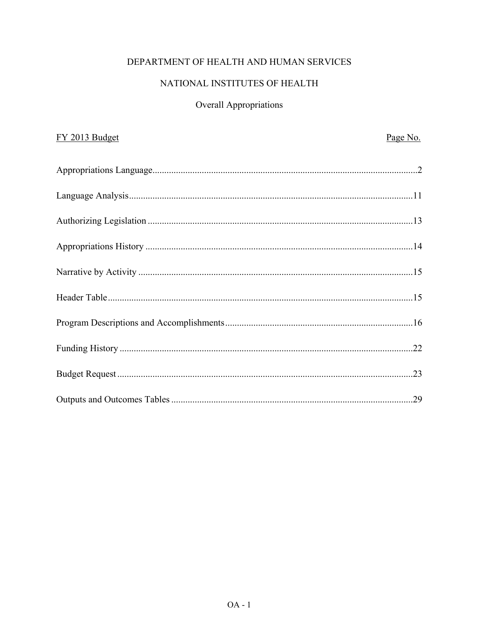# DEPARTMENT OF HEALTH AND HUMAN SERVICES

# NATIONAL INSTITUTES OF HEALTH

# Overall Appropriations

| FY 2013 Budget | Page No. |
|----------------|----------|
|                |          |
|                |          |
|                |          |
|                |          |
|                |          |
|                |          |
|                |          |
|                |          |
|                |          |
|                |          |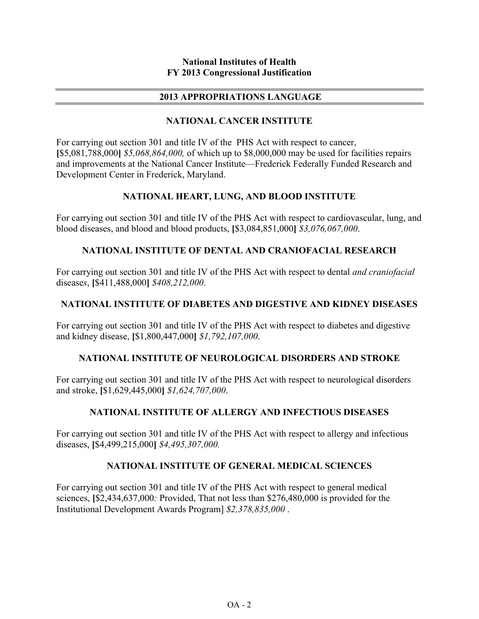#### **National Institutes of Health FY 2013 Congressional Justification**

### **2013 APPROPRIATIONS LANGUAGE**

## **NATIONAL CANCER INSTITUTE**

For carrying out section 301 and title IV of the PHS Act with respect to cancer, **[**\$5,081,788,000**]** *\$5,068,864,000,* of which up to \$8,000,000 may be used for facilities repairs and improvements at the National Cancer Institute—Frederick Federally Funded Research and Development Center in Frederick, Maryland.

## **NATIONAL HEART, LUNG, AND BLOOD INSTITUTE**

For carrying out section 301 and title IV of the PHS Act with respect to cardiovascular, lung, and blood diseases, and blood and blood products, **[**\$3,084,851,000**]** *\$3,076,067,000*.

## **NATIONAL INSTITUTE OF DENTAL AND CRANIOFACIAL RESEARCH**

For carrying out section 301 and title IV of the PHS Act with respect to dental *and craniofacial*  disease*s*, **[**\$411,488,000**]** *\$408,212,000*.

## **NATIONAL INSTITUTE OF DIABETES AND DIGESTIVE AND KIDNEY DISEASES**

For carrying out section 301 and title IV of the PHS Act with respect to diabetes and digestive and kidney disease, **[**\$1,800,447,000**]** *\$1,792,107,000*.

#### **NATIONAL INSTITUTE OF NEUROLOGICAL DISORDERS AND STROKE**

For carrying out section 301 and title IV of the PHS Act with respect to neurological disorders and stroke, **[**\$1,629,445,000**]** *\$1,624,707,000*.

#### **NATIONAL INSTITUTE OF ALLERGY AND INFECTIOUS DISEASES**

For carrying out section 301 and title IV of the PHS Act with respect to allergy and infectious diseases, **[**\$4,499,215,000**]** *\$4,495,307,000.* 

#### **NATIONAL INSTITUTE OF GENERAL MEDICAL SCIENCES**

For carrying out section 301 and title IV of the PHS Act with respect to general medical sciences, **[**\$2,434,637,000*:* Provided, That not less than \$276,480,000 is provided for the Institutional Development Awards Program] *\$2,378,835,000* .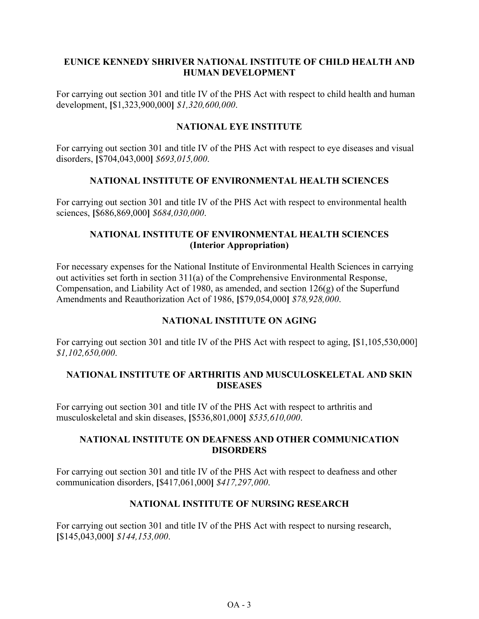## **EUNICE KENNEDY SHRIVER NATIONAL INSTITUTE OF CHILD HEALTH AND HUMAN DEVELOPMENT**

For carrying out section 301 and title IV of the PHS Act with respect to child health and human development, **[**\$1,323,900,000**]** *\$1,320,600,000*.

## **NATIONAL EYE INSTITUTE**

For carrying out section 301 and title IV of the PHS Act with respect to eye diseases and visual disorders, **[**\$704,043,000**]** *\$693,015,000*.

## **NATIONAL INSTITUTE OF ENVIRONMENTAL HEALTH SCIENCES**

For carrying out section 301 and title IV of the PHS Act with respect to environmental health sciences, **[**\$686,869,000**]** *\$684,030,000*.

## **NATIONAL INSTITUTE OF ENVIRONMENTAL HEALTH SCIENCES (Interior Appropriation)**

For necessary expenses for the National Institute of Environmental Health Sciences in carrying out activities set forth in section 311(a) of the Comprehensive Environmental Response, Compensation, and Liability Act of 1980, as amended, and section 126(g) of the Superfund Amendments and Reauthorization Act of 1986, **[**\$79,054,000**]** *\$78,928,000*.

## **NATIONAL INSTITUTE ON AGING**

For carrying out section 301 and title IV of the PHS Act with respect to aging, **[**\$1,105,530,000] *\$1,102,650,000*.

## **NATIONAL INSTITUTE OF ARTHRITIS AND MUSCULOSKELETAL AND SKIN DISEASES**

For carrying out section 301 and title IV of the PHS Act with respect to arthritis and musculoskeletal and skin diseases, **[**\$536,801,000**]** *\$535,610,000*.

#### **NATIONAL INSTITUTE ON DEAFNESS AND OTHER COMMUNICATION DISORDERS**

For carrying out section 301 and title IV of the PHS Act with respect to deafness and other communication disorders, **[**\$417,061,000**]** *\$417,297,000*.

#### **NATIONAL INSTITUTE OF NURSING RESEARCH**

For carrying out section 301 and title IV of the PHS Act with respect to nursing research, **[**\$145,043,000**]** *\$144,153,000*.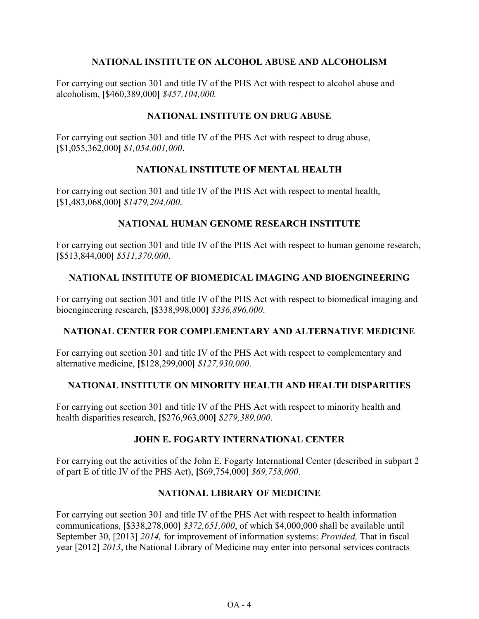## **NATIONAL INSTITUTE ON ALCOHOL ABUSE AND ALCOHOLISM**

For carrying out section 301 and title IV of the PHS Act with respect to alcohol abuse and alcoholism, **[**\$460,389,000**]** *\$457,104,000.*

## **NATIONAL INSTITUTE ON DRUG ABUSE**

For carrying out section 301 and title IV of the PHS Act with respect to drug abuse, **[**\$1,055,362,000**]** *\$1,054,001,000*.

## **NATIONAL INSTITUTE OF MENTAL HEALTH**

For carrying out section 301 and title IV of the PHS Act with respect to mental health, **[**\$1,483,068,000**]** *\$1479,204,000*.

## **NATIONAL HUMAN GENOME RESEARCH INSTITUTE**

For carrying out section 301 and title IV of the PHS Act with respect to human genome research, **[**\$513,844,000**]** *\$511,370,000*.

## **NATIONAL INSTITUTE OF BIOMEDICAL IMAGING AND BIOENGINEERING**

For carrying out section 301 and title IV of the PHS Act with respect to biomedical imaging and bioengineering research, **[**\$338,998,000**]** *\$336,896,000*.

## **NATIONAL CENTER FOR COMPLEMENTARY AND ALTERNATIVE MEDICINE**

For carrying out section 301 and title IV of the PHS Act with respect to complementary and alternative medicine, **[**\$128,299,000**]** *\$127,930,000*.

#### **NATIONAL INSTITUTE ON MINORITY HEALTH AND HEALTH DISPARITIES**

For carrying out section 301 and title IV of the PHS Act with respect to minority health and health disparities research, **[**\$276,963,000**]** *\$279,389,000*.

#### **JOHN E. FOGARTY INTERNATIONAL CENTER**

For carrying out the activities of the John E. Fogarty International Center (described in subpart 2 of part E of title IV of the PHS Act), **[**\$69,754,000**]** *\$69,758,000*.

#### **NATIONAL LIBRARY OF MEDICINE**

For carrying out section 301 and title IV of the PHS Act with respect to health information communications, **[**\$338,278,000**]** *\$372,651,000*, of which \$4,000,000 shall be available until September 30, [2013] *2014,* for improvement of information systems: *Provided,* That in fiscal year [2012] *2013*, the National Library of Medicine may enter into personal services contracts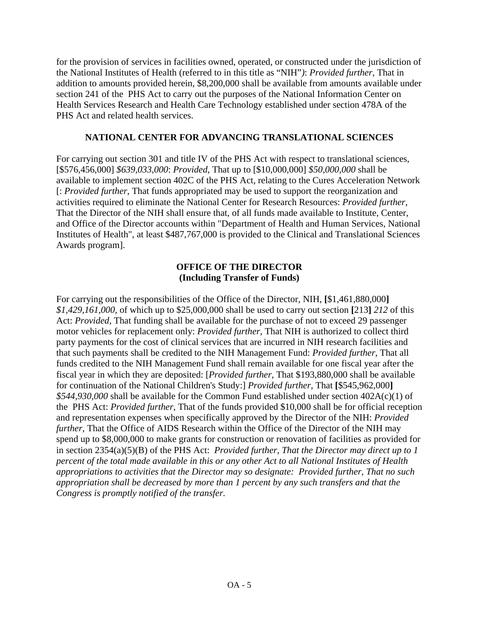for the provision of services in facilities owned, operated, or constructed under the jurisdiction of the National Institutes of Health (referred to in this title as "NIH"*)*: *Provided further*, That in addition to amounts provided herein, \$8,200,000 shall be available from amounts available under section 241 of the PHS Act to carry out the purposes of the National Information Center on Health Services Research and Health Care Technology established under section 478A of the PHS Act and related health services.

## **NATIONAL CENTER FOR ADVANCING TRANSLATIONAL SCIENCES**

For carrying out section 301 and title IV of the PHS Act with respect to translational sciences, [\$576,456,000] *\$639,033,000*: *Provided,* That up to [\$10,000,000] *\$50,000,000* shall be available to implement section 402C of the PHS Act, relating to the Cures Acceleration Network [: *Provided further*, That funds appropriated may be used to support the reorganization and activities required to eliminate the National Center for Research Resources: *Provided further*, That the Director of the NIH shall ensure that, of all funds made available to Institute, Center, and Office of the Director accounts within "Department of Health and Human Services, National Institutes of Health", at least \$487,767,000 is provided to the Clinical and Translational Sciences Awards program].

## **OFFICE OF THE DIRECTOR (Including Transfer of Funds)**

For carrying out the responsibilities of the Office of the Director, NIH, **[**\$1,461,880,000**]** *\$1,429,161,000,* of which up to \$25,000,000 shall be used to carry out section **[**213**]** *212* of this Act: *Provided*, That funding shall be available for the purchase of not to exceed 29 passenger motor vehicles for replacement only: *Provided further,* That NIH is authorized to collect third party payments for the cost of clinical services that are incurred in NIH research facilities and that such payments shall be credited to the NIH Management Fund: *Provided further,* That all funds credited to the NIH Management Fund shall remain available for one fiscal year after the fiscal year in which they are deposited: [*Provided further,* That \$193,880,000 shall be available for continuation of the National Children's Study:] *Provided further*, That **[**\$545,962,000**]** *\$544,930,000* shall be available for the Common Fund established under section 402A(c)(1) of the PHS Act: *Provided further*, That of the funds provided \$10,000 shall be for official reception and representation expenses when specifically approved by the Director of the NIH: *Provided further*, That the Office of AIDS Research within the Office of the Director of the NIH may spend up to \$8,000,000 to make grants for construction or renovation of facilities as provided for in section 2354(a)(5)(B) of the PHS Act: *Provided further, That the Director may direct up to 1 percent of the total made available in this or any other Act to all National Institutes of Health appropriations to activities that the Director may so designate: Provided further, That no such appropriation shall be decreased by more than 1 percent by any such transfers and that the Congress is promptly notified of the transfer.*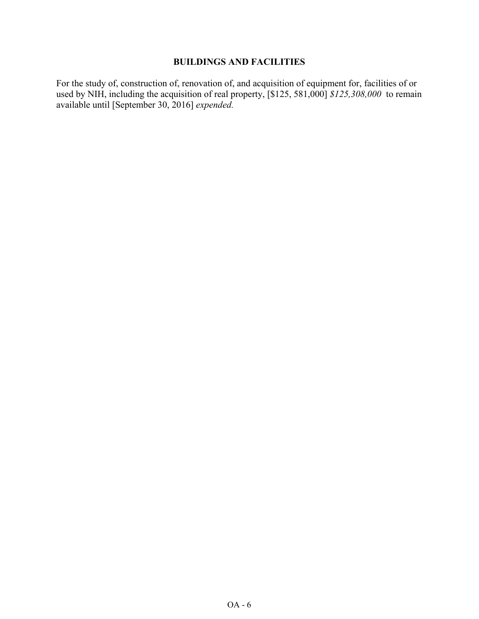## **BUILDINGS AND FACILITIES**

For the study of, construction of, renovation of, and acquisition of equipment for, facilities of or used by NIH, including the acquisition of real property, [\$125, 581,000] *\$125,308,000* to remain available until [September 30, 2016] *expended.*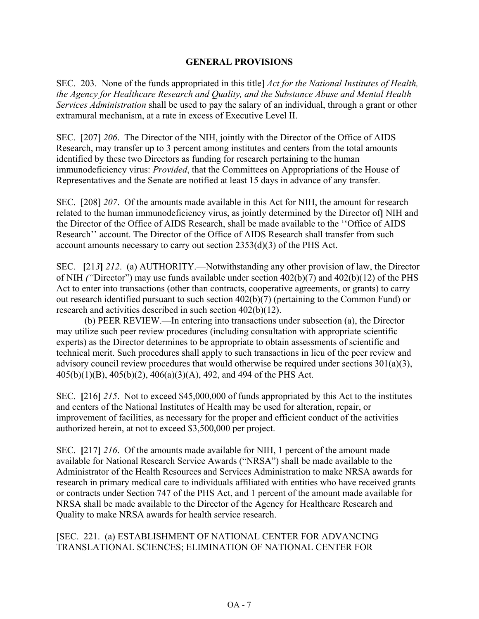## **GENERAL PROVISIONS**

SEC. 203. None of the funds appropriated in this title] *Act for the National Institutes of Health, the Agency for Healthcare Research and Quality, and the Substance Abuse and Mental Health Services Administration* shall be used to pay the salary of an individual, through a grant or other extramural mechanism, at a rate in excess of Executive Level II.

SEC. [207] *206*. The Director of the NIH, jointly with the Director of the Office of AIDS Research, may transfer up to 3 percent among institutes and centers from the total amounts identified by these two Directors as funding for research pertaining to the human immunodeficiency virus: *Provided*, that the Committees on Appropriations of the House of Representatives and the Senate are notified at least 15 days in advance of any transfer.

SEC. [208] *207*. Of the amounts made available in this Act for NIH, the amount for research related to the human immunodeficiency virus, as jointly determined by the Director of**]** NIH and the Director of the Office of AIDS Research, shall be made available to the ''Office of AIDS Research'' account. The Director of the Office of AIDS Research shall transfer from such account amounts necessary to carry out section 2353(d)(3) of the PHS Act.

SEC. **[**21*3***]** *212*. (a) AUTHORITY.—Notwithstanding any other provision of law, the Director of NIH *("*Director") may use funds available under section 402(b)(7) and 402(b)(12) of the PHS Act to enter into transactions (other than contracts, cooperative agreements, or grants) to carry out research identified pursuant to such section 402(b)(7) (pertaining to the Common Fund) or research and activities described in such section 402(b)(12).

(b) PEER REVIEW.—In entering into transactions under subsection (a), the Director may utilize such peer review procedures (including consultation with appropriate scientific experts) as the Director determines to be appropriate to obtain assessments of scientific and technical merit. Such procedures shall apply to such transactions in lieu of the peer review and advisory council review procedures that would otherwise be required under sections  $301(a)(3)$ , 405(b)(1)(B), 405(b)(2), 406(a)(3)(A), 492, and 494 of the PHS Act.

SEC. **[**216**]** *215*. Not to exceed \$45,000,000 of funds appropriated by this Act to the institutes and centers of the National Institutes of Health may be used for alteration, repair, or improvement of facilities, as necessary for the proper and efficient conduct of the activities authorized herein, at not to exceed \$3,500,000 per project.

SEC. **[**217**]** *216*. Of the amounts made available for NIH, 1 percent of the amount made available for National Research Service Awards ("NRSA") shall be made available to the Administrator of the Health Resources and Services Administration to make NRSA awards for research in primary medical care to individuals affiliated with entities who have received grants or contracts under Section 747 of the PHS Act, and 1 percent of the amount made available for NRSA shall be made available to the Director of the Agency for Healthcare Research and Quality to make NRSA awards for health service research.

## [SEC. 221. (a) ESTABLISHMENT OF NATIONAL CENTER FOR ADVANCING TRANSLATIONAL SCIENCES; ELIMINATION OF NATIONAL CENTER FOR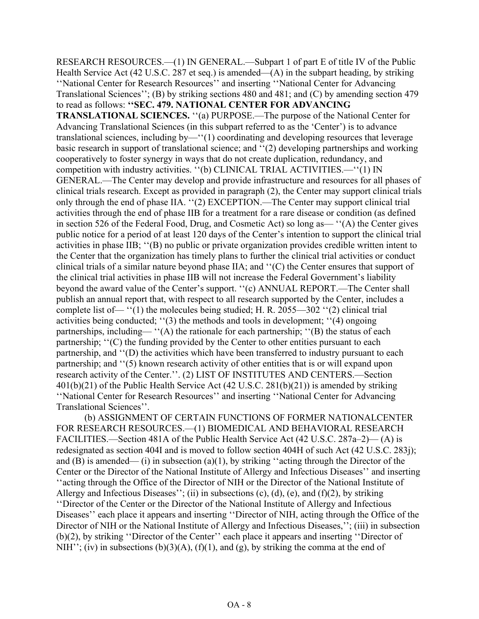RESEARCH RESOURCES.—(1) IN GENERAL.—Subpart 1 of part E of title IV of the Public Health Service Act (42 U.S.C. 287 et seq.) is amended— $(A)$  in the subpart heading, by striking ''National Center for Research Resources'' and inserting ''National Center for Advancing Translational Sciences''; (B) by striking sections 480 and 481; and (C) by amending section 479 to read as follows: **''SEC. 479. NATIONAL CENTER FOR ADVANCING TRANSLATIONAL SCIENCES.** ''(a) PURPOSE.—The purpose of the National Center for Advancing Translational Sciences (in this subpart referred to as the 'Center') is to advance translational sciences, including by—''(1) coordinating and developing resources that leverage basic research in support of translational science; and ''(2) developing partnerships and working cooperatively to foster synergy in ways that do not create duplication, redundancy, and competition with industry activities. ''(b) CLINICAL TRIAL ACTIVITIES.—''(1) IN GENERAL.—The Center may develop and provide infrastructure and resources for all phases of clinical trials research. Except as provided in paragraph (2), the Center may support clinical trials only through the end of phase IIA. ''(2) EXCEPTION.—The Center may support clinical trial activities through the end of phase IIB for a treatment for a rare disease or condition (as defined in section 526 of the Federal Food, Drug, and Cosmetic Act) so long as— ''(A) the Center gives public notice for a period of at least 120 days of the Center's intention to support the clinical trial activities in phase IIB; ''(B) no public or private organization provides credible written intent to the Center that the organization has timely plans to further the clinical trial activities or conduct clinical trials of a similar nature beyond phase IIA; and ''(C) the Center ensures that support of the clinical trial activities in phase IIB will not increase the Federal Government's liability beyond the award value of the Center's support. ''(c) ANNUAL REPORT.—The Center shall publish an annual report that, with respect to all research supported by the Center, includes a complete list of— ''(1) the molecules being studied; H. R. 2055—302 ''(2) clinical trial activities being conducted; ''(3) the methods and tools in development; ''(4) ongoing partnerships, including— ''(A) the rationale for each partnership; ''(B) the status of each partnership; "(C) the funding provided by the Center to other entities pursuant to each partnership, and ''(D) the activities which have been transferred to industry pursuant to each partnership; and ''(5) known research activity of other entities that is or will expand upon research activity of the Center.''. (2) LIST OF INSTITUTES AND CENTERS.—Section 401(b)(21) of the Public Health Service Act (42 U.S.C. 281(b)(21)) is amended by striking ''National Center for Research Resources'' and inserting ''National Center for Advancing Translational Sciences''.

(b) ASSIGNMENT OF CERTAIN FUNCTIONS OF FORMER NATIONALCENTER FOR RESEARCH RESOURCES.—(1) BIOMEDICAL AND BEHAVIORAL RESEARCH FACILITIES.—Section 481A of the Public Health Service Act (42 U.S.C. 287a–2)— (A) is redesignated as section 404I and is moved to follow section 404H of such Act (42 U.S.C. 283j); and (B) is amended— (i) in subsection (a)(1), by striking "acting through the Director of the Center or the Director of the National Institute of Allergy and Infectious Diseases'' and inserting ''acting through the Office of the Director of NIH or the Director of the National Institute of Allergy and Infectious Diseases''; (ii) in subsections (c), (d), (e), and (f)(2), by striking ''Director of the Center or the Director of the National Institute of Allergy and Infectious Diseases'' each place it appears and inserting "Director of NIH, acting through the Office of the Director of NIH or the National Institute of Allergy and Infectious Diseases,"; (iii) in subsection (b)(2), by striking ''Director of the Center'' each place it appears and inserting ''Director of NIH''; (iv) in subsections (b)(3)(A), (f)(1), and (g), by striking the comma at the end of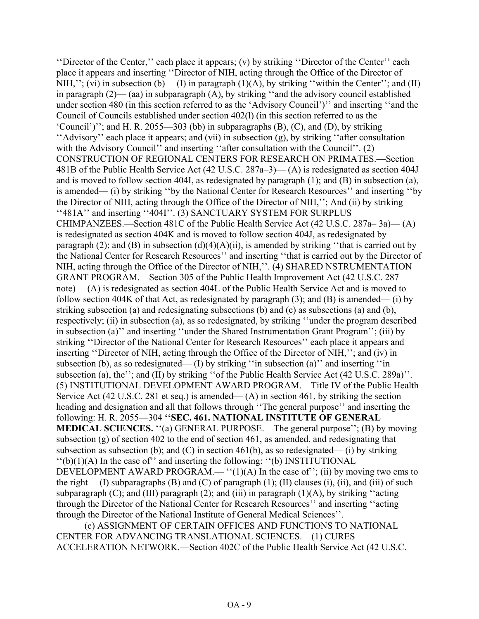''Director of the Center,'' each place it appears; (v) by striking ''Director of the Center'' each place it appears and inserting ''Director of NIH, acting through the Office of the Director of NIH,"; (vi) in subsection (b)—(I) in paragraph  $(1)(A)$ , by striking "within the Center"; and (II) in paragraph (2)— (aa) in subparagraph (A), by striking ''and the advisory council established under section 480 (in this section referred to as the 'Advisory Council')'' and inserting ''and the Council of Councils established under section 402(l) (in this section referred to as the 'Council')''; and H. R. 2055—303 (bb) in subparagraphs (B), (C), and (D), by striking ''Advisory'' each place it appears; and (vii) in subsection (g), by striking ''after consultation with the Advisory Council'' and inserting "after consultation with the Council''. (2) CONSTRUCTION OF REGIONAL CENTERS FOR RESEARCH ON PRIMATES.—Section 481B of the Public Health Service Act (42 U.S.C. 287a–3)— (A) is redesignated as section 404J and is moved to follow section 404I, as redesignated by paragraph (1); and (B) in subsection (a), is amended— (i) by striking ''by the National Center for Research Resources'' and inserting ''by the Director of NIH, acting through the Office of the Director of NIH,''; And (ii) by striking ''481A'' and inserting ''404I''. (3) SANCTUARY SYSTEM FOR SURPLUS CHIMPANZEES.—Section 481C of the Public Health Service Act (42 U.S.C. 287a– 3a)— (A) is redesignated as section 404K and is moved to follow section 404J, as redesignated by paragraph (2); and (B) in subsection  $(d)(4)(A)(ii)$ , is amended by striking "that is carried out by the National Center for Research Resources'' and inserting ''that is carried out by the Director of NIH, acting through the Office of the Director of NIH,''. (4) SHARED NSTRUMENTATION GRANT PROGRAM.—Section 305 of the Public Health Improvement Act (42 U.S.C. 287 note)— (A) is redesignated as section 404L of the Public Health Service Act and is moved to follow section 404K of that Act, as redesignated by paragraph  $(3)$ ; and  $(B)$  is amended— $(i)$  by striking subsection (a) and redesignating subsections (b) and (c) as subsections (a) and (b), respectively; (ii) in subsection (a), as so redesignated, by striking ''under the program described in subsection (a)'' and inserting ''under the Shared Instrumentation Grant Program''; (iii) by striking ''Director of the National Center for Research Resources'' each place it appears and inserting ''Director of NIH, acting through the Office of the Director of NIH,''; and (iv) in subsection (b), as so redesignated— (I) by striking "in subsection (a)" and inserting "in subsection (a), the"; and (II) by striking "of the Public Health Service Act (42 U.S.C. 289a)". (5) INSTITUTIONAL DEVELOPMENT AWARD PROGRAM.—Title IV of the Public Health Service Act (42 U.S.C. 281 et seq.) is amended— (A) in section 461, by striking the section heading and designation and all that follows through ''The general purpose'' and inserting the following: H. R. 2055—304 **''SEC. 461. NATIONAL INSTITUTE OF GENERAL MEDICAL SCIENCES.** "(a) GENERAL PURPOSE.—The general purpose"; (B) by moving subsection (g) of section 402 to the end of section 461, as amended, and redesignating that subsection as subsection (b); and (C) in section 461(b), as so redesignated— (i) by striking  $\lq\lq(b)(1)(A)$  In the case of" and inserting the following:  $\lq\lq(b)$  INSTITUTIONAL DEVELOPMENT AWARD PROGRAM.— " $(1)(A)$  In the case of"; (ii) by moving two ems to the right— (I) subparagraphs (B) and (C) of paragraph (1); (II) clauses (i), (ii), and (iii) of such subparagraph  $(C)$ ; and  $(III)$  paragraph  $(2)$ ; and  $(iii)$  in paragraph  $(1)(A)$ , by striking "acting through the Director of the National Center for Research Resources'' and inserting ''acting through the Director of the National Institute of General Medical Sciences''.

(c) ASSIGNMENT OF CERTAIN OFFICES AND FUNCTIONS TO NATIONAL CENTER FOR ADVANCING TRANSLATIONAL SCIENCES.—(1) CURES ACCELERATION NETWORK.—Section 402C of the Public Health Service Act (42 U.S.C.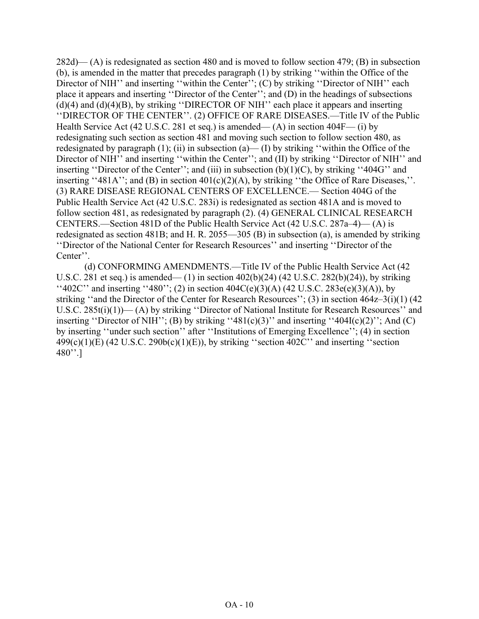282d)— (A) is redesignated as section 480 and is moved to follow section 479; (B) in subsection (b), is amended in the matter that precedes paragraph (1) by striking ''within the Office of the Director of NIH<sup>"</sup> and inserting "within the Center"; (C) by striking "Director of NIH" each place it appears and inserting ''Director of the Center''; and (D) in the headings of subsections  $(d)(4)$  and  $(d)(4)(B)$ , by striking "DIRECTOR OF NIH" each place it appears and inserting ''DIRECTOR OF THE CENTER''. (2) OFFICE OF RARE DISEASES.—Title IV of the Public Health Service Act (42 U.S.C. 281 et seq.) is amended— (A) in section 404F— (i) by redesignating such section as section 481 and moving such section to follow section 480, as redesignated by paragraph  $(1)$ ;  $(ii)$  in subsection  $(a)$ — $(I)$  by striking "within the Office of the Director of NIH<sup>"</sup> and inserting "within the Center"; and (II) by striking "Director of NIH" and inserting "Director of the Center"; and (iii) in subsection  $(b)(1)(C)$ , by striking "404G" and inserting "481A"; and (B) in section  $401(c)(2)(A)$ , by striking "the Office of Rare Diseases,". (3) RARE DISEASE REGIONAL CENTERS OF EXCELLENCE.— Section 404G of the Public Health Service Act (42 U.S.C. 283i) is redesignated as section 481A and is moved to follow section 481, as redesignated by paragraph (2). (4) GENERAL CLINICAL RESEARCH CENTERS.—Section 481D of the Public Health Service Act (42 U.S.C. 287a–4)— (A) is redesignated as section 481B; and H. R. 2055—305 (B) in subsection (a), is amended by striking ''Director of the National Center for Research Resources'' and inserting ''Director of the Center''.

(d) CONFORMING AMENDMENTS.—Title IV of the Public Health Service Act (42 U.S.C. 281 et seq.) is amended— (1) in section 402(b)(24) (42 U.S.C. 282(b)(24)), by striking  $\lq$ ''402C'' and inserting ''480''; (2) in section 404C(e)(3)(A) (42 U.S.C. 283e(e)(3)(A)), by striking ''and the Director of the Center for Research Resources''; (3) in section 464z–3(i)(1) (42 U.S.C. 285t(i)(1))— (A) by striking ''Director of National Institute for Research Resources'' and inserting "Director of NIH"; (B) by striking "481(c)(3)" and inserting "404I(c)(2)"; And (C) by inserting ''under such section'' after ''Institutions of Emerging Excellence''; (4) in section  $499(c)(1)(E)$  (42 U.S.C. 290b(c)(1)(E)), by striking "section 402C" and inserting "section  $480'$ '.]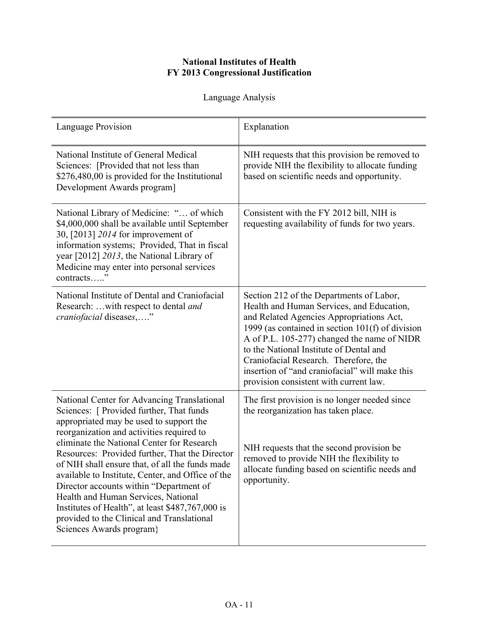## **National Institutes of Health FY 2013 Congressional Justification**

Language Analysis

| Language Provision                                                                                                                                                                                                                                                                                                                                                                                                                                                                                                                                                                                      | Explanation                                                                                                                                                                                                                                                                                                                                                                                                          |
|---------------------------------------------------------------------------------------------------------------------------------------------------------------------------------------------------------------------------------------------------------------------------------------------------------------------------------------------------------------------------------------------------------------------------------------------------------------------------------------------------------------------------------------------------------------------------------------------------------|----------------------------------------------------------------------------------------------------------------------------------------------------------------------------------------------------------------------------------------------------------------------------------------------------------------------------------------------------------------------------------------------------------------------|
| National Institute of General Medical<br>Sciences: [Provided that not less than<br>\$276,480,00 is provided for the Institutional<br>Development Awards program]                                                                                                                                                                                                                                                                                                                                                                                                                                        | NIH requests that this provision be removed to<br>provide NIH the flexibility to allocate funding<br>based on scientific needs and opportunity.                                                                                                                                                                                                                                                                      |
| National Library of Medicine: " of which<br>\$4,000,000 shall be available until September<br>30, [2013] 2014 for improvement of<br>information systems; Provided, That in fiscal<br>year [2012] 2013, the National Library of<br>Medicine may enter into personal services<br>contracts"                                                                                                                                                                                                                                                                                                               | Consistent with the FY 2012 bill, NIH is<br>requesting availability of funds for two years.                                                                                                                                                                                                                                                                                                                          |
| National Institute of Dental and Craniofacial<br>Research:  with respect to dental and<br><i>craniofacial</i> diseases,"                                                                                                                                                                                                                                                                                                                                                                                                                                                                                | Section 212 of the Departments of Labor,<br>Health and Human Services, and Education,<br>and Related Agencies Appropriations Act,<br>1999 (as contained in section 101(f) of division<br>A of P.L. 105-277) changed the name of NIDR<br>to the National Institute of Dental and<br>Craniofacial Research. Therefore, the<br>insertion of "and craniofacial" will make this<br>provision consistent with current law. |
| National Center for Advancing Translational<br>Sciences: [ Provided further, That funds<br>appropriated may be used to support the<br>reorganization and activities required to<br>eliminate the National Center for Research<br>Resources: Provided further, That the Director<br>of NIH shall ensure that, of all the funds made<br>available to Institute, Center, and Office of the<br>Director accounts within "Department of<br>Health and Human Services, National<br>Institutes of Health", at least \$487,767,000 is<br>provided to the Clinical and Translational<br>Sciences Awards program} | The first provision is no longer needed since<br>the reorganization has taken place.<br>NIH requests that the second provision be<br>removed to provide NIH the flexibility to<br>allocate funding based on scientific needs and<br>opportunity.                                                                                                                                                                     |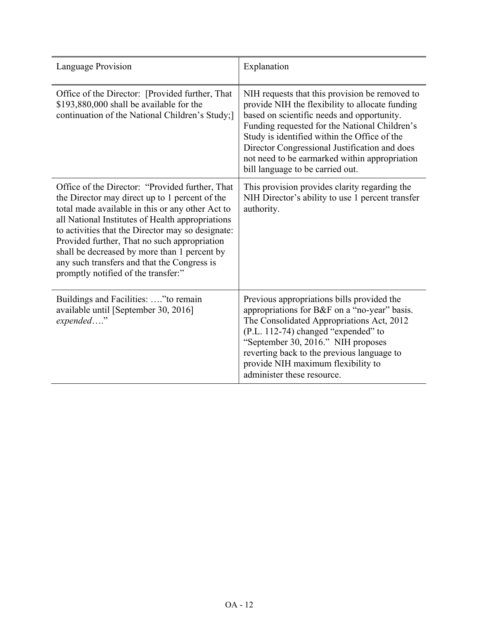| <b>Language Provision</b>                                                                                                                                                                                                                                                                                                                                                                                                                            | Explanation                                                                                                                                                                                                                                                                                                                                                                            |
|------------------------------------------------------------------------------------------------------------------------------------------------------------------------------------------------------------------------------------------------------------------------------------------------------------------------------------------------------------------------------------------------------------------------------------------------------|----------------------------------------------------------------------------------------------------------------------------------------------------------------------------------------------------------------------------------------------------------------------------------------------------------------------------------------------------------------------------------------|
| Office of the Director: [Provided further, That<br>\$193,880,000 shall be available for the<br>continuation of the National Children's Study;]                                                                                                                                                                                                                                                                                                       | NIH requests that this provision be removed to<br>provide NIH the flexibility to allocate funding<br>based on scientific needs and opportunity.<br>Funding requested for the National Children's<br>Study is identified within the Office of the<br>Director Congressional Justification and does<br>not need to be earmarked within appropriation<br>bill language to be carried out. |
| Office of the Director: "Provided further, That<br>the Director may direct up to 1 percent of the<br>total made available in this or any other Act to<br>all National Institutes of Health appropriations<br>to activities that the Director may so designate:<br>Provided further, That no such appropriation<br>shall be decreased by more than 1 percent by<br>any such transfers and that the Congress is<br>promptly notified of the transfer:" | This provision provides clarity regarding the<br>NIH Director's ability to use 1 percent transfer<br>authority.                                                                                                                                                                                                                                                                        |
| Buildings and Facilities: " to remain<br>available until [September 30, 2016]<br>expended"                                                                                                                                                                                                                                                                                                                                                           | Previous appropriations bills provided the<br>appropriations for B&F on a "no-year" basis.<br>The Consolidated Appropriations Act, 2012<br>(P.L. 112-74) changed "expended" to<br>"September 30, 2016." NIH proposes<br>reverting back to the previous language to<br>provide NIH maximum flexibility to<br>administer these resource.                                                 |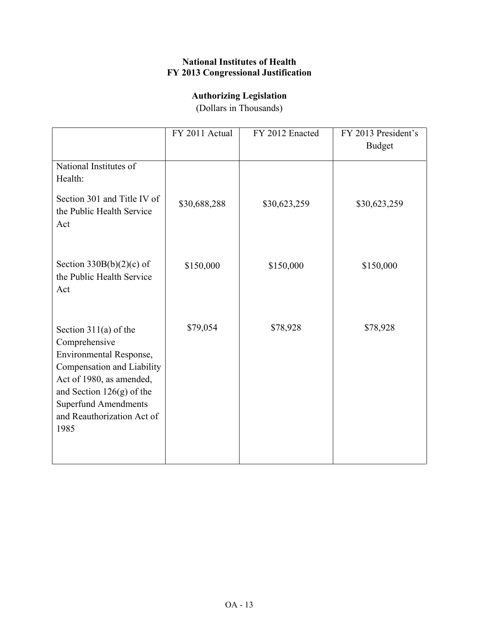## **National Institutes of Health FY 2013 Congressional Justification**

# **Authorizing Legislation**

(Dollars in Thousands)

|                                                                                                                                                                                                                                   | FY 2011 Actual | FY 2012 Enacted | FY 2013 President's<br><b>Budget</b> |
|-----------------------------------------------------------------------------------------------------------------------------------------------------------------------------------------------------------------------------------|----------------|-----------------|--------------------------------------|
| National Institutes of<br>Health:                                                                                                                                                                                                 |                |                 |                                      |
| Section 301 and Title IV of<br>the Public Health Service<br>Act                                                                                                                                                                   | \$30,688,288   | \$30,623,259    | \$30,623,259                         |
| Section $330B(b)(2)(c)$ of<br>the Public Health Service<br>Act                                                                                                                                                                    | \$150,000      | \$150,000       | \$150,000                            |
| Section $311(a)$ of the<br>Comprehensive<br>Environmental Response,<br>Compensation and Liability<br>Act of 1980, as amended,<br>and Section $126(g)$ of the<br><b>Superfund Amendments</b><br>and Reauthorization Act of<br>1985 | \$79,054       | \$78,928        | \$78,928                             |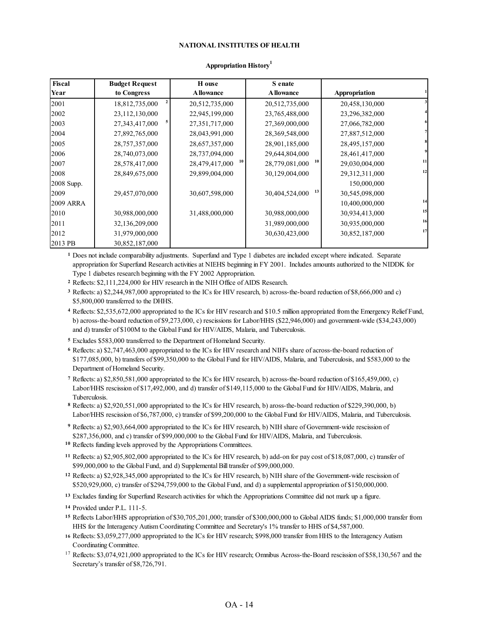#### **NATIONAL INSTITUTES OF HEALTH**

| Fiscal           | <b>Budget Request</b> | H ouse               | S enate              |                |    |
|------------------|-----------------------|----------------------|----------------------|----------------|----|
| Year             | to Congress           | <b>A</b> llowance    | <b>Allowance</b>     | Appropriation  |    |
| 2001             | 18,812,735,000        | 20,512,735,000       | 20,512,735,000       | 20,458,130,000 |    |
| 2002             | 23,112,130,000        | 22,945,199,000       | 23,765,488,000       | 23,296,382,000 |    |
| 2003             | 27,343,417,000        | 27,351,717,000       | 27,369,000,000       | 27,066,782,000 |    |
| 2004             | 27,892,765,000        | 28,043,991,000       | 28,369,548,000       | 27,887,512,000 |    |
| 2005             | 28,757,357,000        | 28,657,357,000       | 28,901,185,000       | 28,495,157,000 |    |
| 2006             | 28,740,073,000        | 28,737,094,000       | 29,644,804,000       | 28,461,417,000 | 9  |
| 2007             | 28,578,417,000        | 10<br>28,479,417,000 | 10<br>28,779,081,000 | 29,030,004,000 | 11 |
| 2008             | 28,849,675,000        | 29,899,004,000       | 30,129,004,000       | 29,312,311,000 | 12 |
| 2008 Supp.       |                       |                      |                      | 150,000,000    |    |
| 2009             | 29,457,070,000        | 30,607,598,000       | 13<br>30,404,524,000 | 30,545,098,000 |    |
| <b>2009 ARRA</b> |                       |                      |                      | 10,400,000,000 | 14 |
| 2010             | 30,988,000,000        | 31,488,000,000       | 30,988,000,000       | 30,934,413,000 | 15 |
| 2011             | 32,136,209,000        |                      | 31,989,000,000       | 30,935,000,000 | 16 |
| 2012             | 31,979,000,000        |                      | 30,630,423,000       | 30,852,187,000 | 17 |
| 2013 PB          | 30,852,187,000        |                      |                      |                |    |

#### **Appropriation History<sup>1</sup>**

**1** Does not include comparability adjustments. Superfund and Type 1 diabetes are included except where indicated. Separate appropriation for Superfund Research activities at NIEHS beginning in FY 2001. Includes amounts authorized to the NIDDK for Type 1 diabetes research beginning with the FY 2002 Appropriation.

**2** Reflects: \$2,111,224,000 for HIV research in the NIH Office of AIDS Research.

**3** Reflects: a) \$2,244,987,000 appropriated to the ICs for HIV research, b) across-the-board reduction of \$8,666,000 and c) \$5,800,000 transferred to the DHHS.

**4** Reflects: \$2,535,672,000 appropriated to the ICs for HIV research and \$10.5 million appropriated from the Emergency Relief Fund, b) across-the-board reduction of \$9,273,000, c) rescissions for Labor/HHS (\$22,946,000) and government-wide (\$34,243,000) and d) transfer of \$100M to the Global Fund for HIV/AIDS, Malaria, and Tuberculosis.

**5** Excludes \$583,000 transferred to the Department of Homeland Security.

**6** Reflects: a) \$2,747,463,000 appropriated to the ICs for HIV research and NIH's share of across-the-board reduction of \$177,085,000, b) transfers of \$99,350,000 to the Global Fund for HIV/AIDS, Malaria, and Tuberculosis, and \$583,000 to the Department of Homeland Security.

**7** Reflects: a) \$2,850,581,000 appropriated to the ICs for HIV research, b) across-the-board reduction of \$165,459,000, c) Labor/HHS rescission of \$17,492,000, and d) transfer of \$149,115,000 to the Global Fund for HIV/AIDS, Malaria, and Tuberculosis.

**8** Reflects: a) \$2,920,551,000 appropriated to the ICs for HIV research, b) aross-the-board reduction of \$229,390,000, b) Labor/HHS rescission of \$6,787,000, c) transfer of \$99,200,000 to the Global Fund for HIV/AIDS, Malaria, and Tuberculosis.

**9** Reflects: a) \$2,903,664,000 appropriated to the ICs for HIV research, b) NIH share of Government-wide rescission of \$287,356,000, and c) transfer of \$99,000,000 to the Global Fund for HIV/AIDS, Malaria, and Tuberculosis.

**10** Reflects funding levels approved by the Appropriations Committees.

**11** Reflects: a) \$2,905,802,000 appropriated to the ICs for HIV research, b) add-on for pay cost of \$18,087,000, c) transfer of \$99,000,000 to the Global Fund, and d) Supplemental Bill transfer of \$99,000,000.

**12** Reflects: a) \$2,928,345,000 appropriated to the ICs for HIV research, b) NIH share of the Government-wide rescission of \$520,929,000, c) transfer of \$294,759,000 to the Global Fund, and d) a supplemental appropriation of \$150,000,000.

**13** Excludes funding for Superfund Research activities for which the Appropriations Committee did not mark up a figure.

**14** Provided under P.L. 111-5.

**15** Reflects Labor/HHS appropriation of \$30,705,201,000; transfer of \$300,000,000 to Global AIDS funds; \$1,000,000 transfer from HHS for the Interagency Autism Coordinating Committee and Secretary's 1% transfer to HHS of \$4,587,000.

**16** Reflects: \$3,059,277,000 appropriated to the ICs for HIV research; \$998,000 transfer from HHS to the Interagency Autism Coordinating Committee.

<sup>17</sup> Reflects: \$3,074,921,000 appropriated to the ICs for HIV research; Omnibus Across-the-Board rescission of \$58,130,567 and the Secretary's transfer of \$8,726,791.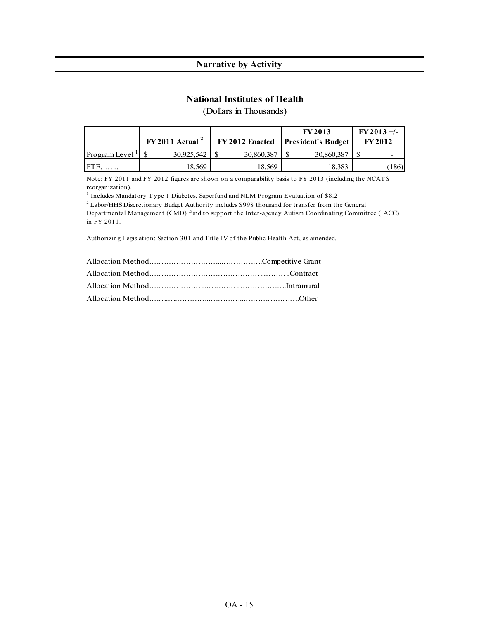#### **Narrative by Activity**

#### **National Institutes of Health**

(Dollars in Thousands)

|                             |                              |                 | <b>FY2013</b>             | $FY2013 +/-$   |
|-----------------------------|------------------------------|-----------------|---------------------------|----------------|
|                             | $FY2011$ Actual <sup>2</sup> | FY 2012 Enacted | <b>President's Budget</b> | <b>FY 2012</b> |
| Program Level $\frac{1}{2}$ | 30,925,542                   | 30,860,387      | 30,860,387                |                |
| <b>IFTE</b>                 | 18.569                       | 18.569          | 18,383                    | 186)           |

Note: FY 2011 and FY 2012 figures are shown on a comparability basis to FY 2013 (including the NCATS reorganization).

<sup>1</sup> Includes Mandatory Type 1 Diabetes, Superfund and NLM Program Evaluation of \$8.2

2 Labor/HHS Discretionary Budget Authority includes \$998 thousand for transfer from the General Departmental Management (GMD) fund to support the Inter-agency Autism Coordinating Committee (IACC)

in FY 2011.

Authorizing Legislation: Section 301 and Title IV of the Public Health Act, as amended.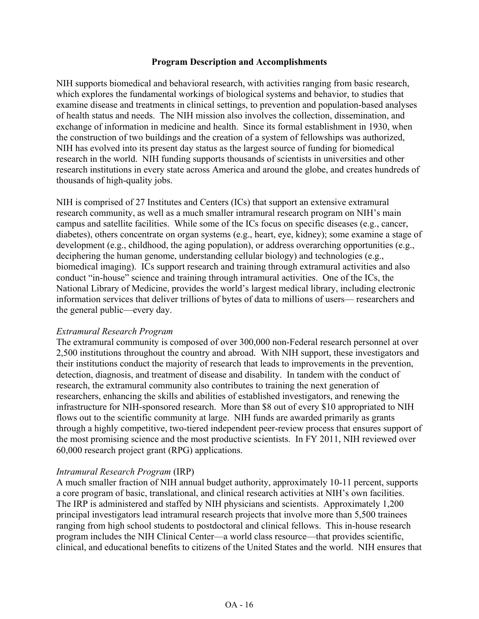#### **Program Description and Accomplishments**

NIH supports biomedical and behavioral research, with activities ranging from basic research, which explores the fundamental workings of biological systems and behavior, to studies that examine disease and treatments in clinical settings, to prevention and population-based analyses of health status and needs. The NIH mission also involves the collection, dissemination, and exchange of information in medicine and health. Since its formal establishment in 1930, when the construction of two buildings and the creation of a system of fellowships was authorized, NIH has evolved into its present day status as the largest source of funding for biomedical research in the world. NIH funding supports thousands of scientists in universities and other research institutions in every state across America and around the globe, and creates hundreds of thousands of high-quality jobs.

NIH is comprised of [27 Institutes and Centers](http://www.nih.gov/icd/) (ICs) that support an extensive extramural research community, as well as a much smaller intramural research program on NIH's main campus and satellite facilities. While some of the ICs focus on specific diseases (e.g., cancer, diabetes), others concentrate on organ systems (e.g., heart, eye, kidney); some examine a stage of development (e.g., childhood, the aging population), or address overarching opportunities (e.g., deciphering the human genome, understanding cellular biology) and technologies (e.g., biomedical imaging). ICs support research and training through extramural activities and also conduct "in-house" science and training through intramural activities. One of the ICs, the National Library of Medicine, provides the world's largest medical library, including electronic information services that deliver trillions of bytes of data to millions of users— researchers and the general public—every day.

#### *Extramural Research Program*

The extramural community is composed of over 300,000 non-Federal research personnel at over 2,500 institutions throughout the country and abroad. With NIH support, these investigators and their institutions conduct the majority of research that leads to improvements in the prevention, detection, diagnosis, and treatment of disease and disability. In tandem with the conduct of research, the extramural community also contributes to training the next generation of researchers, enhancing the skills and abilities of established investigators, and renewing the infrastructure for NIH-sponsored research. More than \$8 out of every \$10 appropriated to NIH flows out to the scientific community at large. NIH funds are awarded primarily as grants through a highly competitive, two-tiered independent peer-review process that ensures support of the most promising science and the most productive scientists. In FY 2011, NIH reviewed over 60,000 research project grant (RPG) applications.

#### *Intramural Research Program* (IRP)

A much smaller fraction of NIH annual budget authority, approximately 10-11 percent, supports a core program of basic, translational, and clinical research activities at NIH's own facilities. The IRP is administered and staffed by NIH physicians and scientists. Approximately 1,200 principal investigators lead intramural research projects that involve more than 5,500 trainees ranging from high school students to postdoctoral and clinical fellows. This in-house research program includes the NIH Clinical Center—a world class resource—that provides scientific, clinical, and educational benefits to citizens of the United States and the world. NIH ensures that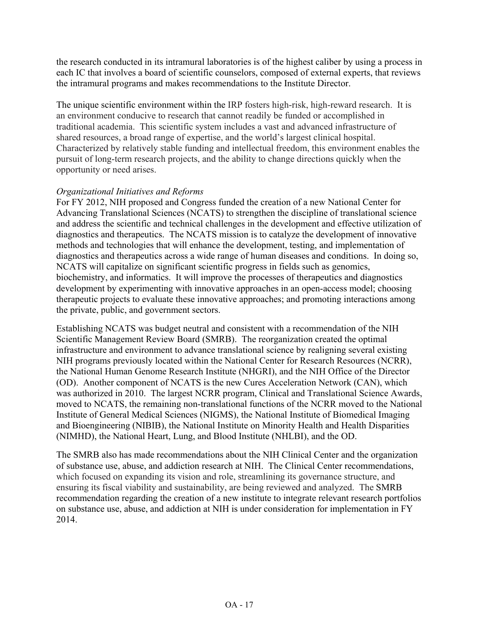the research conducted in its intramural laboratories is of the highest caliber by using a process in each IC that involves a board of scientific counselors, composed of external experts, that reviews the intramural programs and makes recommendations to the Institute Director.

The unique scientific environment within the IRP fosters high-risk, high-reward research. It is an environment conducive to research that cannot readily be funded or accomplished in traditional academia. This scientific system includes a vast and advanced infrastructure of shared resources, a broad range of expertise, and the world's largest clinical hospital. Characterized by relatively stable funding and intellectual freedom, this environment enables the pursuit of long-term research projects, and the ability to change directions quickly when the opportunity or need arises.

## *Organizational Initiatives and Reforms*

For FY 2012, NIH proposed and Congress funded the creation of a new National Center for Advancing Translational Sciences (NCATS) to strengthen the discipline of translational science and address the scientific and technical challenges in the development and effective utilization of diagnostics and therapeutics. The NCATS mission is to catalyze the development of innovative methods and technologies that will enhance the development, testing, and implementation of diagnostics and therapeutics across a wide range of human diseases and conditions. In doing so, NCATS will capitalize on significant scientific progress in fields such as genomics, biochemistry, and informatics. It will improve the processes of therapeutics and diagnostics development by experimenting with innovative approaches in an open-access model; choosing therapeutic projects to evaluate these innovative approaches; and promoting interactions among the private, public, and government sectors.

Establishing NCATS was budget neutral and consistent with a recommendation of the NIH Scientific Management Review Board (SMRB). The reorganization created the optimal infrastructure and environment to advance translational science by realigning several existing NIH programs previously located within the National Center for Research Resources (NCRR), the National Human Genome Research Institute (NHGRI), and the NIH Office of the Director (OD). Another component of NCATS is the new Cures Acceleration Network (CAN), which was authorized in 2010. The largest NCRR program, Clinical and Translational Science Awards, moved to NCATS, the remaining non-translational functions of the NCRR moved to the National Institute of General Medical Sciences (NIGMS), the National Institute of Biomedical Imaging and Bioengineering (NIBIB), the National Institute on Minority Health and Health Disparities (NIMHD), the National Heart, Lung, and Blood Institute (NHLBI), and the OD.

The SMRB also has made recommendations about the NIH Clinical Center and the organization of substance use, abuse, and addiction research at NIH. The Clinical Center recommendations, which focused on expanding its vision and role, streamlining its governance structure, and ensuring its fiscal viability and sustainability, are being reviewed and analyzed. The SMRB recommendation regarding the creation of a new institute to integrate relevant research portfolios on substance use, abuse, and addiction at NIH is under consideration for implementation in FY 2014.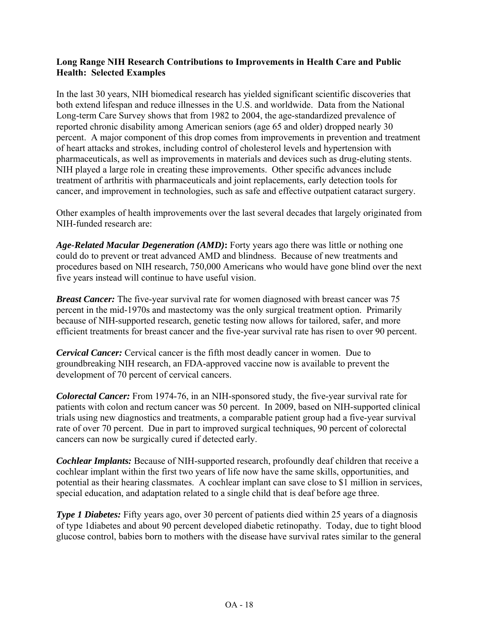## **Long Range NIH Research Contributions to Improvements in Health Care and Public Health: Selected Examples**

In the last 30 years, NIH biomedical research has yielded significant scientific discoveries that both extend lifespan and reduce illnesses in the U.S. and worldwide. Data from the National Long-term Care Survey shows that from 1982 to 2004, the age-standardized prevalence of reported chronic disability among American seniors (age 65 and older) dropped nearly 30 percent. A major component of this drop comes from improvements in prevention and treatment of heart attacks and strokes, including control of cholesterol levels and hypertension with pharmaceuticals, as well as improvements in materials and devices such as drug-eluting stents. NIH played a large role in creating these improvements. Other specific advances include treatment of arthritis with pharmaceuticals and joint replacements, early detection tools for cancer, and improvement in technologies, such as safe and effective outpatient cataract surgery.

Other examples of health improvements over the last several decades that largely originated from NIH-funded research are:

*Age-Related Macular Degeneration (AMD)***:** Forty years ago there was little or nothing one could do to prevent or treat advanced AMD and blindness. Because of new treatments and procedures based on NIH research, 750,000 Americans who would have gone blind over the next five years instead will continue to have useful vision.

*Breast Cancer:* The five-year survival rate for women diagnosed with breast cancer was 75 percent in the mid-1970s and mastectomy was the only surgical treatment option. Primarily because of NIH-supported research, genetic testing now allows for tailored, safer, and more efficient treatments for breast cancer and the five-year survival rate has risen to over 90 percent.

*Cervical Cancer:* Cervical cancer is the fifth most deadly cancer in women. Due to groundbreaking NIH research, an FDA-approved vaccine now is available to prevent the development of 70 percent of cervical cancers.

*Colorectal Cancer:* From 1974-76, in an NIH-sponsored study, the five-year survival rate for patients with colon and rectum cancer was 50 percent. In 2009, based on NIH-supported clinical trials using new diagnostics and treatments, a comparable patient group had a five-year survival rate of over 70 percent. Due in part to improved surgical techniques, 90 percent of colorectal cancers can now be surgically cured if detected early.

*Cochlear Implants:* Because of NIH-supported research, profoundly deaf children that receive a cochlear implant within the first two years of life now have the same skills, opportunities, and potential as their hearing classmates. A cochlear implant can save close to \$1 million in services, special education, and adaptation related to a single child that is deaf before age three.

*Type 1 Diabetes:* Fifty years ago, over 30 percent of patients died within 25 years of a diagnosis of type 1diabetes and about 90 percent developed diabetic retinopathy. Today, due to tight blood glucose control, babies born to mothers with the disease have survival rates similar to the general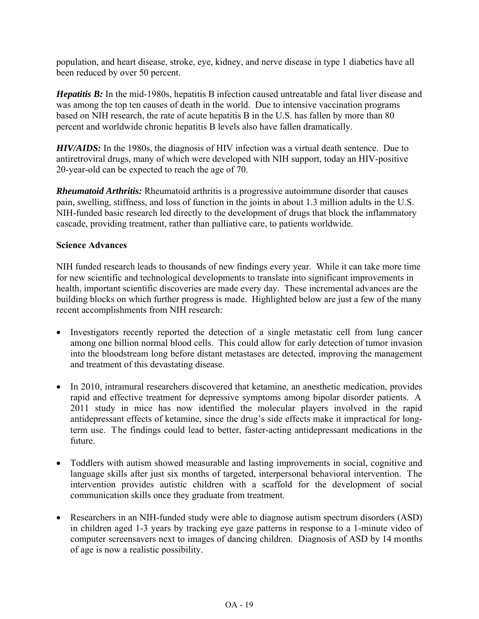population, and heart disease, stroke, eye, kidney, and nerve disease in type 1 diabetics have all been reduced by over 50 percent.

*Hepatitis B:* In the mid-1980s, hepatitis B infection caused untreatable and fatal liver disease and was among the top ten causes of death in the world. Due to intensive vaccination programs based on NIH research, the rate of acute hepatitis B in the U.S. has fallen by more than 80 percent and worldwide chronic hepatitis B levels also have fallen dramatically.

*HIV/AIDS:* In the 1980s, the diagnosis of HIV infection was a virtual death sentence. Due to antiretroviral drugs, many of which were developed with NIH support, today an HIV-positive 20-year-old can be expected to reach the age of 70.

*Rheumatoid Arthritis:* Rheumatoid arthritis is a progressive autoimmune disorder that causes pain, swelling, stiffness, and loss of function in the joints in about 1.3 million adults in the U.S. NIH-funded basic research led directly to the development of drugs that block the inflammatory cascade, providing treatment, rather than palliative care, to patients worldwide.

## **Science Advances**

NIH funded research leads to thousands of new findings every year. While it can take more time for new scientific and technological developments to translate into significant improvements in health, important scientific discoveries are made every day. These incremental advances are the building blocks on which further progress is made. Highlighted below are just a few of the many recent accomplishments from NIH research:

- Investigators recently reported the detection of a single metastatic cell from lung cancer among one billion normal blood cells. This could allow for early detection of tumor invasion into the bloodstream long before distant metastases are detected, improving the management and treatment of this devastating disease.
- In 2010, intramural researchers discovered that ketamine, an anesthetic medication, provides rapid and effective treatment for depressive symptoms among bipolar disorder patients. A 2011 study in mice has now identified the molecular players involved in the rapid antidepressant effects of ketamine, since the drug's side effects make it impractical for longterm use. The findings could lead to better, faster-acting antidepressant medications in the future.
- Toddlers with autism showed measurable and lasting improvements in social, cognitive and language skills after just six months of targeted, interpersonal behavioral intervention. The intervention provides autistic children with a scaffold for the development of social communication skills once they graduate from treatment.
- Researchers in an NIH-funded study were able to diagnose autism spectrum disorders (ASD) in children aged 1-3 years by tracking eye gaze patterns in response to a 1-minute video of computer screensavers next to images of dancing children. Diagnosis of ASD by 14 months of age is now a realistic possibility.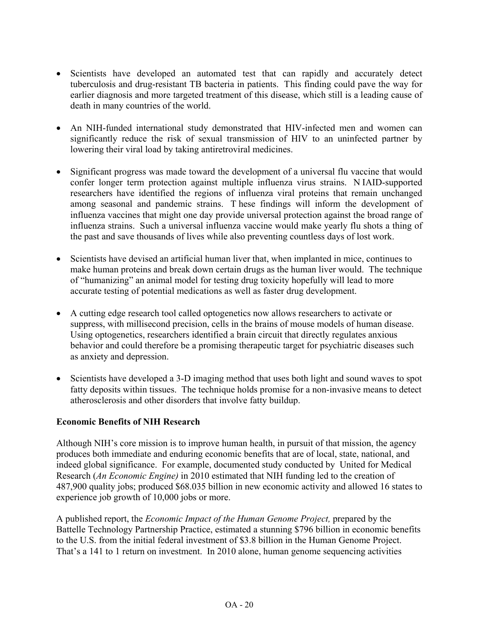- Scientists have developed an automated test that can rapidly and accurately detect tuberculosis and drug-resistant TB bacteria in patients. This finding could pave the way for earlier diagnosis and more targeted treatment of this disease, which still is a leading cause of death in many countries of the world.
- An NIH-funded international study demonstrated that HIV-infected men and women can significantly reduce the risk of sexual transmission of HIV to an uninfected partner by lowering their viral load by taking antiretroviral medicines.
- Significant progress was made toward the development of a universal flu vaccine that would confer longer term protection against multiple influenza virus strains. N IAID-supported researchers have identified the regions of influenza viral proteins that remain unchanged among seasonal and pandemic strains. T hese findings will inform the development of influenza vaccines that might one day provide universal protection against the broad range of influenza strains. Such a universal influenza vaccine would make yearly flu shots a thing of the past and save thousands of lives while also preventing countless days of lost work.
- Scientists have devised an artificial human liver that, when implanted in mice, continues to make human proteins and break down certain drugs as the human liver would. The technique of "humanizing" an animal model for testing drug toxicity hopefully will lead to more accurate testing of potential medications as well as faster drug development.
- A cutting edge research tool called optogenetics now allows researchers to activate or suppress, with millisecond precision, cells in the brains of mouse models of human disease. Using optogenetics, researchers identified a brain circuit that directly regulates anxious behavior and could therefore be a promising therapeutic target for psychiatric diseases such as anxiety and depression.
- Scientists have developed a 3-D imaging method that uses both light and sound waves to spot fatty deposits within tissues. The technique holds promise for a non-invasive means to detect atherosclerosis and other disorders that involve fatty buildup.

## **Economic Benefits of NIH Research**

Although NIH's core mission is to improve human health, in pursuit of that mission, the agency produces both immediate and enduring economic benefits that are of local, state, national, and indeed global significance. For example, documented study conducted by United for Medical Research (*An Economic Engine)* in 2010 estimated that NIH funding led to the creation of 487,900 quality jobs; produced \$68.035 billion in new economic activity and allowed 16 states to experience job growth of 10,000 jobs or more.

A published report, the *Economic Impact of the Human Genome Project,* prepared by the Battelle Technology Partnership Practice, estimated a stunning \$796 billion in economic benefits to the U.S. from the initial federal investment of \$3.8 billion in the Human Genome Project. That's a 141 to 1 return on investment. In 2010 alone, human genome sequencing activities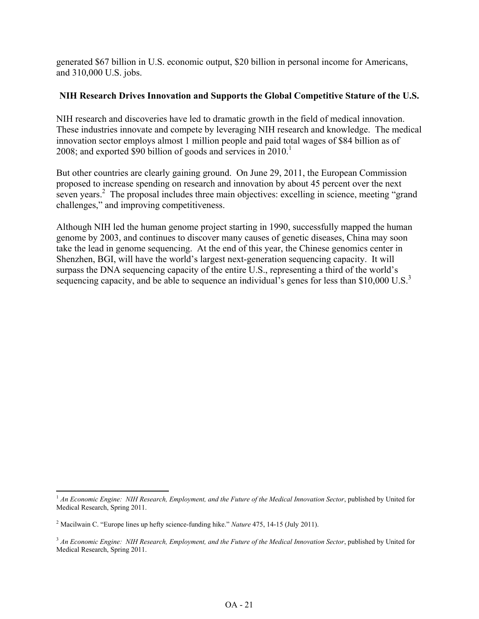generated \$67 billion in U.S. economic output, \$20 billion in personal income for Americans, and 310,000 U.S. jobs.

## **NIH Research Drives Innovation and Supports the Global Competitive Stature of the U.S.**

NIH research and discoveries have led to dramatic growth in the field of medical innovation. These industries innovate and compete by leveraging NIH research and knowledge. The medical innovation sector employs almost 1 million people and paid total wages of \$84 billion as of 2008; and exported \$90 billion of goods and services in  $2010<sup>1</sup>$ 

But other countries are clearly gaining ground. On June 29, 2011, the European Commission proposed to increase spending on research and innovation by about 45 percent over the next seven years.<sup>2</sup> The proposal includes three main objectives: excelling in science, meeting "grand challenges," and improving competitiveness.

Although NIH led the human genome project starting in 1990, successfully mapped the human genome by 2003, and continues to discover many causes of genetic diseases, China may soon take the lead in genome sequencing. At the end of this year, the Chinese genomics center in Shenzhen, BGI, will have the world's largest next-generation sequencing capacity. It will surpass the DNA sequencing capacity of the entire U.S., representing a third of the world's sequencing capacity, and be able to sequence an individual's genes for less than \$10,000 U.S.<sup>3</sup>

ı

<sup>1</sup> *An Economic Engine: NIH Research, Employment, and the Future of the Medical Innovation Sector*, published by United for Medical Research, Spring 2011.

<sup>2</sup> Macilwain C. "Europe lines up hefty science-funding hike." *Nature* 475, 14-15 (July 2011).

<sup>&</sup>lt;sup>3</sup> An Economic Engine: NIH Research, Employment, and the Future of the Medical Innovation Sector, published by United for Medical Research, Spring 2011.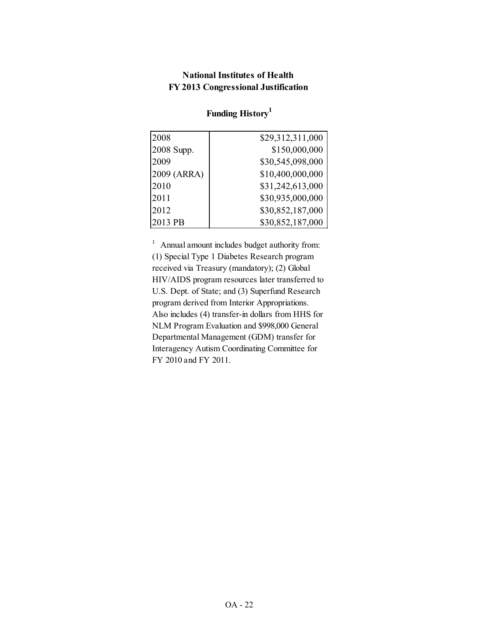## **National Institutes of Health FY 2013 Congressional Justification**

| 2008        | \$29,312,311,000 |
|-------------|------------------|
| 2008 Supp.  | \$150,000,000    |
| 2009        | \$30,545,098,000 |
| 2009 (ARRA) | \$10,400,000,000 |
| 2010        | \$31,242,613,000 |
| 2011        | \$30,935,000,000 |
| 2012        | \$30,852,187,000 |
| 2013 PB     | \$30,852,187,000 |

# **Funding History<sup>1</sup>**

<sup>1</sup> Annual amount includes budget authority from: (1) Special Type 1 Diabetes Research program received via Treasury (mandatory); (2) Global HIV/AIDS program resources later transferred to U.S. Dept. of State; and (3) Superfund Research program derived from Interior Appropriations. Also includes (4) transfer-in dollars from HHS for NLM Program Evaluation and \$998,000 General Departmental Management (GDM) transfer for Interagency Autism Coordinating Committee for FY 2010 and FY 2011.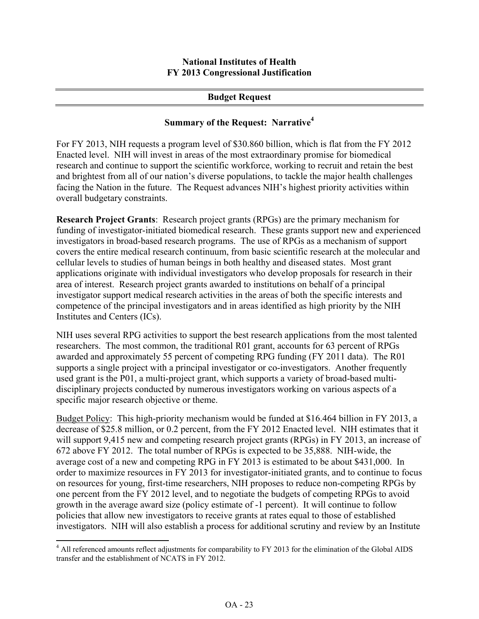## **Budget Request**

## **Summary of the Request: Narrative<sup>4</sup>**

For FY 2013, NIH requests a program level of \$30.860 billion, which is flat from the FY 2012 Enacted level. NIH will invest in areas of the most extraordinary promise for biomedical research and continue to support the scientific workforce, working to recruit and retain the best and brightest from all of our nation's diverse populations, to tackle the major health challenges facing the Nation in the future. The Request advances NIH's highest priority activities within overall budgetary constraints.

**Research Project Grants**: Research project grants (RPGs) are the primary mechanism for funding of investigator-initiated biomedical research. These grants support new and experienced investigators in broad-based research programs. The use of RPGs as a mechanism of support covers the entire medical research continuum, from basic scientific research at the molecular and cellular levels to studies of human beings in both healthy and diseased states. Most grant applications originate with individual investigators who develop proposals for research in their area of interest. Research project grants awarded to institutions on behalf of a principal investigator support medical research activities in the areas of both the specific interests and competence of the principal investigators and in areas identified as high priority by the NIH Institutes and Centers (ICs).

NIH uses several RPG activities to support the best research applications from the most talented researchers. The most common, the traditional R01 grant, accounts for 63 percent of RPGs awarded and approximately 55 percent of competing RPG funding (FY 2011 data). The R01 supports a single project with a principal investigator or co-investigators. Another frequently used grant is the P01, a multi-project grant, which supports a variety of broad-based multidisciplinary projects conducted by numerous investigators working on various aspects of a specific major research objective or theme.

Budget Policy: This high-priority mechanism would be funded at \$16.464 billion in FY 2013, a decrease of \$25.8 million, or 0.2 percent, from the FY 2012 Enacted level. NIH estimates that it will support 9,415 new and competing research project grants (RPGs) in FY 2013, an increase of 672 above FY 2012. The total number of RPGs is expected to be 35,888. NIH-wide, the average cost of a new and competing RPG in FY 2013 is estimated to be about \$431,000. In order to maximize resources in FY 2013 for investigator-initiated grants, and to continue to focus on resources for young, first-time researchers, NIH proposes to reduce non-competing RPGs by one percent from the FY 2012 level, and to negotiate the budgets of competing RPGs to avoid growth in the average award size (policy estimate of -1 percent). It will continue to follow policies that allow new investigators to receive grants at rates equal to those of established investigators. NIH will also establish a process for additional scrutiny and review by an Institute

 $\overline{\phantom{0}}$ 

<sup>&</sup>lt;sup>4</sup> All referenced amounts reflect adjustments for comparability to FY 2013 for the elimination of the Global AIDS transfer and the establishment of NCATS in FY 2012.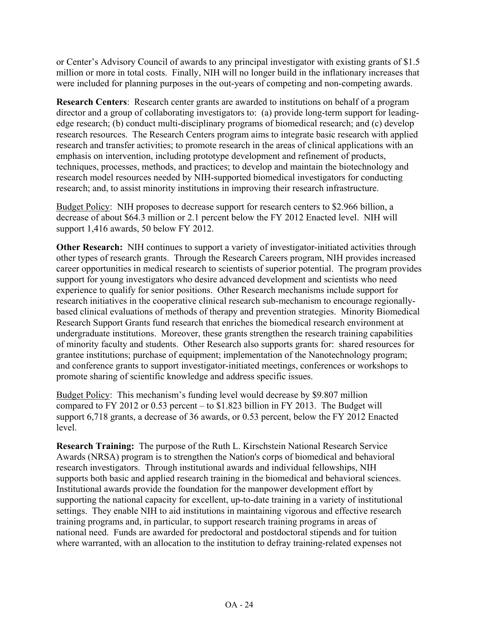or Center's Advisory Council of awards to any principal investigator with existing grants of \$1.5 million or more in total costs. Finally, NIH will no longer build in the inflationary increases that were included for planning purposes in the out-years of competing and non-competing awards.

**Research Centers**: Research center grants are awarded to institutions on behalf of a program director and a group of collaborating investigators to: (a) provide long-term support for leadingedge research; (b) conduct multi-disciplinary programs of biomedical research; and (c) develop research resources. The Research Centers program aims to integrate basic research with applied research and transfer activities; to promote research in the areas of clinical applications with an emphasis on intervention, including prototype development and refinement of products, techniques, processes, methods, and practices; to develop and maintain the biotechnology and research model resources needed by NIH-supported biomedical investigators for conducting research; and, to assist minority institutions in improving their research infrastructure.

Budget Policy: NIH proposes to decrease support for research centers to \$2.966 billion, a decrease of about \$64.3 million or 2.1 percent below the FY 2012 Enacted level. NIH will support 1,416 awards, 50 below FY 2012.

**Other Research:** NIH continues to support a variety of investigator-initiated activities through other types of research grants. Through the Research Careers program, NIH provides increased career opportunities in medical research to scientists of superior potential. The program provides support for young investigators who desire advanced development and scientists who need experience to qualify for senior positions. Other Research mechanisms include support for research initiatives in the cooperative clinical research sub-mechanism to encourage regionallybased clinical evaluations of methods of therapy and prevention strategies. Minority Biomedical Research Support Grants fund research that enriches the biomedical research environment at undergraduate institutions. Moreover, these grants strengthen the research training capabilities of minority faculty and students. Other Research also supports grants for: shared resources for grantee institutions; purchase of equipment; implementation of the Nanotechnology program; and conference grants to support investigator-initiated meetings, conferences or workshops to promote sharing of scientific knowledge and address specific issues.

Budget Policy: This mechanism's funding level would decrease by \$9.807 million compared to FY 2012 or 0.53 percent – to \$1.823 billion in FY 2013. The Budget will support 6,718 grants, a decrease of 36 awards, or 0.53 percent, below the FY 2012 Enacted level.

**Research Training:** The purpose of the Ruth L. Kirschstein National Research Service Awards (NRSA) program is to strengthen the Nation's corps of biomedical and behavioral research investigators. Through institutional awards and individual fellowships, NIH supports both basic and applied research training in the biomedical and behavioral sciences. Institutional awards provide the foundation for the manpower development effort by supporting the national capacity for excellent, up-to-date training in a variety of institutional settings. They enable NIH to aid institutions in maintaining vigorous and effective research training programs and, in particular, to support research training programs in areas of national need. Funds are awarded for predoctoral and postdoctoral stipends and for tuition where warranted, with an allocation to the institution to defray training-related expenses not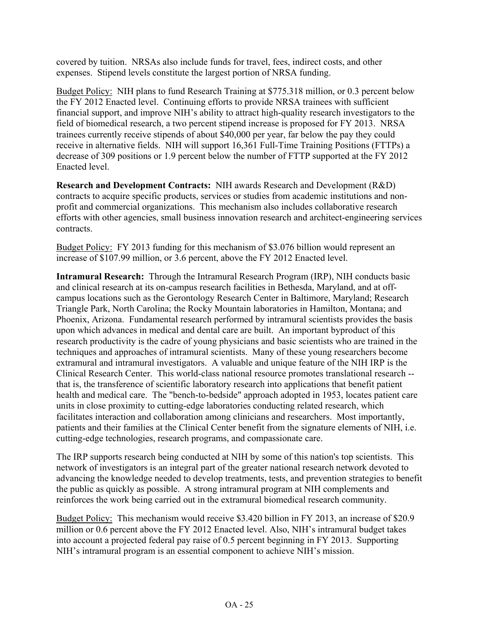covered by tuition. NRSAs also include funds for travel, fees, indirect costs, and other expenses. Stipend levels constitute the largest portion of NRSA funding.

Budget Policy: NIH plans to fund Research Training at \$775.318 million, or 0.3 percent below the FY 2012 Enacted level. Continuing efforts to provide NRSA trainees with sufficient financial support, and improve NIH's ability to attract high-quality research investigators to the field of biomedical research, a two percent stipend increase is proposed for FY 2013. NRSA trainees currently receive stipends of about \$40,000 per year, far below the pay they could receive in alternative fields. NIH will support 16,361 Full-Time Training Positions (FTTPs) a decrease of 309 positions or 1.9 percent below the number of FTTP supported at the FY 2012 Enacted level.

**Research and Development Contracts:** NIH awards Research and Development (R&D) contracts to acquire specific products, services or studies from academic institutions and nonprofit and commercial organizations. This mechanism also includes collaborative research efforts with other agencies, small business innovation research and architect-engineering services contracts.

Budget Policy: FY 2013 funding for this mechanism of \$3.076 billion would represent an increase of \$107.99 million, or 3.6 percent, above the FY 2012 Enacted level.

**Intramural Research:** Through the Intramural Research Program (IRP), NIH conducts basic and clinical research at its on-campus research facilities in Bethesda, Maryland, and at offcampus locations such as the Gerontology Research Center in Baltimore, Maryland; Research Triangle Park, North Carolina; the Rocky Mountain laboratories in Hamilton, Montana; and Phoenix, Arizona. Fundamental research performed by intramural scientists provides the basis upon which advances in medical and dental care are built. An important byproduct of this research productivity is the cadre of young physicians and basic scientists who are trained in the techniques and approaches of intramural scientists. Many of these young researchers become extramural and intramural investigators. A valuable and unique feature of the NIH IRP is the Clinical Research Center. This world-class national resource promotes translational research - that is, the transference of scientific laboratory research into applications that benefit patient health and medical care. The "bench-to-bedside" approach adopted in 1953, locates patient care units in close proximity to cutting-edge laboratories conducting related research, which facilitates interaction and collaboration among clinicians and researchers. Most importantly, patients and their families at the Clinical Center benefit from the signature elements of NIH, i.e. cutting-edge technologies, research programs, and compassionate care.

The IRP supports research being conducted at NIH by some of this nation's top scientists. This network of investigators is an integral part of the greater national research network devoted to advancing the knowledge needed to develop treatments, tests, and prevention strategies to benefit the public as quickly as possible. A strong intramural program at NIH complements and reinforces the work being carried out in the extramural biomedical research community.

Budget Policy: This mechanism would receive \$3.420 billion in FY 2013, an increase of \$20.9 million or 0.6 percent above the FY 2012 Enacted level. Also, NIH's intramural budget takes into account a projected federal pay raise of 0.5 percent beginning in FY 2013. Supporting NIH's intramural program is an essential component to achieve NIH's mission.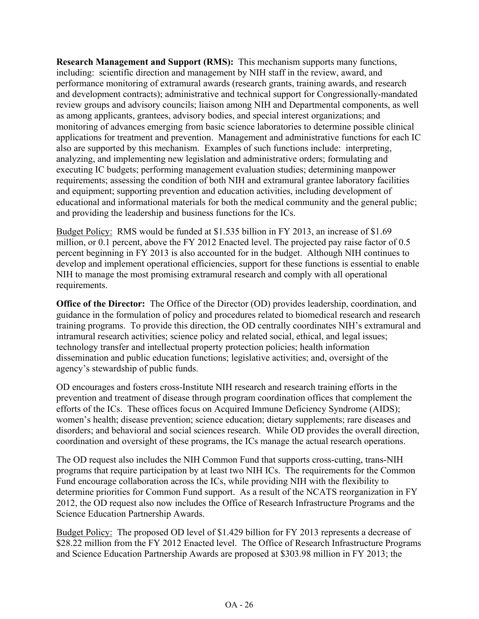**Research Management and Support (RMS):** This mechanism supports many functions, including: scientific direction and management by NIH staff in the review, award, and performance monitoring of extramural awards (research grants, training awards, and research and development contracts); administrative and technical support for Congressionally-mandated review groups and advisory councils; liaison among NIH and Departmental components, as well as among applicants, grantees, advisory bodies, and special interest organizations; and monitoring of advances emerging from basic science laboratories to determine possible clinical applications for treatment and prevention. Management and administrative functions for each IC also are supported by this mechanism. Examples of such functions include: interpreting, analyzing, and implementing new legislation and administrative orders; formulating and executing IC budgets; performing management evaluation studies; determining manpower requirements; assessing the condition of both NIH and extramural grantee laboratory facilities and equipment; supporting prevention and education activities, including development of educational and informational materials for both the medical community and the general public; and providing the leadership and business functions for the ICs.

Budget Policy: RMS would be funded at \$1.535 billion in FY 2013, an increase of \$1.69 million, or 0.1 percent, above the FY 2012 Enacted level. The projected pay raise factor of 0.5 percent beginning in FY 2013 is also accounted for in the budget. Although NIH continues to develop and implement operational efficiencies, support for these functions is essential to enable NIH to manage the most promising extramural research and comply with all operational requirements.

**Office of the Director:** The Office of the Director (OD) provides leadership, coordination, and guidance in the formulation of policy and procedures related to biomedical research and research training programs. To provide this direction, the OD centrally coordinates NIH's extramural and intramural research activities; science policy and related social, ethical, and legal issues; technology transfer and intellectual property protection policies; health information dissemination and public education functions; legislative activities; and, oversight of the agency's stewardship of public funds.

OD encourages and fosters cross-Institute NIH research and research training efforts in the prevention and treatment of disease through program coordination offices that complement the efforts of the ICs. These offices focus on Acquired Immune Deficiency Syndrome (AIDS); women's health; disease prevention; science education; dietary supplements; rare diseases and disorders; and behavioral and social sciences research. While OD provides the overall direction, coordination and oversight of these programs, the ICs manage the actual research operations.

The OD request also includes the NIH Common Fund that supports cross-cutting, trans-NIH programs that require participation by at least two NIH ICs. The requirements for the Common Fund encourage collaboration across the ICs, while providing NIH with the flexibility to determine priorities for Common Fund support. As a result of the NCATS reorganization in FY 2012, the OD request also now includes the Office of Research Infrastructure Programs and the Science Education Partnership Awards.

Budget Policy: The proposed OD level of \$1.429 billion for FY 2013 represents a decrease of \$28.22 million from the FY 2012 Enacted level. The Office of Research Infrastructure Programs and Science Education Partnership Awards are proposed at \$303.98 million in FY 2013; the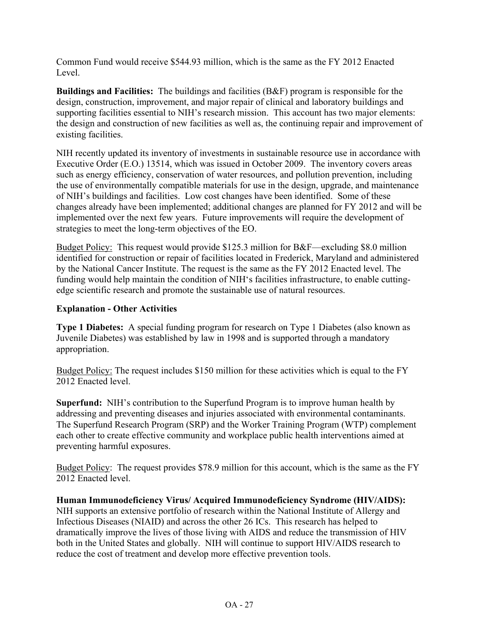Common Fund would receive \$544.93 million, which is the same as the FY 2012 Enacted Level.

**Buildings and Facilities:** The buildings and facilities (B&F) program is responsible for the design, construction, improvement, and major repair of clinical and laboratory buildings and supporting facilities essential to NIH's research mission. This account has two major elements: the design and construction of new facilities as well as, the continuing repair and improvement of existing facilities.

NIH recently updated its inventory of investments in sustainable resource use in accordance with Executive Order (E.O.) 13514, which was issued in October 2009. The inventory covers areas such as energy efficiency, conservation of water resources, and pollution prevention, including the use of environmentally compatible materials for use in the design, upgrade, and maintenance of NIH's buildings and facilities. Low cost changes have been identified. Some of these changes already have been implemented; additional changes are planned for FY 2012 and will be implemented over the next few years. Future improvements will require the development of strategies to meet the long-term objectives of the EO.

Budget Policy: This request would provide \$125.3 million for B&F—excluding \$8.0 million identified for construction or repair of facilities located in Frederick, Maryland and administered by the National Cancer Institute. The request is the same as the FY 2012 Enacted level. The funding would help maintain the condition of NIH's facilities infrastructure, to enable cuttingedge scientific research and promote the sustainable use of natural resources.

## **Explanation - Other Activities**

**Type 1 Diabetes:** A special funding program for research on Type 1 Diabetes (also known as Juvenile Diabetes) was established by law in 1998 and is supported through a mandatory appropriation.

Budget Policy: The request includes \$150 million for these activities which is equal to the FY 2012 Enacted level.

**Superfund:** NIH's contribution to the Superfund Program is to improve human health by addressing and preventing diseases and injuries associated with environmental contaminants. The Superfund Research Program (SRP) and the Worker Training Program (WTP) complement each other to create effective community and workplace public health interventions aimed at preventing harmful exposures.

Budget Policy: The request provides \$78.9 million for this account, which is the same as the FY 2012 Enacted level.

**Human Immunodeficiency Virus/ Acquired Immunodeficiency Syndrome (HIV/AIDS):**  NIH supports an extensive portfolio of research within the National Institute of Allergy and Infectious Diseases (NIAID) and across the other 26 ICs. This research has helped to dramatically improve the lives of those living with AIDS and reduce the transmission of HIV both in the United States and globally. NIH will continue to support HIV/AIDS research to reduce the cost of treatment and develop more effective prevention tools.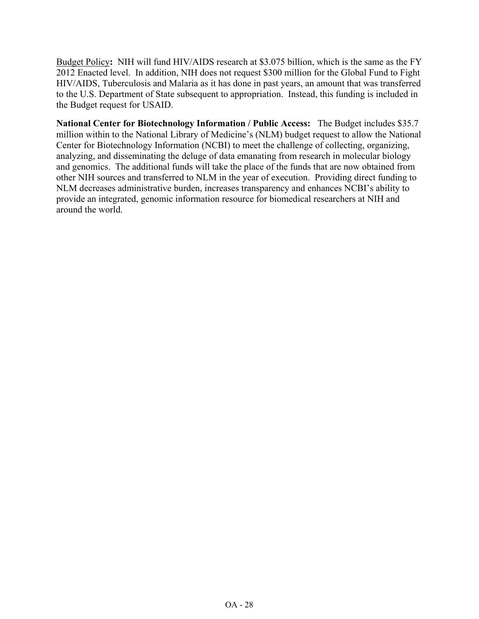Budget Policy**:** NIH will fund HIV/AIDS research at \$3.075 billion, which is the same as the FY 2012 Enacted level. In addition, NIH does not request \$300 million for the Global Fund to Fight HIV/AIDS, Tuberculosis and Malaria as it has done in past years, an amount that was transferred to the U.S. Department of State subsequent to appropriation. Instead, this funding is included in the Budget request for USAID.

**National Center for Biotechnology Information / Public Access:** The Budget includes \$35.7 million within to the National Library of Medicine's (NLM) budget request to allow the National Center for Biotechnology Information (NCBI) to meet the challenge of collecting, organizing, analyzing, and disseminating the deluge of data emanating from research in molecular biology and genomics. The additional funds will take the place of the funds that are now obtained from other NIH sources and transferred to NLM in the year of execution. Providing direct funding to NLM decreases administrative burden, increases transparency and enhances NCBI's ability to provide an integrated, genomic information resource for biomedical researchers at NIH and around the world.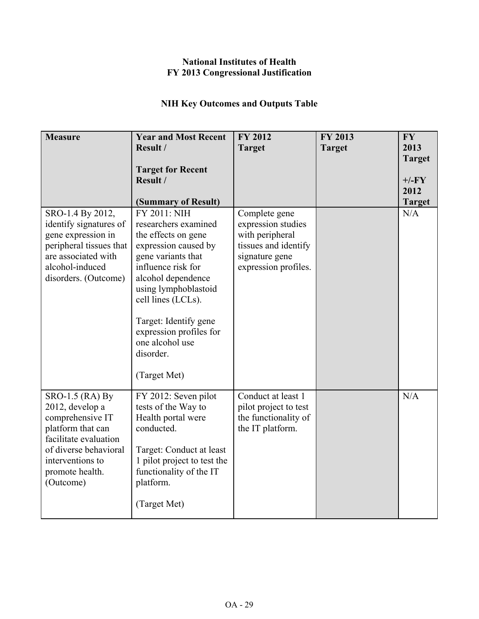## **National Institutes of Health FY 2013 Congressional Justification**

# **NIH Key Outcomes and Outputs Table**

| <b>Measure</b>                                                                                                                                                                    | <b>Year and Most Recent</b><br>Result /<br><b>Target for Recent</b><br>Result /                                                                                                                                                                                                                                                | <b>FY 2012</b><br><b>Target</b>                                                                                          | <b>FY 2013</b><br><b>Target</b> | <b>FY</b><br>2013<br><b>Target</b><br>$+/-FY$<br>2012 |
|-----------------------------------------------------------------------------------------------------------------------------------------------------------------------------------|--------------------------------------------------------------------------------------------------------------------------------------------------------------------------------------------------------------------------------------------------------------------------------------------------------------------------------|--------------------------------------------------------------------------------------------------------------------------|---------------------------------|-------------------------------------------------------|
| SRO-1.4 By 2012,<br>identify signatures of<br>gene expression in<br>peripheral tissues that<br>are associated with<br>alcohol-induced<br>disorders. (Outcome)                     | (Summary of Result)<br>FY 2011: NIH<br>researchers examined<br>the effects on gene<br>expression caused by<br>gene variants that<br>influence risk for<br>alcohol dependence<br>using lymphoblastoid<br>cell lines (LCLs).<br>Target: Identify gene<br>expression profiles for<br>one alcohol use<br>disorder.<br>(Target Met) | Complete gene<br>expression studies<br>with peripheral<br>tissues and identify<br>signature gene<br>expression profiles. |                                 | <b>Target</b><br>N/A                                  |
| SRO-1.5 (RA) By<br>2012, develop a<br>comprehensive IT<br>platform that can<br>facilitate evaluation<br>of diverse behavioral<br>interventions to<br>promote health.<br>(Outcome) | FY 2012: Seven pilot<br>tests of the Way to<br>Health portal were<br>conducted.<br>Target: Conduct at least<br>1 pilot project to test the<br>functionality of the IT<br>platform.<br>(Target Met)                                                                                                                             | Conduct at least 1<br>pilot project to test<br>the functionality of<br>the IT platform.                                  |                                 | N/A                                                   |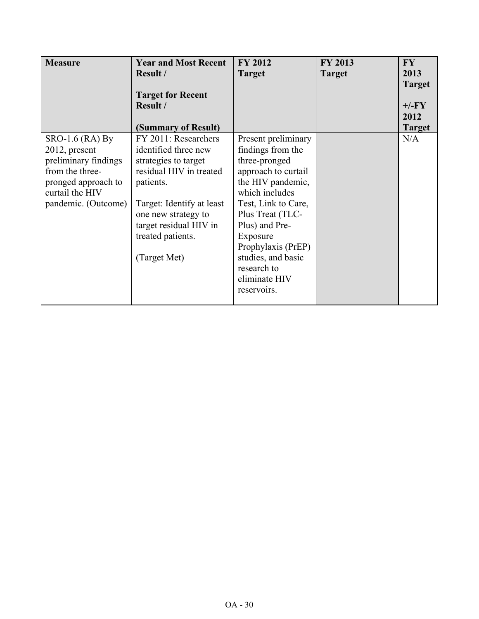| <b>Measure</b>                                                                                                                               | <b>Year and Most Recent</b><br><b>Result /</b><br><b>Target for Recent</b><br>Result /<br>(Summary of Result)                                                                                                                   | <b>FY 2012</b><br><b>Target</b>                                                                                                                                                                                                                                                             | <b>FY 2013</b><br><b>Target</b> | <b>FY</b><br>2013<br><b>Target</b><br>$+/-FY$<br>2012<br><b>Target</b> |
|----------------------------------------------------------------------------------------------------------------------------------------------|---------------------------------------------------------------------------------------------------------------------------------------------------------------------------------------------------------------------------------|---------------------------------------------------------------------------------------------------------------------------------------------------------------------------------------------------------------------------------------------------------------------------------------------|---------------------------------|------------------------------------------------------------------------|
| SRO-1.6 (RA) By<br>2012, present<br>preliminary findings<br>from the three-<br>pronged approach to<br>curtail the HIV<br>pandemic. (Outcome) | FY 2011: Researchers<br>identified three new<br>strategies to target<br>residual HIV in treated<br>patients.<br>Target: Identify at least<br>one new strategy to<br>target residual HIV in<br>treated patients.<br>(Target Met) | Present preliminary<br>findings from the<br>three-pronged<br>approach to curtail<br>the HIV pandemic,<br>which includes<br>Test, Link to Care,<br>Plus Treat (TLC-<br>Plus) and Pre-<br>Exposure<br>Prophylaxis (PrEP)<br>studies, and basic<br>research to<br>eliminate HIV<br>reservoirs. |                                 | N/A                                                                    |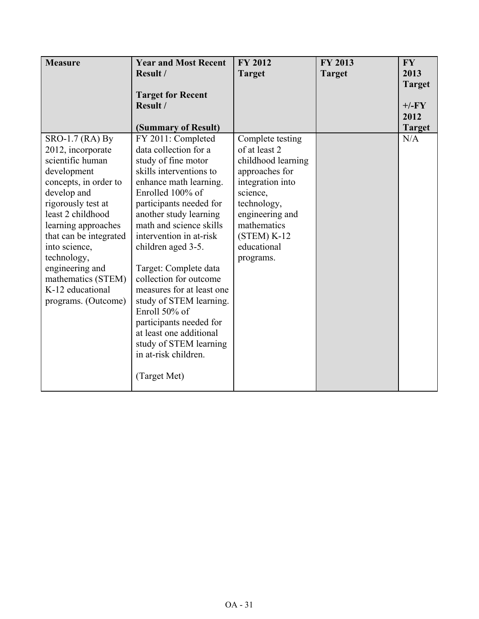| <b>Measure</b>                                                                                                                                                                                                                                                                                                                  | <b>Year and Most Recent</b><br>Result /<br><b>Target for Recent</b><br>Result /                                                                                                                                                                                                                                                                                                                                                                                                                                                  | <b>FY 2012</b><br><b>Target</b>                                                                                                                                                                         | FY 2013<br><b>Target</b> | <b>FY</b><br>2013<br><b>Target</b><br>$+/-FY$ |
|---------------------------------------------------------------------------------------------------------------------------------------------------------------------------------------------------------------------------------------------------------------------------------------------------------------------------------|----------------------------------------------------------------------------------------------------------------------------------------------------------------------------------------------------------------------------------------------------------------------------------------------------------------------------------------------------------------------------------------------------------------------------------------------------------------------------------------------------------------------------------|---------------------------------------------------------------------------------------------------------------------------------------------------------------------------------------------------------|--------------------------|-----------------------------------------------|
|                                                                                                                                                                                                                                                                                                                                 | (Summary of Result)                                                                                                                                                                                                                                                                                                                                                                                                                                                                                                              |                                                                                                                                                                                                         |                          | 2012<br><b>Target</b>                         |
| SRO-1.7 (RA) By<br>2012, incorporate<br>scientific human<br>development<br>concepts, in order to<br>develop and<br>rigorously test at<br>least 2 childhood<br>learning approaches<br>that can be integrated<br>into science,<br>technology,<br>engineering and<br>mathematics (STEM)<br>K-12 educational<br>programs. (Outcome) | FY 2011: Completed<br>data collection for a<br>study of fine motor<br>skills interventions to<br>enhance math learning.<br>Enrolled 100% of<br>participants needed for<br>another study learning<br>math and science skills<br>intervention in at-risk<br>children aged 3-5.<br>Target: Complete data<br>collection for outcome<br>measures for at least one<br>study of STEM learning.<br>Enroll 50% of<br>participants needed for<br>at least one additional<br>study of STEM learning<br>in at-risk children.<br>(Target Met) | Complete testing<br>of at least 2<br>childhood learning<br>approaches for<br>integration into<br>science,<br>technology,<br>engineering and<br>mathematics<br>$(STEM) K-12$<br>educational<br>programs. |                          | N/A                                           |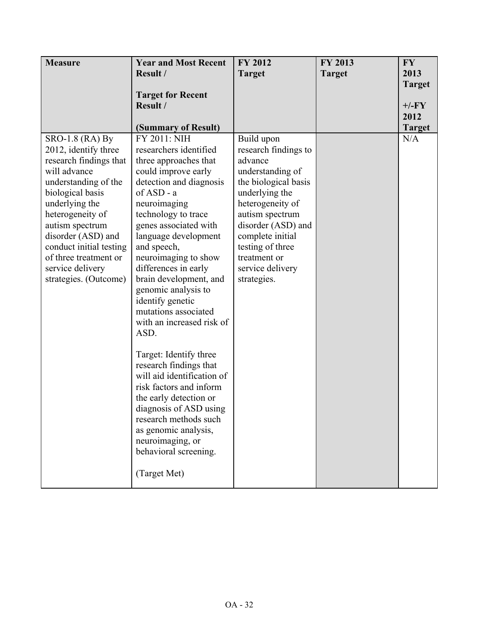| <b>Measure</b>          | <b>Year and Most Recent</b>              | FY 2012              | FY 2013       | <b>FY</b>     |
|-------------------------|------------------------------------------|----------------------|---------------|---------------|
|                         | Result /                                 | <b>Target</b>        | <b>Target</b> | 2013          |
|                         |                                          |                      |               | <b>Target</b> |
|                         | <b>Target for Recent</b>                 |                      |               |               |
|                         | Result /                                 |                      |               | $+/-FY$       |
|                         |                                          |                      |               | 2012          |
|                         | (Summary of Result)                      |                      |               | <b>Target</b> |
| SRO-1.8 (RA) By         | FY 2011: NIH                             | Build upon           |               | N/A           |
| 2012, identify three    | researchers identified                   | research findings to |               |               |
| research findings that  | three approaches that                    | advance              |               |               |
| will advance            | could improve early                      | understanding of     |               |               |
| understanding of the    | detection and diagnosis                  | the biological basis |               |               |
| biological basis        | of ASD - a                               | underlying the       |               |               |
| underlying the          | neuroimaging                             | heterogeneity of     |               |               |
| heterogeneity of        | technology to trace                      | autism spectrum      |               |               |
| autism spectrum         | genes associated with                    | disorder (ASD) and   |               |               |
| disorder (ASD) and      | language development                     | complete initial     |               |               |
| conduct initial testing | and speech,                              | testing of three     |               |               |
| of three treatment or   | neuroimaging to show                     | treatment or         |               |               |
| service delivery        | differences in early                     | service delivery     |               |               |
| strategies. (Outcome)   | brain development, and                   | strategies.          |               |               |
|                         | genomic analysis to                      |                      |               |               |
|                         | identify genetic<br>mutations associated |                      |               |               |
|                         | with an increased risk of                |                      |               |               |
|                         | ASD.                                     |                      |               |               |
|                         |                                          |                      |               |               |
|                         | Target: Identify three                   |                      |               |               |
|                         | research findings that                   |                      |               |               |
|                         | will aid identification of               |                      |               |               |
|                         | risk factors and inform                  |                      |               |               |
|                         | the early detection or                   |                      |               |               |
|                         | diagnosis of ASD using                   |                      |               |               |
|                         | research methods such                    |                      |               |               |
|                         | as genomic analysis,                     |                      |               |               |
|                         | neuroimaging, or                         |                      |               |               |
|                         | behavioral screening.                    |                      |               |               |
|                         |                                          |                      |               |               |
|                         | (Target Met)                             |                      |               |               |
|                         |                                          |                      |               |               |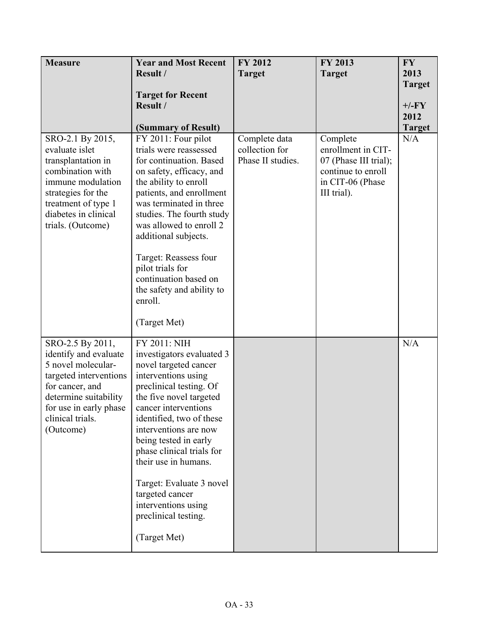| <b>Measure</b>                                                                                                                                                                                   | <b>Year and Most Recent</b>                                                                                                                                                                                                                                                                                                                                                                                              | <b>FY 2012</b>                                       | <b>FY 2013</b>                                                                                                   | <b>FY</b>                        |
|--------------------------------------------------------------------------------------------------------------------------------------------------------------------------------------------------|--------------------------------------------------------------------------------------------------------------------------------------------------------------------------------------------------------------------------------------------------------------------------------------------------------------------------------------------------------------------------------------------------------------------------|------------------------------------------------------|------------------------------------------------------------------------------------------------------------------|----------------------------------|
|                                                                                                                                                                                                  | Result /                                                                                                                                                                                                                                                                                                                                                                                                                 | <b>Target</b>                                        | <b>Target</b>                                                                                                    | 2013<br><b>Target</b>            |
|                                                                                                                                                                                                  | <b>Target for Recent</b><br>Result /<br>(Summary of Result)                                                                                                                                                                                                                                                                                                                                                              |                                                      |                                                                                                                  | $+/-FY$<br>2012<br><b>Target</b> |
| SRO-2.1 By 2015,<br>evaluate islet<br>transplantation in<br>combination with<br>immune modulation<br>strategies for the<br>treatment of type 1<br>diabetes in clinical<br>trials. (Outcome)      | FY 2011: Four pilot<br>trials were reassessed<br>for continuation. Based<br>on safety, efficacy, and<br>the ability to enroll<br>patients, and enrollment<br>was terminated in three<br>studies. The fourth study<br>was allowed to enroll 2<br>additional subjects.<br>Target: Reassess four<br>pilot trials for<br>continuation based on<br>the safety and ability to<br>enroll.<br>(Target Met)                       | Complete data<br>collection for<br>Phase II studies. | Complete<br>enrollment in CIT-<br>07 (Phase III trial);<br>continue to enroll<br>in CIT-06 (Phase<br>III trial). | N/A                              |
| SRO-2.5 By 2011,<br>identify and evaluate<br>5 novel molecular-<br>targeted interventions<br>for cancer, and<br>determine suitability<br>for use in early phase<br>clinical trials.<br>(Outcome) | FY 2011: NIH<br>investigators evaluated 3<br>novel targeted cancer<br>interventions using<br>preclinical testing. Of<br>the five novel targeted<br>cancer interventions<br>identified, two of these<br>interventions are now<br>being tested in early<br>phase clinical trials for<br>their use in humans.<br>Target: Evaluate 3 novel<br>targeted cancer<br>interventions using<br>preclinical testing.<br>(Target Met) |                                                      |                                                                                                                  | N/A                              |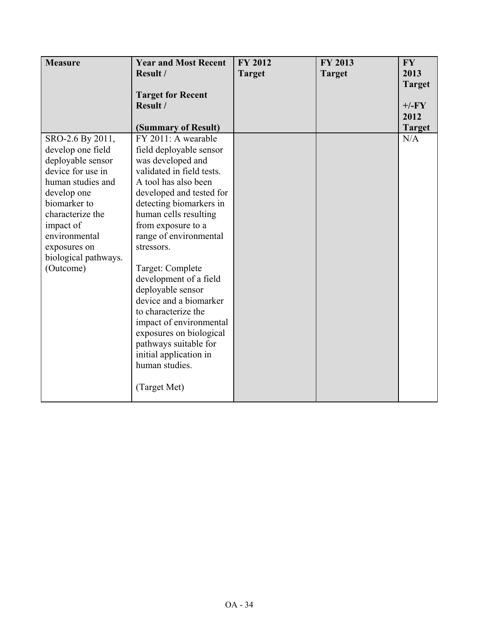| <b>Measure</b>       | <b>Year and Most Recent</b> | <b>FY 2012</b> | <b>FY 2013</b> | <b>FY</b>     |
|----------------------|-----------------------------|----------------|----------------|---------------|
|                      | Result /                    | <b>Target</b>  | <b>Target</b>  | 2013          |
|                      |                             |                |                | <b>Target</b> |
|                      | <b>Target for Recent</b>    |                |                |               |
|                      | Result /                    |                |                | $+/-FY$       |
|                      |                             |                |                | 2012          |
|                      | (Summary of Result)         |                |                | <b>Target</b> |
| SRO-2.6 By 2011,     | FY 2011: A wearable         |                |                | N/A           |
| develop one field    | field deployable sensor     |                |                |               |
| deployable sensor    | was developed and           |                |                |               |
| device for use in    | validated in field tests.   |                |                |               |
| human studies and    | A tool has also been        |                |                |               |
| develop one          | developed and tested for    |                |                |               |
| biomarker to         | detecting biomarkers in     |                |                |               |
| characterize the     | human cells resulting       |                |                |               |
| impact of            | from exposure to a          |                |                |               |
| environmental        | range of environmental      |                |                |               |
| exposures on         | stressors.                  |                |                |               |
| biological pathways. |                             |                |                |               |
| (Outcome)            | Target: Complete            |                |                |               |
|                      | development of a field      |                |                |               |
|                      | deployable sensor           |                |                |               |
|                      | device and a biomarker      |                |                |               |
|                      | to characterize the         |                |                |               |
|                      | impact of environmental     |                |                |               |
|                      | exposures on biological     |                |                |               |
|                      | pathways suitable for       |                |                |               |
|                      | initial application in      |                |                |               |
|                      | human studies.              |                |                |               |
|                      | (Target Met)                |                |                |               |
|                      |                             |                |                |               |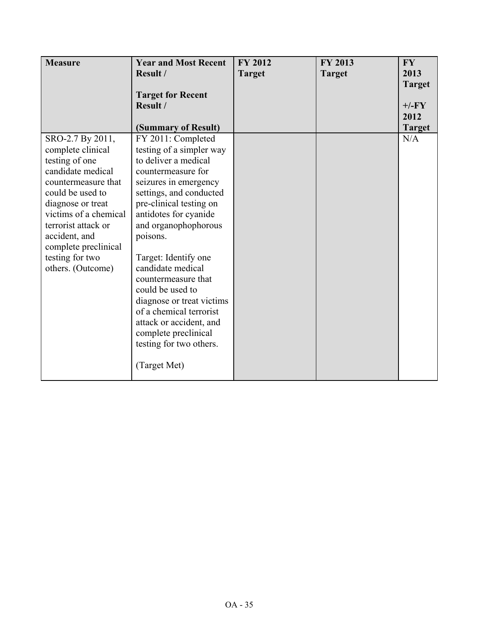| <b>Measure</b>        | <b>Year and Most Recent</b> | <b>FY 2012</b> | FY 2013       | <b>FY</b>     |
|-----------------------|-----------------------------|----------------|---------------|---------------|
|                       | Result /                    | <b>Target</b>  | <b>Target</b> | 2013          |
|                       |                             |                |               | <b>Target</b> |
|                       | <b>Target for Recent</b>    |                |               |               |
|                       | Result /                    |                |               | $+/-FY$       |
|                       |                             |                |               | 2012          |
|                       | (Summary of Result)         |                |               | <b>Target</b> |
| SRO-2.7 By 2011,      | FY 2011: Completed          |                |               | N/A           |
| complete clinical     | testing of a simpler way    |                |               |               |
| testing of one        | to deliver a medical        |                |               |               |
| candidate medical     | countermeasure for          |                |               |               |
| countermeasure that   | seizures in emergency       |                |               |               |
| could be used to      | settings, and conducted     |                |               |               |
| diagnose or treat     | pre-clinical testing on     |                |               |               |
| victims of a chemical | antidotes for cyanide       |                |               |               |
| terrorist attack or   | and organophophorous        |                |               |               |
| accident, and         | poisons.                    |                |               |               |
| complete preclinical  |                             |                |               |               |
| testing for two       | Target: Identify one        |                |               |               |
| others. (Outcome)     | candidate medical           |                |               |               |
|                       | countermeasure that         |                |               |               |
|                       | could be used to            |                |               |               |
|                       | diagnose or treat victims   |                |               |               |
|                       | of a chemical terrorist     |                |               |               |
|                       | attack or accident, and     |                |               |               |
|                       | complete preclinical        |                |               |               |
|                       | testing for two others.     |                |               |               |
|                       | (Target Met)                |                |               |               |
|                       |                             |                |               |               |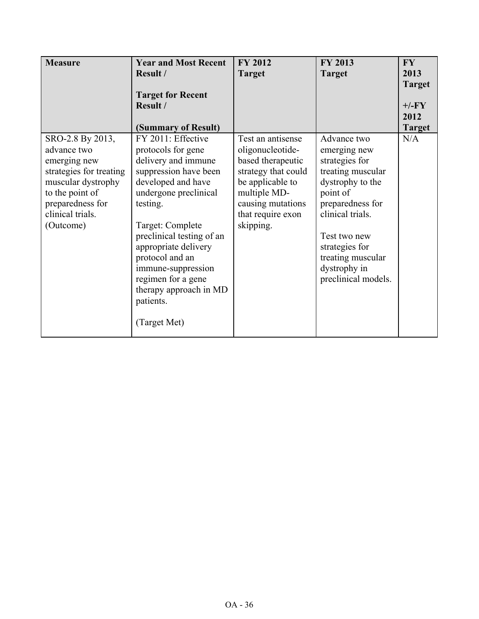| <b>Measure</b>          | <b>Year and Most Recent</b> | <b>FY 2012</b>      | FY 2013             | FY.           |
|-------------------------|-----------------------------|---------------------|---------------------|---------------|
|                         | Result /                    | <b>Target</b>       | <b>Target</b>       | 2013          |
|                         |                             |                     |                     | <b>Target</b> |
|                         | <b>Target for Recent</b>    |                     |                     |               |
|                         | Result /                    |                     |                     | $+/-FY$       |
|                         |                             |                     |                     | 2012          |
|                         | (Summary of Result)         |                     |                     | <b>Target</b> |
| SRO-2.8 By 2013,        | FY 2011: Effective          | Test an antisense   | Advance two         | N/A           |
| advance two             | protocols for gene          | oligonucleotide-    | emerging new        |               |
| emerging new            | delivery and immune         | based therapeutic   | strategies for      |               |
| strategies for treating | suppression have been       | strategy that could | treating muscular   |               |
| muscular dystrophy      | developed and have          | be applicable to    | dystrophy to the    |               |
| to the point of         | undergone preclinical       | multiple MD-        | point of            |               |
| preparedness for        | testing.                    | causing mutations   | preparedness for    |               |
| clinical trials.        |                             | that require exon   | clinical trials.    |               |
| (Outcome)               | Target: Complete            | skipping.           |                     |               |
|                         | preclinical testing of an   |                     | Test two new        |               |
|                         | appropriate delivery        |                     | strategies for      |               |
|                         | protocol and an             |                     | treating muscular   |               |
|                         | immune-suppression          |                     | dystrophy in        |               |
|                         | regimen for a gene          |                     | preclinical models. |               |
|                         | therapy approach in MD      |                     |                     |               |
|                         | patients.                   |                     |                     |               |
|                         | (Target Met)                |                     |                     |               |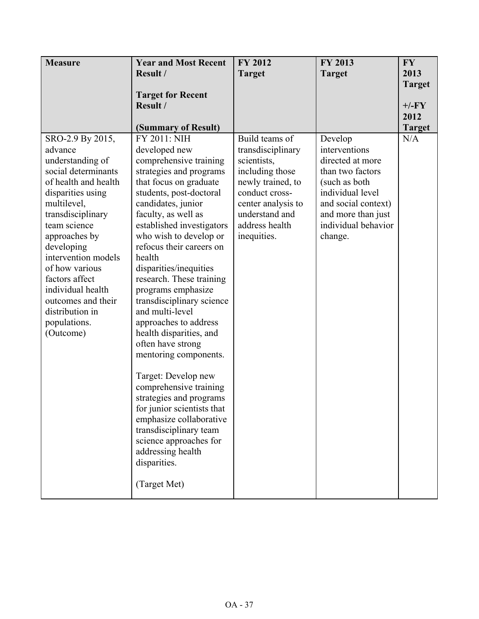| <b>Measure</b>                                                                                                                                                                                    | <b>Year and Most Recent</b>                                                                                                                                                                                                                                                                                             | <b>FY 2012</b>                                                                                                                                       | <b>FY 2013</b>                                                                                                                                      | <b>FY</b>                        |
|---------------------------------------------------------------------------------------------------------------------------------------------------------------------------------------------------|-------------------------------------------------------------------------------------------------------------------------------------------------------------------------------------------------------------------------------------------------------------------------------------------------------------------------|------------------------------------------------------------------------------------------------------------------------------------------------------|-----------------------------------------------------------------------------------------------------------------------------------------------------|----------------------------------|
|                                                                                                                                                                                                   | Result /                                                                                                                                                                                                                                                                                                                | <b>Target</b>                                                                                                                                        | <b>Target</b>                                                                                                                                       | 2013                             |
|                                                                                                                                                                                                   | <b>Target for Recent</b><br>Result /                                                                                                                                                                                                                                                                                    |                                                                                                                                                      |                                                                                                                                                     | <b>Target</b><br>$+/-FY$<br>2012 |
| SRO-2.9 By 2015,<br>advance<br>understanding of<br>social determinants<br>of health and health<br>disparities using<br>multilevel,<br>transdisciplinary                                           | (Summary of Result)<br>FY 2011: NIH<br>developed new<br>comprehensive training<br>strategies and programs<br>that focus on graduate<br>students, post-doctoral<br>candidates, junior<br>faculty, as well as                                                                                                             | Build teams of<br>transdisciplinary<br>scientists,<br>including those<br>newly trained, to<br>conduct cross-<br>center analysis to<br>understand and | Develop<br>interventions<br>directed at more<br>than two factors<br>(such as both)<br>individual level<br>and social context)<br>and more than just | <b>Target</b><br>N/A             |
| team science<br>approaches by<br>developing<br>intervention models<br>of how various<br>factors affect<br>individual health<br>outcomes and their<br>distribution in<br>populations.<br>(Outcome) | established investigators<br>who wish to develop or<br>refocus their careers on<br>health<br>disparities/inequities<br>research. These training<br>programs emphasize<br>transdisciplinary science<br>and multi-level<br>approaches to address<br>health disparities, and<br>often have strong<br>mentoring components. | address health<br>inequities.                                                                                                                        | individual behavior<br>change.                                                                                                                      |                                  |
|                                                                                                                                                                                                   | Target: Develop new<br>comprehensive training<br>strategies and programs<br>for junior scientists that<br>emphasize collaborative<br>transdisciplinary team<br>science approaches for<br>addressing health<br>disparities.<br>(Target Met)                                                                              |                                                                                                                                                      |                                                                                                                                                     |                                  |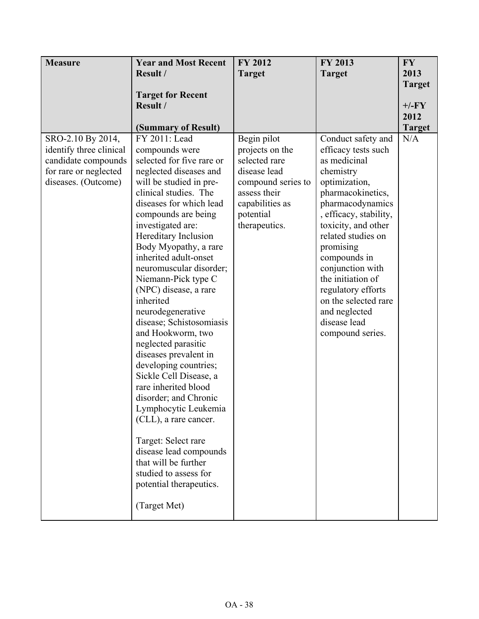| <b>Measure</b>                               | <b>Year and Most Recent</b>                  | FY 2012                        | FY 2013                                   | <b>FY</b>     |
|----------------------------------------------|----------------------------------------------|--------------------------------|-------------------------------------------|---------------|
|                                              | Result /                                     | <b>Target</b>                  | <b>Target</b>                             | 2013          |
|                                              |                                              |                                |                                           | <b>Target</b> |
|                                              | <b>Target for Recent</b>                     |                                |                                           |               |
|                                              | Result /                                     |                                |                                           | $+/-FY$       |
|                                              |                                              |                                |                                           | 2012          |
|                                              | (Summary of Result)                          |                                |                                           | <b>Target</b> |
| SRO-2.10 By 2014,<br>identify three clinical | FY 2011: Lead<br>compounds were              | Begin pilot<br>projects on the | Conduct safety and<br>efficacy tests such | N/A           |
| candidate compounds                          | selected for five rare or                    | selected rare                  | as medicinal                              |               |
| for rare or neglected                        | neglected diseases and                       | disease lead                   | chemistry                                 |               |
| diseases. (Outcome)                          | will be studied in pre-                      | compound series to             | optimization,                             |               |
|                                              | clinical studies. The                        | assess their                   | pharmacokinetics,                         |               |
|                                              | diseases for which lead                      | capabilities as                | pharmacodynamics                          |               |
|                                              | compounds are being                          | potential                      | , efficacy, stability,                    |               |
|                                              | investigated are:                            | therapeutics.                  | toxicity, and other                       |               |
|                                              | Hereditary Inclusion                         |                                | related studies on                        |               |
|                                              | Body Myopathy, a rare                        |                                | promising                                 |               |
|                                              | inherited adult-onset                        |                                | compounds in                              |               |
|                                              | neuromuscular disorder;                      |                                | conjunction with                          |               |
|                                              | Niemann-Pick type C                          |                                | the initiation of                         |               |
|                                              | (NPC) disease, a rare                        |                                | regulatory efforts                        |               |
|                                              | inherited                                    |                                | on the selected rare                      |               |
|                                              | neurodegenerative                            |                                | and neglected                             |               |
|                                              | disease; Schistosomiasis                     |                                | disease lead                              |               |
|                                              | and Hookworm, two                            |                                | compound series.                          |               |
|                                              | neglected parasitic<br>diseases prevalent in |                                |                                           |               |
|                                              | developing countries;                        |                                |                                           |               |
|                                              | Sickle Cell Disease, a                       |                                |                                           |               |
|                                              | rare inherited blood                         |                                |                                           |               |
|                                              | disorder; and Chronic                        |                                |                                           |               |
|                                              | Lymphocytic Leukemia                         |                                |                                           |               |
|                                              | (CLL), a rare cancer.                        |                                |                                           |               |
|                                              |                                              |                                |                                           |               |
|                                              | Target: Select rare                          |                                |                                           |               |
|                                              | disease lead compounds                       |                                |                                           |               |
|                                              | that will be further                         |                                |                                           |               |
|                                              | studied to assess for                        |                                |                                           |               |
|                                              | potential therapeutics.                      |                                |                                           |               |
|                                              | (Target Met)                                 |                                |                                           |               |
|                                              |                                              |                                |                                           |               |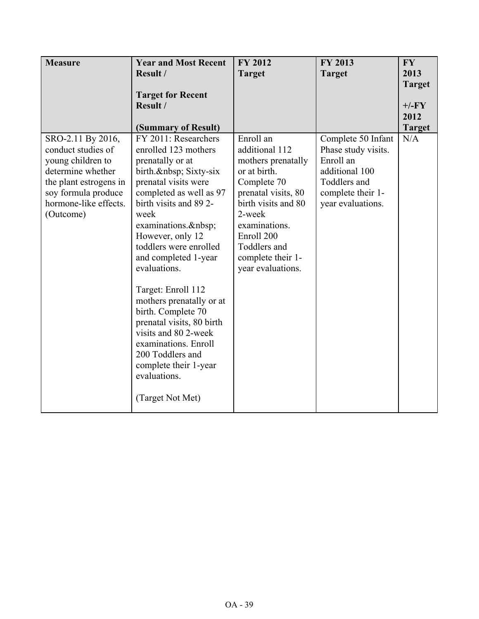| <b>Measure</b>                                                                                                                                                           | <b>Year and Most Recent</b>                                                                                                                                                                                                                                                                                                                                                                                                                                                                                                                   | <b>FY 2012</b>                                                                                                                                                                                                                    | FY 2013                                                                                                                            | <b>FY</b>       |
|--------------------------------------------------------------------------------------------------------------------------------------------------------------------------|-----------------------------------------------------------------------------------------------------------------------------------------------------------------------------------------------------------------------------------------------------------------------------------------------------------------------------------------------------------------------------------------------------------------------------------------------------------------------------------------------------------------------------------------------|-----------------------------------------------------------------------------------------------------------------------------------------------------------------------------------------------------------------------------------|------------------------------------------------------------------------------------------------------------------------------------|-----------------|
|                                                                                                                                                                          | Result /                                                                                                                                                                                                                                                                                                                                                                                                                                                                                                                                      | <b>Target</b>                                                                                                                                                                                                                     | <b>Target</b>                                                                                                                      | 2013            |
|                                                                                                                                                                          |                                                                                                                                                                                                                                                                                                                                                                                                                                                                                                                                               |                                                                                                                                                                                                                                   |                                                                                                                                    | <b>Target</b>   |
|                                                                                                                                                                          | <b>Target for Recent</b>                                                                                                                                                                                                                                                                                                                                                                                                                                                                                                                      |                                                                                                                                                                                                                                   |                                                                                                                                    |                 |
|                                                                                                                                                                          | Result /                                                                                                                                                                                                                                                                                                                                                                                                                                                                                                                                      |                                                                                                                                                                                                                                   |                                                                                                                                    | $+/-FY$<br>2012 |
|                                                                                                                                                                          |                                                                                                                                                                                                                                                                                                                                                                                                                                                                                                                                               |                                                                                                                                                                                                                                   |                                                                                                                                    | <b>Target</b>   |
| SRO-2.11 By 2016,<br>conduct studies of<br>young children to<br>determine whether<br>the plant estrogens in<br>soy formula produce<br>hormone-like effects.<br>(Outcome) | (Summary of Result)<br>FY 2011: Researchers<br>enrolled 123 mothers<br>prenatally or at<br>birth.  Sixty-six<br>prenatal visits were<br>completed as well as 97<br>birth visits and 892-<br>week<br>examinations.<br>However, only 12<br>toddlers were enrolled<br>and completed 1-year<br>evaluations.<br>Target: Enroll 112<br>mothers prenatally or at<br>birth. Complete 70<br>prenatal visits, 80 birth<br>visits and 80 2-week<br>examinations. Enroll<br>200 Toddlers and<br>complete their 1-year<br>evaluations.<br>(Target Not Met) | Enroll an<br>additional 112<br>mothers prenatally<br>or at birth.<br>Complete 70<br>prenatal visits, 80<br>birth visits and 80<br>2-week<br>examinations.<br>Enroll 200<br>Toddlers and<br>complete their 1-<br>year evaluations. | Complete 50 Infant<br>Phase study visits.<br>Enroll an<br>additional 100<br>Toddlers and<br>complete their 1-<br>year evaluations. | N/A             |
|                                                                                                                                                                          |                                                                                                                                                                                                                                                                                                                                                                                                                                                                                                                                               |                                                                                                                                                                                                                                   |                                                                                                                                    |                 |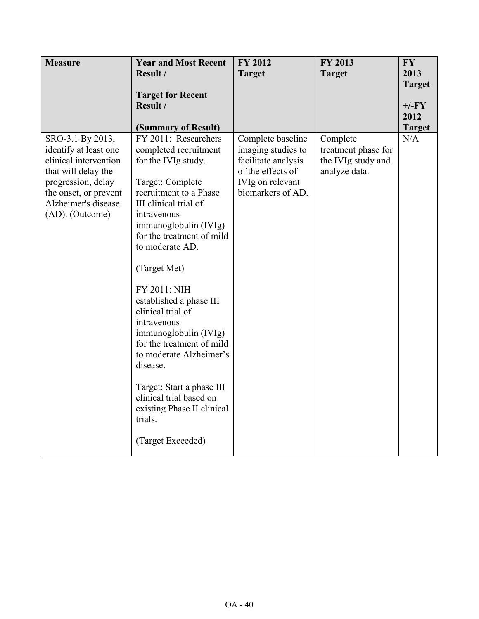| <b>Measure</b>                                 | <b>Year and Most Recent</b>                                      | <b>FY 2012</b>                            | <b>FY 2013</b>                            | <b>FY</b>     |
|------------------------------------------------|------------------------------------------------------------------|-------------------------------------------|-------------------------------------------|---------------|
|                                                | Result /                                                         | <b>Target</b>                             | <b>Target</b>                             | 2013          |
|                                                | <b>Target for Recent</b>                                         |                                           |                                           | <b>Target</b> |
|                                                | Result /                                                         |                                           |                                           | $+/-FY$       |
|                                                |                                                                  |                                           |                                           | 2012          |
|                                                | (Summary of Result)                                              |                                           |                                           | <b>Target</b> |
| SRO-3.1 By 2013,                               | FY 2011: Researchers                                             | Complete baseline                         | Complete                                  | N/A           |
| identify at least one<br>clinical intervention | completed recruitment<br>for the IVIg study.                     | imaging studies to<br>facilitate analysis | treatment phase for<br>the IVIg study and |               |
| that will delay the                            |                                                                  | of the effects of                         | analyze data.                             |               |
| progression, delay                             | Target: Complete                                                 | IVIg on relevant                          |                                           |               |
| the onset, or prevent                          | recruitment to a Phase                                           | biomarkers of AD.                         |                                           |               |
| Alzheimer's disease                            | III clinical trial of                                            |                                           |                                           |               |
| (AD). (Outcome)                                | intravenous<br>immunoglobulin (IVIg)                             |                                           |                                           |               |
|                                                | for the treatment of mild                                        |                                           |                                           |               |
|                                                | to moderate AD.                                                  |                                           |                                           |               |
|                                                | (Target Met)                                                     |                                           |                                           |               |
|                                                | FY 2011: NIH                                                     |                                           |                                           |               |
|                                                | established a phase III                                          |                                           |                                           |               |
|                                                | clinical trial of                                                |                                           |                                           |               |
|                                                | intravenous<br>immunoglobulin (IVIg)                             |                                           |                                           |               |
|                                                | for the treatment of mild                                        |                                           |                                           |               |
|                                                | to moderate Alzheimer's                                          |                                           |                                           |               |
|                                                | disease.                                                         |                                           |                                           |               |
|                                                | Target: Start a phase III                                        |                                           |                                           |               |
|                                                | clinical trial based on<br>existing Phase II clinical<br>trials. |                                           |                                           |               |
|                                                | (Target Exceeded)                                                |                                           |                                           |               |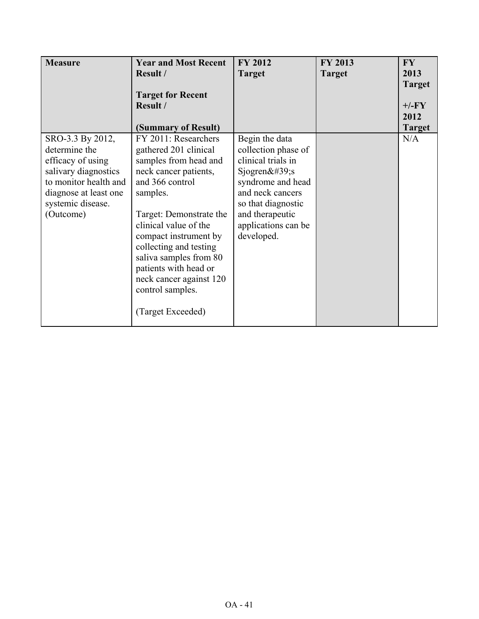| <b>Measure</b>                                                                                                                                                     | <b>Year and Most Recent</b><br>Result /<br><b>Target for Recent</b><br>Result /<br>(Summary of Result)                                                                                                                                                                                                                                                       | <b>FY 2012</b><br><b>Target</b>                                                                                                                                                                          | FY 2013<br><b>Target</b> | <b>FY</b><br>2013<br><b>Target</b><br>$+/-FY$<br>2012<br><b>Target</b> |
|--------------------------------------------------------------------------------------------------------------------------------------------------------------------|--------------------------------------------------------------------------------------------------------------------------------------------------------------------------------------------------------------------------------------------------------------------------------------------------------------------------------------------------------------|----------------------------------------------------------------------------------------------------------------------------------------------------------------------------------------------------------|--------------------------|------------------------------------------------------------------------|
| SRO-3.3 By 2012,<br>determine the<br>efficacy of using<br>salivary diagnostics<br>to monitor health and<br>diagnose at least one<br>systemic disease.<br>(Outcome) | FY 2011: Researchers<br>gathered 201 clinical<br>samples from head and<br>neck cancer patients,<br>and 366 control<br>samples.<br>Target: Demonstrate the<br>clinical value of the<br>compact instrument by<br>collecting and testing<br>saliva samples from 80<br>patients with head or<br>neck cancer against 120<br>control samples.<br>(Target Exceeded) | Begin the data<br>collection phase of<br>clinical trials in<br>Sjogren $&\#39;$ s<br>syndrome and head<br>and neck cancers<br>so that diagnostic<br>and therapeutic<br>applications can be<br>developed. |                          | N/A                                                                    |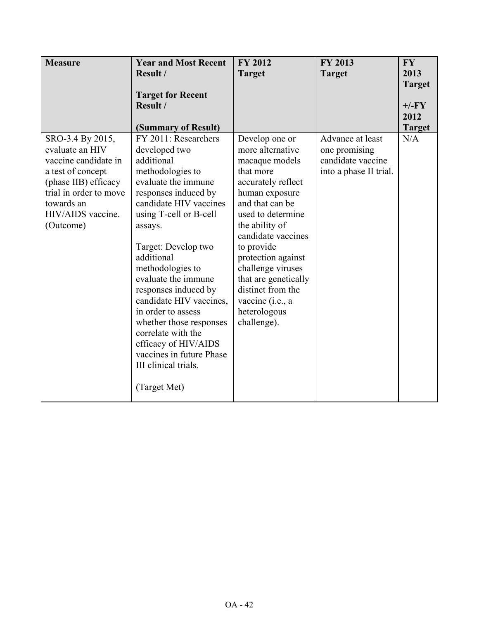| <b>Measure</b>         | <b>Year and Most Recent</b> | <b>FY 2012</b>       | <b>FY 2013</b>         | <b>FY</b>     |
|------------------------|-----------------------------|----------------------|------------------------|---------------|
|                        | Result /                    | <b>Target</b>        | <b>Target</b>          | 2013          |
|                        |                             |                      |                        | <b>Target</b> |
|                        | <b>Target for Recent</b>    |                      |                        |               |
|                        | Result /                    |                      |                        | $+/-FY$       |
|                        |                             |                      |                        | 2012          |
|                        | (Summary of Result)         |                      |                        | <b>Target</b> |
| SRO-3.4 By 2015,       | FY 2011: Researchers        | Develop one or       | Advance at least       | N/A           |
| evaluate an HIV        | developed two               | more alternative     | one promising          |               |
| vaccine candidate in   | additional                  | macaque models       | candidate vaccine      |               |
| a test of concept      | methodologies to            | that more            | into a phase II trial. |               |
| (phase IIB) efficacy   | evaluate the immune         | accurately reflect   |                        |               |
| trial in order to move | responses induced by        | human exposure       |                        |               |
| towards an             | candidate HIV vaccines      | and that can be      |                        |               |
| HIV/AIDS vaccine.      | using T-cell or B-cell      | used to determine    |                        |               |
| (Outcome)              | assays.                     | the ability of       |                        |               |
|                        |                             | candidate vaccines   |                        |               |
|                        | Target: Develop two         | to provide           |                        |               |
|                        | additional                  | protection against   |                        |               |
|                        | methodologies to            | challenge viruses    |                        |               |
|                        | evaluate the immune         | that are genetically |                        |               |
|                        | responses induced by        | distinct from the    |                        |               |
|                        | candidate HIV vaccines,     | vaccine (i.e., a     |                        |               |
|                        | in order to assess          | heterologous         |                        |               |
|                        | whether those responses     | challenge).          |                        |               |
|                        | correlate with the          |                      |                        |               |
|                        | efficacy of HIV/AIDS        |                      |                        |               |
|                        | vaccines in future Phase    |                      |                        |               |
|                        | III clinical trials.        |                      |                        |               |
|                        |                             |                      |                        |               |
|                        | (Target Met)                |                      |                        |               |
|                        |                             |                      |                        |               |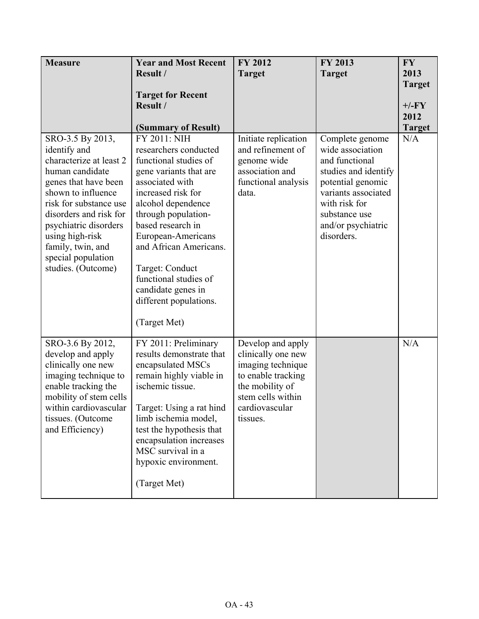| <b>Measure</b>                                                                                                                                                                                                                                                                                | <b>Year and Most Recent</b><br>Result /                                                                                                                                                                                                                                                                                                                         | <b>FY 2012</b><br><b>Target</b>                                                                                                                          | FY 2013<br><b>Target</b>                                                                                                                                                                        | <b>FY</b><br>2013<br><b>Target</b> |
|-----------------------------------------------------------------------------------------------------------------------------------------------------------------------------------------------------------------------------------------------------------------------------------------------|-----------------------------------------------------------------------------------------------------------------------------------------------------------------------------------------------------------------------------------------------------------------------------------------------------------------------------------------------------------------|----------------------------------------------------------------------------------------------------------------------------------------------------------|-------------------------------------------------------------------------------------------------------------------------------------------------------------------------------------------------|------------------------------------|
|                                                                                                                                                                                                                                                                                               | <b>Target for Recent</b><br>Result /<br>(Summary of Result)                                                                                                                                                                                                                                                                                                     |                                                                                                                                                          |                                                                                                                                                                                                 | $+/-FY$<br>2012<br><b>Target</b>   |
| SRO-3.5 By 2013,<br>identify and<br>characterize at least 2<br>human candidate<br>genes that have been<br>shown to influence<br>risk for substance use<br>disorders and risk for<br>psychiatric disorders<br>using high-risk<br>family, twin, and<br>special population<br>studies. (Outcome) | FY 2011: NIH<br>researchers conducted<br>functional studies of<br>gene variants that are<br>associated with<br>increased risk for<br>alcohol dependence<br>through population-<br>based research in<br>European-Americans<br>and African Americans.<br>Target: Conduct<br>functional studies of<br>candidate genes in<br>different populations.<br>(Target Met) | Initiate replication<br>and refinement of<br>genome wide<br>association and<br>functional analysis<br>data.                                              | Complete genome<br>wide association<br>and functional<br>studies and identify<br>potential genomic<br>variants associated<br>with risk for<br>substance use<br>and/or psychiatric<br>disorders. | N/A                                |
| SRO-3.6 By 2012,<br>develop and apply<br>clinically one new<br>imaging technique to<br>enable tracking the<br>mobility of stem cells<br>within cardiovascular<br>tissues. (Outcome<br>and Efficiency)                                                                                         | FY 2011: Preliminary<br>results demonstrate that<br>encapsulated MSCs<br>remain highly viable in<br>ischemic tissue.<br>Target: Using a rat hind<br>limb ischemia model,<br>test the hypothesis that<br>encapsulation increases<br>MSC survival in a<br>hypoxic environment.<br>(Target Met)                                                                    | Develop and apply<br>clinically one new<br>imaging technique<br>to enable tracking<br>the mobility of<br>stem cells within<br>cardiovascular<br>tissues. |                                                                                                                                                                                                 | N/A                                |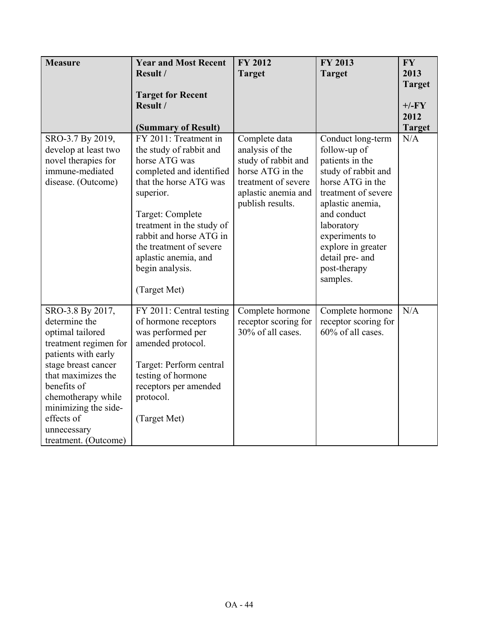| <b>Measure</b>                         | <b>Year and Most Recent</b>              | FY 2012                                 | FY 2013                         | <b>FY</b>     |
|----------------------------------------|------------------------------------------|-----------------------------------------|---------------------------------|---------------|
|                                        | Result /                                 | <b>Target</b>                           | <b>Target</b>                   | 2013          |
|                                        |                                          |                                         |                                 | <b>Target</b> |
|                                        | <b>Target for Recent</b>                 |                                         |                                 |               |
|                                        | Result /                                 |                                         |                                 | $+/-FY$       |
|                                        |                                          |                                         |                                 | 2012          |
|                                        | (Summary of Result)                      |                                         |                                 | <b>Target</b> |
| SRO-3.7 By 2019,                       | FY 2011: Treatment in                    | Complete data                           | Conduct long-term               | N/A           |
| develop at least two                   | the study of rabbit and<br>horse ATG was | analysis of the                         | follow-up of<br>patients in the |               |
| novel therapies for<br>immune-mediated | completed and identified                 | study of rabbit and<br>horse ATG in the | study of rabbit and             |               |
| disease. (Outcome)                     | that the horse ATG was                   | treatment of severe                     | horse ATG in the                |               |
|                                        | superior.                                | aplastic anemia and                     | treatment of severe             |               |
|                                        |                                          | publish results.                        | aplastic anemia,                |               |
|                                        | Target: Complete                         |                                         | and conduct                     |               |
|                                        | treatment in the study of                |                                         | laboratory                      |               |
|                                        | rabbit and horse ATG in                  |                                         | experiments to                  |               |
|                                        | the treatment of severe                  |                                         | explore in greater              |               |
|                                        | aplastic anemia, and                     |                                         | detail pre- and                 |               |
|                                        | begin analysis.                          |                                         | post-therapy                    |               |
|                                        |                                          |                                         | samples.                        |               |
|                                        | (Target Met)                             |                                         |                                 |               |
| SRO-3.8 By 2017,                       | FY 2011: Central testing                 | Complete hormone                        | Complete hormone                | N/A           |
| determine the                          | of hormone receptors                     | receptor scoring for                    | receptor scoring for            |               |
| optimal tailored                       | was performed per                        | 30% of all cases.                       | 60% of all cases.               |               |
| treatment regimen for                  | amended protocol.                        |                                         |                                 |               |
| patients with early                    |                                          |                                         |                                 |               |
| stage breast cancer                    | Target: Perform central                  |                                         |                                 |               |
| that maximizes the                     | testing of hormone                       |                                         |                                 |               |
| benefits of                            | receptors per amended                    |                                         |                                 |               |
| chemotherapy while                     | protocol.                                |                                         |                                 |               |
| minimizing the side-<br>effects of     |                                          |                                         |                                 |               |
| unnecessary                            | (Target Met)                             |                                         |                                 |               |
| treatment. (Outcome)                   |                                          |                                         |                                 |               |
|                                        |                                          |                                         |                                 |               |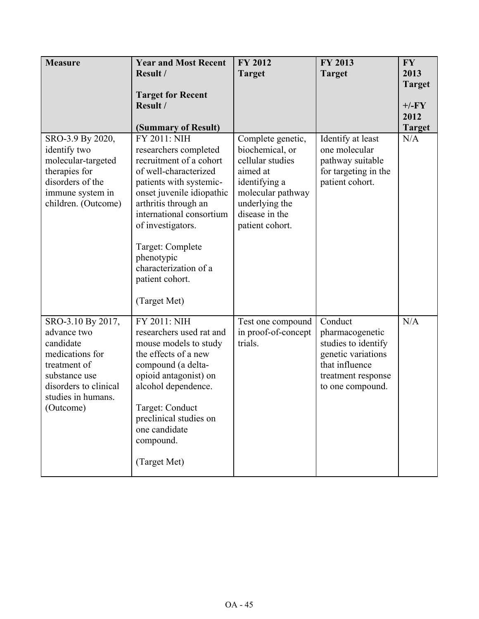| <b>Measure</b>                                                                                                                                                | <b>Year and Most Recent</b><br>Result /                                                                                                                                                                                                                                                                                  | FY 2012<br><b>Target</b>                                                                                                                                          | FY 2013<br><b>Target</b>                                                                                                            | <b>FY</b><br>2013                                 |
|---------------------------------------------------------------------------------------------------------------------------------------------------------------|--------------------------------------------------------------------------------------------------------------------------------------------------------------------------------------------------------------------------------------------------------------------------------------------------------------------------|-------------------------------------------------------------------------------------------------------------------------------------------------------------------|-------------------------------------------------------------------------------------------------------------------------------------|---------------------------------------------------|
|                                                                                                                                                               | <b>Target for Recent</b><br>Result /<br>(Summary of Result)                                                                                                                                                                                                                                                              |                                                                                                                                                                   |                                                                                                                                     | <b>Target</b><br>$+/-FY$<br>2012<br><b>Target</b> |
| SRO-3.9 By 2020,<br>identify two<br>molecular-targeted<br>therapies for<br>disorders of the<br>immune system in<br>children. (Outcome)                        | FY 2011: NIH<br>researchers completed<br>recruitment of a cohort<br>of well-characterized<br>patients with systemic-<br>onset juvenile idiopathic<br>arthritis through an<br>international consortium<br>of investigators.<br>Target: Complete<br>phenotypic<br>characterization of a<br>patient cohort.<br>(Target Met) | Complete genetic,<br>biochemical, or<br>cellular studies<br>aimed at<br>identifying a<br>molecular pathway<br>underlying the<br>disease in the<br>patient cohort. | Identify at least<br>one molecular<br>pathway suitable<br>for targeting in the<br>patient cohort.                                   | N/A                                               |
| SRO-3.10 By 2017,<br>advance two<br>candidate<br>medications for<br>treatment of<br>substance use<br>disorders to clinical<br>studies in humans.<br>(Outcome) | FY 2011: NIH<br>researchers used rat and<br>mouse models to study<br>the effects of a new<br>compound (a delta-<br>opioid antagonist) on<br>alcohol dependence.<br>Target: Conduct<br>preclinical studies on<br>one candidate<br>compound.<br>(Target Met)                                                               | Test one compound<br>in proof-of-concept<br>trials.                                                                                                               | Conduct<br>pharmacogenetic<br>studies to identify<br>genetic variations<br>that influence<br>treatment response<br>to one compound. | N/A                                               |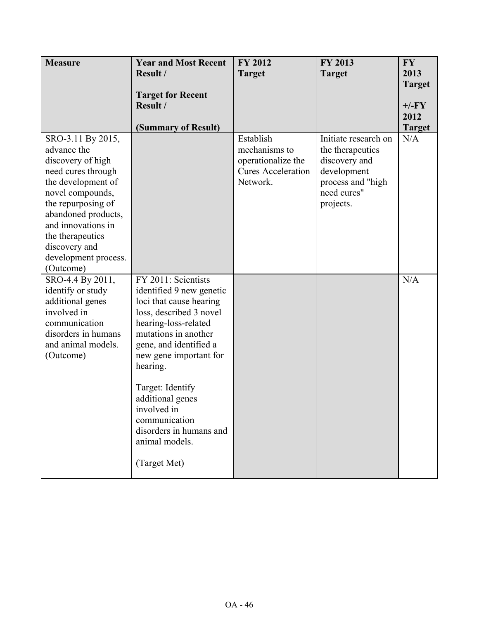| <b>Measure</b>       | <b>Year and Most Recent</b> | FY 2012                   | FY 2013              | <b>FY</b>     |
|----------------------|-----------------------------|---------------------------|----------------------|---------------|
|                      | Result /                    | <b>Target</b>             | <b>Target</b>        | 2013          |
|                      |                             |                           |                      | <b>Target</b> |
|                      | <b>Target for Recent</b>    |                           |                      |               |
|                      | Result /                    |                           |                      | $+/-FY$       |
|                      |                             |                           |                      | 2012          |
|                      | (Summary of Result)         |                           |                      | <b>Target</b> |
| SRO-3.11 By 2015,    |                             | Establish                 | Initiate research on | N/A           |
| advance the          |                             | mechanisms to             | the therapeutics     |               |
| discovery of high    |                             | operationalize the        | discovery and        |               |
| need cures through   |                             | <b>Cures Acceleration</b> | development          |               |
| the development of   |                             | Network.                  | process and "high    |               |
| novel compounds,     |                             |                           | need cures"          |               |
| the repurposing of   |                             |                           | projects.            |               |
| abandoned products,  |                             |                           |                      |               |
| and innovations in   |                             |                           |                      |               |
| the therapeutics     |                             |                           |                      |               |
| discovery and        |                             |                           |                      |               |
| development process. |                             |                           |                      |               |
| (Outcome)            |                             |                           |                      |               |
| SRO-4.4 By 2011,     | FY 2011: Scientists         |                           |                      | N/A           |
| identify or study    | identified 9 new genetic    |                           |                      |               |
| additional genes     | loci that cause hearing     |                           |                      |               |
| involved in          | loss, described 3 novel     |                           |                      |               |
| communication        | hearing-loss-related        |                           |                      |               |
| disorders in humans  | mutations in another        |                           |                      |               |
| and animal models.   | gene, and identified a      |                           |                      |               |
| (Outcome)            | new gene important for      |                           |                      |               |
|                      | hearing.                    |                           |                      |               |
|                      |                             |                           |                      |               |
|                      | Target: Identify            |                           |                      |               |
|                      | additional genes            |                           |                      |               |
|                      | involved in                 |                           |                      |               |
|                      | communication               |                           |                      |               |
|                      | disorders in humans and     |                           |                      |               |
|                      | animal models.              |                           |                      |               |
|                      |                             |                           |                      |               |
|                      | (Target Met)                |                           |                      |               |
|                      |                             |                           |                      |               |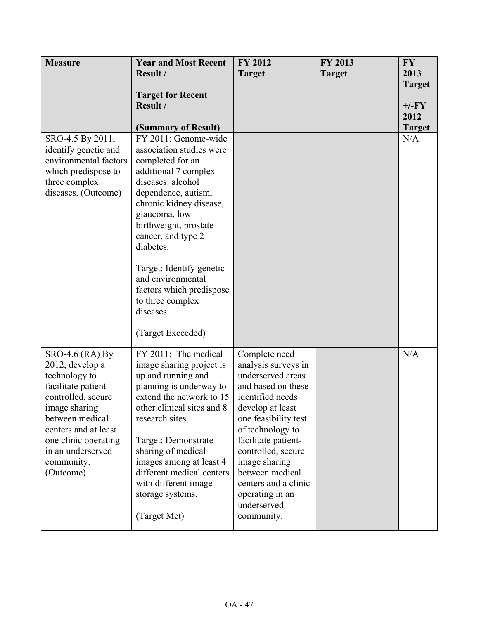| <b>Measure</b><br>SRO-4.5 By 2011,                                                                                                                                                                                                     | <b>Year and Most Recent</b><br>Result /<br><b>Target for Recent</b><br>Result /<br>(Summary of Result)<br>FY 2011: Genome-wide                                                                                                                                                                                                                              | <b>FY 2012</b><br><b>Target</b>                                                                                                                                                                                                                                                                                              | FY 2013<br><b>Target</b> | <b>FY</b><br>2013<br><b>Target</b><br>$+/-FY$<br>2012<br><b>Target</b><br>N/A |
|----------------------------------------------------------------------------------------------------------------------------------------------------------------------------------------------------------------------------------------|-------------------------------------------------------------------------------------------------------------------------------------------------------------------------------------------------------------------------------------------------------------------------------------------------------------------------------------------------------------|------------------------------------------------------------------------------------------------------------------------------------------------------------------------------------------------------------------------------------------------------------------------------------------------------------------------------|--------------------------|-------------------------------------------------------------------------------|
| identify genetic and<br>environmental factors<br>which predispose to<br>three complex<br>diseases. (Outcome)                                                                                                                           | association studies were<br>completed for an<br>additional 7 complex<br>diseases: alcohol<br>dependence, autism,<br>chronic kidney disease,<br>glaucoma, low<br>birthweight, prostate<br>cancer, and type 2<br>diabetes.<br>Target: Identify genetic<br>and environmental<br>factors which predispose<br>to three complex<br>diseases.<br>(Target Exceeded) |                                                                                                                                                                                                                                                                                                                              |                          |                                                                               |
| $SRO-4.6$ (RA) By<br>2012, develop a<br>technology to<br>facilitate patient-<br>controlled, secure<br>image sharing<br>between medical<br>centers and at least<br>one clinic operating<br>in an underserved<br>community.<br>(Outcome) | FY 2011: The medical<br>image sharing project is<br>up and running and<br>planning is underway to<br>extend the network to 15<br>other clinical sites and 8<br>research sites.<br>Target: Demonstrate<br>sharing of medical<br>images among at least 4<br>different medical centers<br>with different image<br>storage systems.<br>(Target Met)             | Complete need<br>analysis surveys in<br>underserved areas<br>and based on these<br>identified needs<br>develop at least<br>one feasibility test<br>of technology to<br>facilitate patient-<br>controlled, secure<br>image sharing<br>between medical<br>centers and a clinic<br>operating in an<br>underserved<br>community. |                          | N/A                                                                           |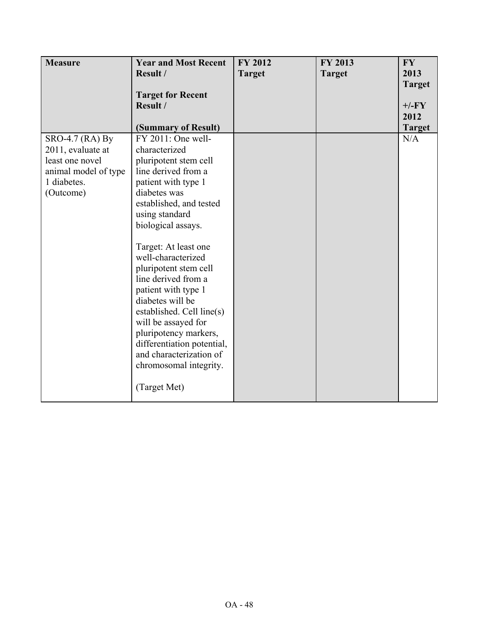| <b>Measure</b>       | <b>Year and Most Recent</b> | <b>FY 2012</b> | FY 2013       | <b>FY</b>     |
|----------------------|-----------------------------|----------------|---------------|---------------|
|                      | Result /                    | <b>Target</b>  | <b>Target</b> | 2013          |
|                      |                             |                |               | <b>Target</b> |
|                      | <b>Target for Recent</b>    |                |               |               |
|                      | Result /                    |                |               | $+/-FY$       |
|                      |                             |                |               | 2012          |
|                      | (Summary of Result)         |                |               | <b>Target</b> |
| SRO-4.7 (RA) By      | FY 2011: One well-          |                |               | N/A           |
| 2011, evaluate at    | characterized               |                |               |               |
| least one novel      | pluripotent stem cell       |                |               |               |
| animal model of type | line derived from a         |                |               |               |
| 1 diabetes.          | patient with type 1         |                |               |               |
| (Outcome)            | diabetes was                |                |               |               |
|                      | established, and tested     |                |               |               |
|                      | using standard              |                |               |               |
|                      | biological assays.          |                |               |               |
|                      |                             |                |               |               |
|                      | Target: At least one        |                |               |               |
|                      | well-characterized          |                |               |               |
|                      | pluripotent stem cell       |                |               |               |
|                      | line derived from a         |                |               |               |
|                      | patient with type 1         |                |               |               |
|                      | diabetes will be            |                |               |               |
|                      | established. Cell line(s)   |                |               |               |
|                      | will be assayed for         |                |               |               |
|                      | pluripotency markers,       |                |               |               |
|                      | differentiation potential,  |                |               |               |
|                      | and characterization of     |                |               |               |
|                      | chromosomal integrity.      |                |               |               |
|                      |                             |                |               |               |
|                      | (Target Met)                |                |               |               |
|                      |                             |                |               |               |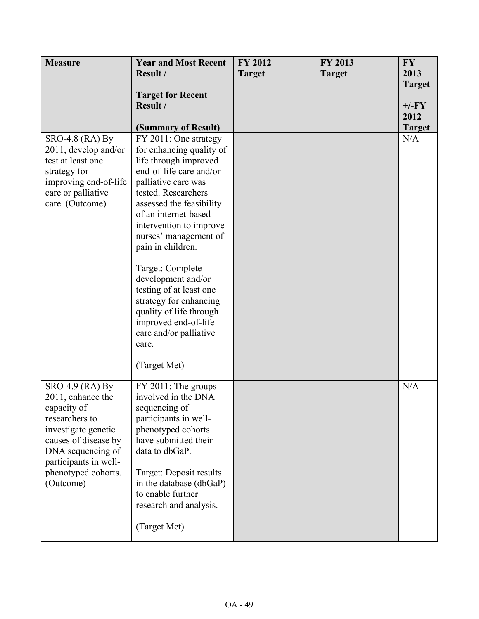| <b>Measure</b>                              | <b>Year and Most Recent</b>                       | <b>FY 2012</b> | <b>FY 2013</b> | <b>FY</b>            |
|---------------------------------------------|---------------------------------------------------|----------------|----------------|----------------------|
|                                             | Result /                                          | <b>Target</b>  | <b>Target</b>  | 2013                 |
|                                             |                                                   |                |                | <b>Target</b>        |
|                                             | <b>Target for Recent</b>                          |                |                |                      |
|                                             | Result /                                          |                |                | $+/-FY$              |
|                                             |                                                   |                |                | 2012                 |
| <b>SRO-4.8 (RA) By</b>                      | (Summary of Result)<br>FY 2011: One strategy      |                |                | <b>Target</b><br>N/A |
| 2011, develop and/or                        | for enhancing quality of                          |                |                |                      |
| test at least one                           | life through improved                             |                |                |                      |
| strategy for                                | end-of-life care and/or                           |                |                |                      |
| improving end-of-life                       | palliative care was                               |                |                |                      |
| care or palliative                          | tested. Researchers                               |                |                |                      |
| care. (Outcome)                             | assessed the feasibility                          |                |                |                      |
|                                             | of an internet-based<br>intervention to improve   |                |                |                      |
|                                             | nurses' management of                             |                |                |                      |
|                                             | pain in children.                                 |                |                |                      |
|                                             |                                                   |                |                |                      |
|                                             | Target: Complete                                  |                |                |                      |
|                                             | development and/or                                |                |                |                      |
|                                             | testing of at least one<br>strategy for enhancing |                |                |                      |
|                                             | quality of life through                           |                |                |                      |
|                                             | improved end-of-life                              |                |                |                      |
|                                             | care and/or palliative                            |                |                |                      |
|                                             | care.                                             |                |                |                      |
|                                             | (Target Met)                                      |                |                |                      |
|                                             |                                                   |                |                |                      |
| SRO-4.9 (RA) By                             | FY 2011: The groups                               |                |                | N/A                  |
| 2011, enhance the                           | involved in the DNA                               |                |                |                      |
| capacity of                                 | sequencing of                                     |                |                |                      |
| researchers to                              | participants in well-<br>phenotyped cohorts       |                |                |                      |
| investigate genetic<br>causes of disease by | have submitted their                              |                |                |                      |
| DNA sequencing of                           | data to dbGaP.                                    |                |                |                      |
| participants in well-                       |                                                   |                |                |                      |
| phenotyped cohorts.                         | Target: Deposit results                           |                |                |                      |
| (Outcome)                                   | in the database (dbGaP)                           |                |                |                      |
|                                             | to enable further<br>research and analysis.       |                |                |                      |
|                                             |                                                   |                |                |                      |
|                                             | (Target Met)                                      |                |                |                      |
|                                             |                                                   |                |                |                      |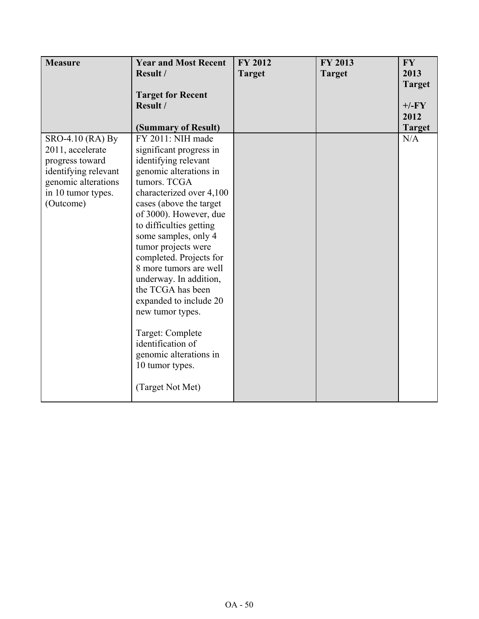| <b>Measure</b>                            | <b>Year and Most Recent</b>            | <b>FY 2012</b> | FY 2013       | <b>FY</b>     |
|-------------------------------------------|----------------------------------------|----------------|---------------|---------------|
|                                           | Result /                               | <b>Target</b>  | <b>Target</b> | 2013          |
|                                           |                                        |                |               | <b>Target</b> |
|                                           | <b>Target for Recent</b>               |                |               |               |
|                                           | Result /                               |                |               | $+/-FY$       |
|                                           |                                        |                |               | 2012          |
|                                           | (Summary of Result)                    |                |               | <b>Target</b> |
| SRO-4.10 (RA) By                          | FY 2011: NIH made                      |                |               | N/A           |
| 2011, accelerate                          | significant progress in                |                |               |               |
| progress toward                           | identifying relevant                   |                |               |               |
| identifying relevant                      | genomic alterations in<br>tumors. TCGA |                |               |               |
| genomic alterations<br>in 10 tumor types. | characterized over 4,100               |                |               |               |
| (Outcome)                                 | cases (above the target                |                |               |               |
|                                           | of 3000). However, due                 |                |               |               |
|                                           | to difficulties getting                |                |               |               |
|                                           | some samples, only 4                   |                |               |               |
|                                           | tumor projects were                    |                |               |               |
|                                           | completed. Projects for                |                |               |               |
|                                           | 8 more tumors are well                 |                |               |               |
|                                           | underway. In addition,                 |                |               |               |
|                                           | the TCGA has been                      |                |               |               |
|                                           | expanded to include 20                 |                |               |               |
|                                           | new tumor types.                       |                |               |               |
|                                           |                                        |                |               |               |
|                                           | Target: Complete                       |                |               |               |
|                                           | identification of                      |                |               |               |
|                                           | genomic alterations in                 |                |               |               |
|                                           | 10 tumor types.                        |                |               |               |
|                                           |                                        |                |               |               |
|                                           | (Target Not Met)                       |                |               |               |
|                                           |                                        |                |               |               |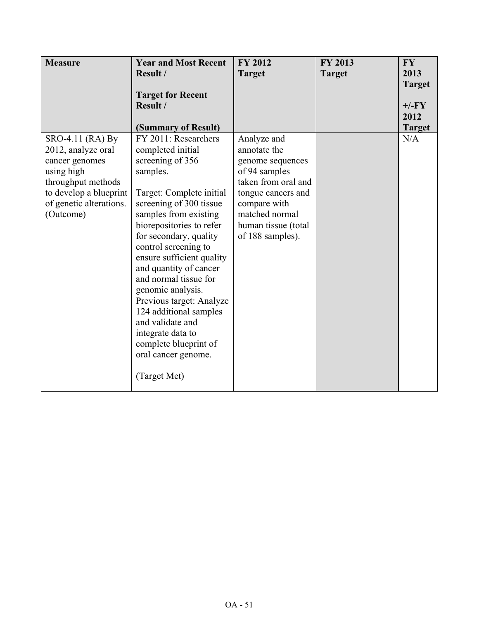| <b>Measure</b>          | <b>Year and Most Recent</b>                       | <b>FY 2012</b>      | FY 2013       | <b>FY</b>     |
|-------------------------|---------------------------------------------------|---------------------|---------------|---------------|
|                         | Result /                                          | <b>Target</b>       | <b>Target</b> | 2013          |
|                         | <b>Target for Recent</b>                          |                     |               | <b>Target</b> |
|                         | Result /                                          |                     |               | $+/-FY$       |
|                         |                                                   |                     |               | 2012          |
|                         | (Summary of Result)                               |                     |               | <b>Target</b> |
| SRO-4.11 (RA) By        | FY 2011: Researchers                              | Analyze and         |               | N/A           |
| 2012, analyze oral      | completed initial                                 | annotate the        |               |               |
| cancer genomes          | screening of 356                                  | genome sequences    |               |               |
| using high              | samples.                                          | of 94 samples       |               |               |
| throughput methods      |                                                   | taken from oral and |               |               |
| to develop a blueprint  | Target: Complete initial                          | tongue cancers and  |               |               |
| of genetic alterations. | screening of 300 tissue                           | compare with        |               |               |
| (Outcome)               | samples from existing                             | matched normal      |               |               |
|                         | biorepositories to refer                          | human tissue (total |               |               |
|                         | for secondary, quality                            | of 188 samples).    |               |               |
|                         | control screening to<br>ensure sufficient quality |                     |               |               |
|                         | and quantity of cancer                            |                     |               |               |
|                         | and normal tissue for                             |                     |               |               |
|                         | genomic analysis.                                 |                     |               |               |
|                         | Previous target: Analyze                          |                     |               |               |
|                         | 124 additional samples                            |                     |               |               |
|                         | and validate and                                  |                     |               |               |
|                         | integrate data to                                 |                     |               |               |
|                         | complete blueprint of                             |                     |               |               |
|                         | oral cancer genome.                               |                     |               |               |
|                         |                                                   |                     |               |               |
|                         | (Target Met)                                      |                     |               |               |
|                         |                                                   |                     |               |               |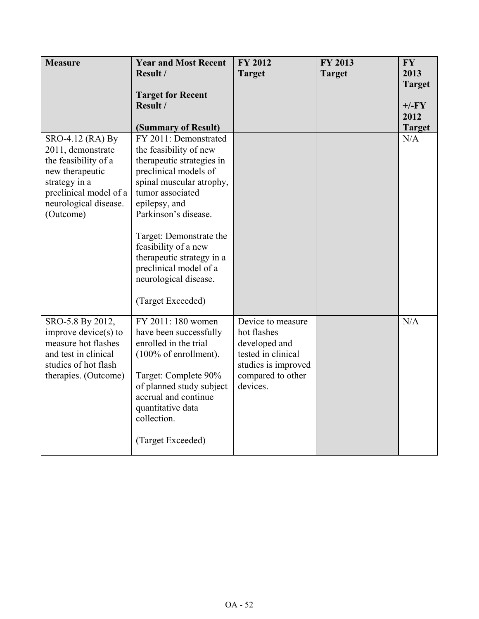| <b>Measure</b>                                                                                                                                                    | <b>Year and Most Recent</b><br>Result /<br><b>Target for Recent</b><br>Result /<br>(Summary of Result)                                                                                                                                                                                                                                                 | FY 2012<br><b>Target</b>                                                                                                        | FY 2013<br><b>Target</b> | <b>FY</b><br>2013<br><b>Target</b><br>$+/-FY$<br>2012<br><b>Target</b> |
|-------------------------------------------------------------------------------------------------------------------------------------------------------------------|--------------------------------------------------------------------------------------------------------------------------------------------------------------------------------------------------------------------------------------------------------------------------------------------------------------------------------------------------------|---------------------------------------------------------------------------------------------------------------------------------|--------------------------|------------------------------------------------------------------------|
| SRO-4.12 (RA) By<br>2011, demonstrate<br>the feasibility of a<br>new therapeutic<br>strategy in a<br>preclinical model of a<br>neurological disease.<br>(Outcome) | FY 2011: Demonstrated<br>the feasibility of new<br>therapeutic strategies in<br>preclinical models of<br>spinal muscular atrophy,<br>tumor associated<br>epilepsy, and<br>Parkinson's disease.<br>Target: Demonstrate the<br>feasibility of a new<br>therapeutic strategy in a<br>preclinical model of a<br>neurological disease.<br>(Target Exceeded) |                                                                                                                                 |                          | N/A                                                                    |
| SRO-5.8 By 2012,<br>improve device $(s)$ to<br>measure hot flashes<br>and test in clinical<br>studies of hot flash<br>therapies. (Outcome)                        | FY 2011: 180 women<br>have been successfully<br>enrolled in the trial<br>$(100\% \text{ of enrollment}).$<br>Target: Complete 90%<br>of planned study subject<br>accrual and continue<br>quantitative data<br>collection.<br>(Target Exceeded)                                                                                                         | Device to measure<br>hot flashes<br>developed and<br>tested in clinical<br>studies is improved<br>compared to other<br>devices. |                          | N/A                                                                    |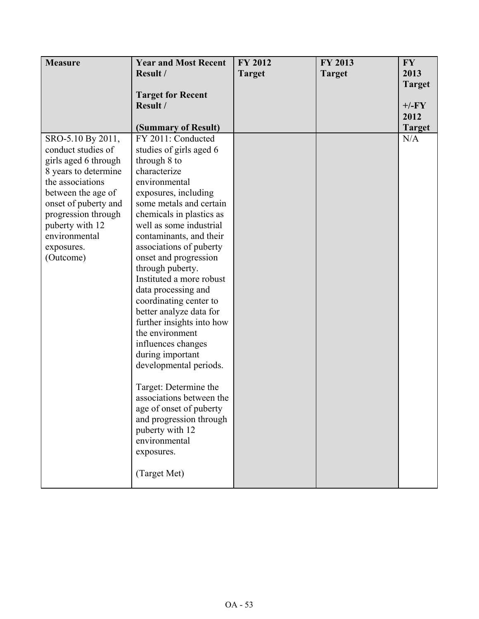| <b>Measure</b>       | <b>Year and Most Recent</b> | <b>FY 2012</b> | FY 2013       | <b>FY</b>     |
|----------------------|-----------------------------|----------------|---------------|---------------|
|                      | Result /                    | <b>Target</b>  | <b>Target</b> | 2013          |
|                      |                             |                |               | <b>Target</b> |
|                      | <b>Target for Recent</b>    |                |               |               |
|                      | Result /                    |                |               | $+/-FY$       |
|                      |                             |                |               | 2012          |
|                      | (Summary of Result)         |                |               | <b>Target</b> |
| SRO-5.10 By 2011,    | FY 2011: Conducted          |                |               | N/A           |
| conduct studies of   | studies of girls aged 6     |                |               |               |
| girls aged 6 through | through 8 to                |                |               |               |
| 8 years to determine | characterize                |                |               |               |
| the associations     | environmental               |                |               |               |
| between the age of   | exposures, including        |                |               |               |
| onset of puberty and | some metals and certain     |                |               |               |
| progression through  | chemicals in plastics as    |                |               |               |
| puberty with 12      | well as some industrial     |                |               |               |
| environmental        | contaminants, and their     |                |               |               |
| exposures.           | associations of puberty     |                |               |               |
| (Outcome)            | onset and progression       |                |               |               |
|                      | through puberty.            |                |               |               |
|                      | Instituted a more robust    |                |               |               |
|                      | data processing and         |                |               |               |
|                      | coordinating center to      |                |               |               |
|                      | better analyze data for     |                |               |               |
|                      | further insights into how   |                |               |               |
|                      | the environment             |                |               |               |
|                      | influences changes          |                |               |               |
|                      | during important            |                |               |               |
|                      | developmental periods.      |                |               |               |
|                      |                             |                |               |               |
|                      | Target: Determine the       |                |               |               |
|                      | associations between the    |                |               |               |
|                      | age of onset of puberty     |                |               |               |
|                      | and progression through     |                |               |               |
|                      | puberty with 12             |                |               |               |
|                      | environmental               |                |               |               |
|                      | exposures.                  |                |               |               |
|                      |                             |                |               |               |
|                      | (Target Met)                |                |               |               |
|                      |                             |                |               |               |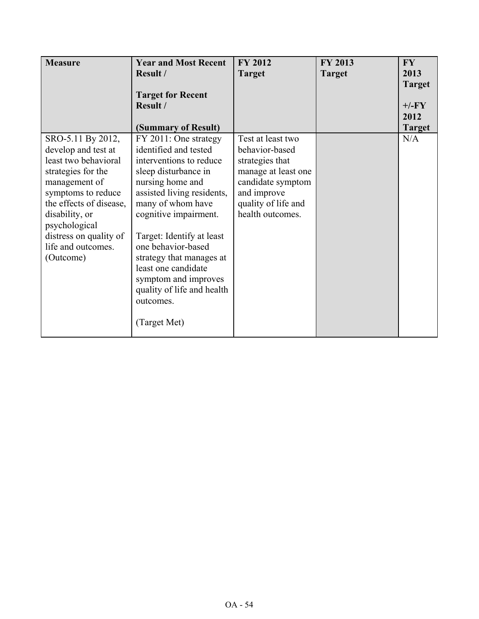| <b>Measure</b>                               | <b>Year and Most Recent</b>                     | <b>FY 2012</b>      | FY 2013       | <b>FY</b>             |
|----------------------------------------------|-------------------------------------------------|---------------------|---------------|-----------------------|
|                                              | Result /                                        | <b>Target</b>       | <b>Target</b> | 2013                  |
|                                              |                                                 |                     |               | <b>Target</b>         |
|                                              | <b>Target for Recent</b>                        |                     |               |                       |
|                                              | Result /                                        |                     |               | $+/-FY$               |
|                                              | (Summary of Result)                             |                     |               | 2012<br><b>Target</b> |
| SRO-5.11 By 2012,                            | FY 2011: One strategy                           | Test at least two   |               | N/A                   |
| develop and test at                          | identified and tested                           | behavior-based      |               |                       |
| least two behavioral                         | interventions to reduce                         | strategies that     |               |                       |
| strategies for the                           | sleep disturbance in                            | manage at least one |               |                       |
| management of                                | nursing home and                                | candidate symptom   |               |                       |
| symptoms to reduce                           | assisted living residents,                      | and improve         |               |                       |
| the effects of disease,                      | many of whom have                               | quality of life and |               |                       |
| disability, or                               | cognitive impairment.                           | health outcomes.    |               |                       |
| psychological                                |                                                 |                     |               |                       |
| distress on quality of<br>life and outcomes. | Target: Identify at least<br>one behavior-based |                     |               |                       |
| (Outcome)                                    | strategy that manages at                        |                     |               |                       |
|                                              | least one candidate                             |                     |               |                       |
|                                              | symptom and improves                            |                     |               |                       |
|                                              | quality of life and health                      |                     |               |                       |
|                                              | outcomes.                                       |                     |               |                       |
|                                              |                                                 |                     |               |                       |
|                                              | (Target Met)                                    |                     |               |                       |
|                                              |                                                 |                     |               |                       |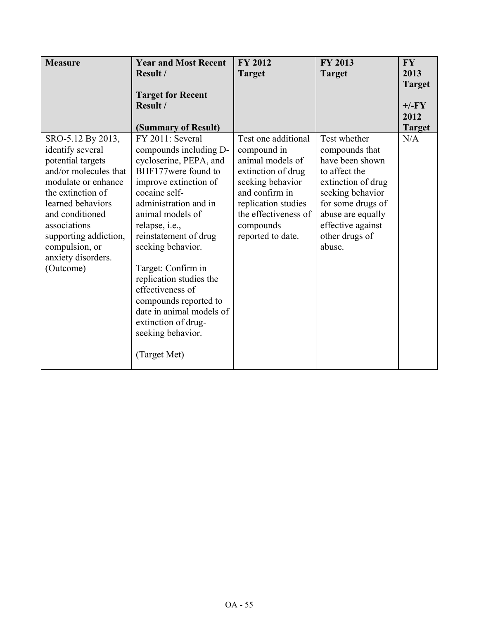| <b>Measure</b>                                                                                                                                                                                                                                                        | <b>Year and Most Recent</b><br>Result /                                                                                                                                                                                                                                                                                                                                                                                                  | <b>FY 2012</b><br><b>Target</b>                                                                                                                                                                     | <b>FY 2013</b><br><b>Target</b>                                                                                                                                                                         | <b>FY</b><br>2013                                 |
|-----------------------------------------------------------------------------------------------------------------------------------------------------------------------------------------------------------------------------------------------------------------------|------------------------------------------------------------------------------------------------------------------------------------------------------------------------------------------------------------------------------------------------------------------------------------------------------------------------------------------------------------------------------------------------------------------------------------------|-----------------------------------------------------------------------------------------------------------------------------------------------------------------------------------------------------|---------------------------------------------------------------------------------------------------------------------------------------------------------------------------------------------------------|---------------------------------------------------|
|                                                                                                                                                                                                                                                                       | <b>Target for Recent</b><br>Result /<br>(Summary of Result)                                                                                                                                                                                                                                                                                                                                                                              |                                                                                                                                                                                                     |                                                                                                                                                                                                         | <b>Target</b><br>$+/-FY$<br>2012<br><b>Target</b> |
| SRO-5.12 By 2013,<br>identify several<br>potential targets<br>and/or molecules that<br>modulate or enhance<br>the extinction of<br>learned behaviors<br>and conditioned<br>associations<br>supporting addiction,<br>compulsion, or<br>anxiety disorders.<br>(Outcome) | FY 2011: Several<br>compounds including D-<br>cycloserine, PEPA, and<br>BHF177were found to<br>improve extinction of<br>cocaine self-<br>administration and in<br>animal models of<br>relapse, i.e.,<br>reinstatement of drug<br>seeking behavior.<br>Target: Confirm in<br>replication studies the<br>effectiveness of<br>compounds reported to<br>date in animal models of<br>extinction of drug-<br>seeking behavior.<br>(Target Met) | Test one additional<br>compound in<br>animal models of<br>extinction of drug<br>seeking behavior<br>and confirm in<br>replication studies<br>the effectiveness of<br>compounds<br>reported to date. | Test whether<br>compounds that<br>have been shown<br>to affect the<br>extinction of drug<br>seeking behavior<br>for some drugs of<br>abuse are equally<br>effective against<br>other drugs of<br>abuse. | N/A                                               |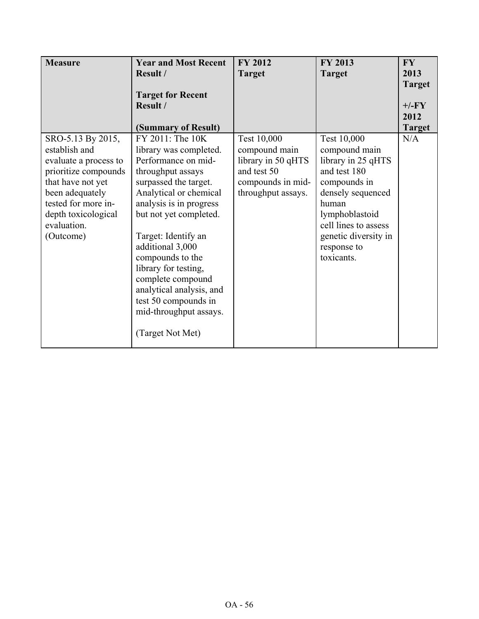| <b>Measure</b>                                                                                                                                                                                        | <b>Year and Most Recent</b><br>Result /                                                                                                                                                                                                                                                                                                                        | <b>FY 2012</b>                                                                                               | FY 2013                                                                                                                                                                                                         | <b>FY</b><br>2013    |
|-------------------------------------------------------------------------------------------------------------------------------------------------------------------------------------------------------|----------------------------------------------------------------------------------------------------------------------------------------------------------------------------------------------------------------------------------------------------------------------------------------------------------------------------------------------------------------|--------------------------------------------------------------------------------------------------------------|-----------------------------------------------------------------------------------------------------------------------------------------------------------------------------------------------------------------|----------------------|
|                                                                                                                                                                                                       |                                                                                                                                                                                                                                                                                                                                                                | <b>Target</b>                                                                                                | <b>Target</b>                                                                                                                                                                                                   | <b>Target</b>        |
|                                                                                                                                                                                                       | <b>Target for Recent</b>                                                                                                                                                                                                                                                                                                                                       |                                                                                                              |                                                                                                                                                                                                                 |                      |
|                                                                                                                                                                                                       | Result /                                                                                                                                                                                                                                                                                                                                                       |                                                                                                              |                                                                                                                                                                                                                 | $+/-FY$              |
|                                                                                                                                                                                                       | (Summary of Result)                                                                                                                                                                                                                                                                                                                                            |                                                                                                              |                                                                                                                                                                                                                 | 2012                 |
| SRO-5.13 By 2015,<br>establish and<br>evaluate a process to<br>prioritize compounds<br>that have not yet<br>been adequately<br>tested for more in-<br>depth toxicological<br>evaluation.<br>(Outcome) | FY 2011: The 10K<br>library was completed.<br>Performance on mid-<br>throughput assays<br>surpassed the target.<br>Analytical or chemical<br>analysis is in progress<br>but not yet completed.<br>Target: Identify an<br>additional 3,000<br>compounds to the<br>library for testing,<br>complete compound<br>analytical analysis, and<br>test 50 compounds in | Test 10,000<br>compound main<br>library in 50 qHTS<br>and test 50<br>compounds in mid-<br>throughput assays. | Test 10,000<br>compound main<br>library in 25 qHTS<br>and test 180<br>compounds in<br>densely sequenced<br>human<br>lymphoblastoid<br>cell lines to assess<br>genetic diversity in<br>response to<br>toxicants. | <b>Target</b><br>N/A |
|                                                                                                                                                                                                       | mid-throughput assays.<br>(Target Not Met)                                                                                                                                                                                                                                                                                                                     |                                                                                                              |                                                                                                                                                                                                                 |                      |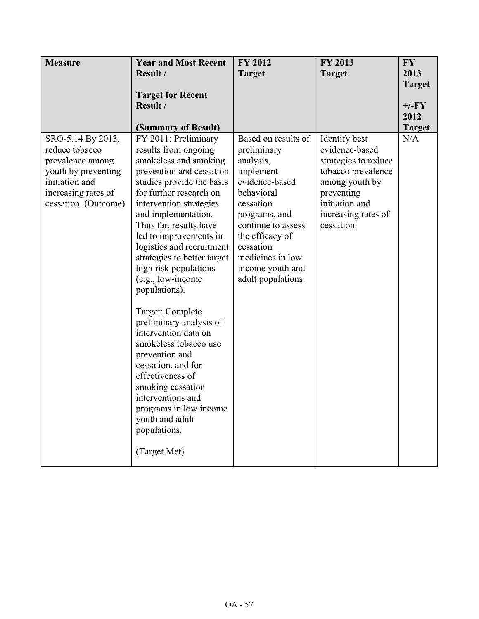| <b>Measure</b>                                                                                                                                  | <b>Year and Most Recent</b>                                                                                                                                                                                                                                                                                                                                                                                                                                                                                                                                                                                                                                                   | <b>FY 2012</b>                                                                                                                                                                                                                                 | FY 2013                                                                                                                                                              | <b>FY</b>                                         |
|-------------------------------------------------------------------------------------------------------------------------------------------------|-------------------------------------------------------------------------------------------------------------------------------------------------------------------------------------------------------------------------------------------------------------------------------------------------------------------------------------------------------------------------------------------------------------------------------------------------------------------------------------------------------------------------------------------------------------------------------------------------------------------------------------------------------------------------------|------------------------------------------------------------------------------------------------------------------------------------------------------------------------------------------------------------------------------------------------|----------------------------------------------------------------------------------------------------------------------------------------------------------------------|---------------------------------------------------|
|                                                                                                                                                 | Result /                                                                                                                                                                                                                                                                                                                                                                                                                                                                                                                                                                                                                                                                      | <b>Target</b>                                                                                                                                                                                                                                  | <b>Target</b>                                                                                                                                                        | 2013                                              |
|                                                                                                                                                 | <b>Target for Recent</b><br>Result /<br>(Summary of Result)                                                                                                                                                                                                                                                                                                                                                                                                                                                                                                                                                                                                                   |                                                                                                                                                                                                                                                |                                                                                                                                                                      | <b>Target</b><br>$+/-FY$<br>2012<br><b>Target</b> |
| SRO-5.14 By 2013,<br>reduce tobacco<br>prevalence among<br>youth by preventing<br>initiation and<br>increasing rates of<br>cessation. (Outcome) | FY 2011: Preliminary<br>results from ongoing<br>smokeless and smoking<br>prevention and cessation<br>studies provide the basis<br>for further research on<br>intervention strategies<br>and implementation.<br>Thus far, results have<br>led to improvements in<br>logistics and recruitment<br>strategies to better target<br>high risk populations<br>(e.g., low-income<br>populations).<br>Target: Complete<br>preliminary analysis of<br>intervention data on<br>smokeless tobacco use<br>prevention and<br>cessation, and for<br>effectiveness of<br>smoking cessation<br>interventions and<br>programs in low income<br>youth and adult<br>populations.<br>(Target Met) | Based on results of<br>preliminary<br>analysis,<br>implement<br>evidence-based<br>behavioral<br>cessation<br>programs, and<br>continue to assess<br>the efficacy of<br>cessation<br>medicines in low<br>income youth and<br>adult populations. | Identify best<br>evidence-based<br>strategies to reduce<br>tobacco prevalence<br>among youth by<br>preventing<br>initiation and<br>increasing rates of<br>cessation. | N/A                                               |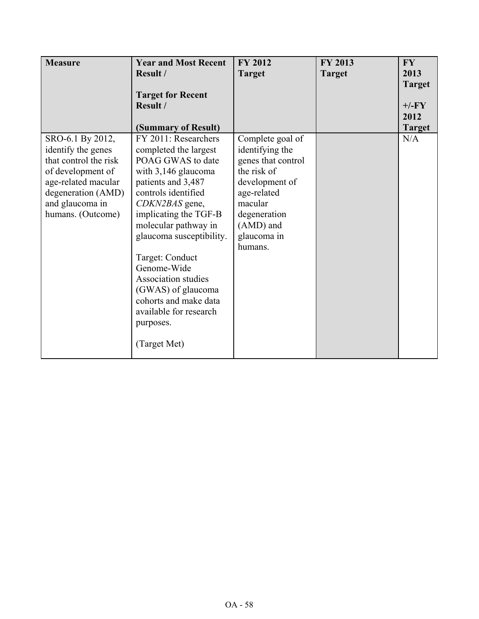| <b>Measure</b>                                                                                                                                                            | <b>Year and Most Recent</b><br>Result /<br><b>Target for Recent</b><br>Result /<br>(Summary of Result)                                                                                                                                                                                                                                                                                               | <b>FY 2012</b><br><b>Target</b>                                                                                                                                             | FY 2013<br><b>Target</b> | <b>FY</b><br>2013<br><b>Target</b><br>$+/-FY$<br>2012<br><b>Target</b> |
|---------------------------------------------------------------------------------------------------------------------------------------------------------------------------|------------------------------------------------------------------------------------------------------------------------------------------------------------------------------------------------------------------------------------------------------------------------------------------------------------------------------------------------------------------------------------------------------|-----------------------------------------------------------------------------------------------------------------------------------------------------------------------------|--------------------------|------------------------------------------------------------------------|
| SRO-6.1 By 2012,<br>identify the genes<br>that control the risk<br>of development of<br>age-related macular<br>degeneration (AMD)<br>and glaucoma in<br>humans. (Outcome) | FY 2011: Researchers<br>completed the largest<br>POAG GWAS to date<br>with 3,146 glaucoma<br>patients and 3,487<br>controls identified<br>CDKN2BAS gene,<br>implicating the TGF-B<br>molecular pathway in<br>glaucoma susceptibility.<br>Target: Conduct<br>Genome-Wide<br>Association studies<br>(GWAS) of glaucoma<br>cohorts and make data<br>available for research<br>purposes.<br>(Target Met) | Complete goal of<br>identifying the<br>genes that control<br>the risk of<br>development of<br>age-related<br>macular<br>degeneration<br>(AMD) and<br>glaucoma in<br>humans. |                          | N/A                                                                    |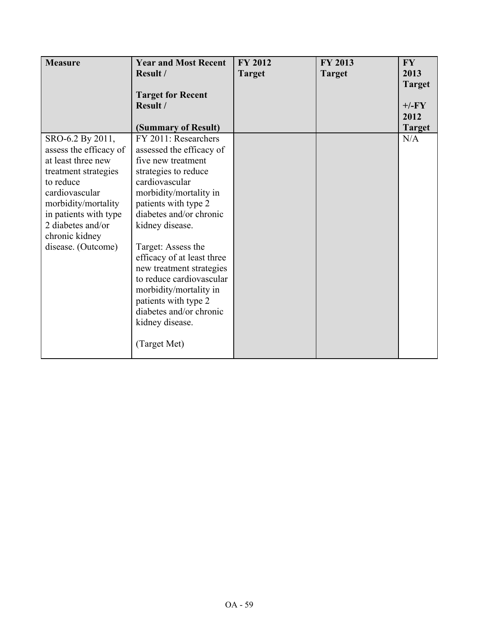| <b>Measure</b>         | <b>Year and Most Recent</b><br>Result / | <b>FY 2012</b> | <b>FY 2013</b> | <b>FY</b>             |
|------------------------|-----------------------------------------|----------------|----------------|-----------------------|
|                        |                                         | <b>Target</b>  | <b>Target</b>  | 2013<br><b>Target</b> |
|                        | <b>Target for Recent</b>                |                |                |                       |
|                        | Result /                                |                |                | $+/-FY$               |
|                        |                                         |                |                | 2012                  |
|                        | (Summary of Result)                     |                |                | <b>Target</b>         |
| SRO-6.2 By 2011,       | FY 2011: Researchers                    |                |                | N/A                   |
| assess the efficacy of | assessed the efficacy of                |                |                |                       |
| at least three new     | five new treatment                      |                |                |                       |
| treatment strategies   | strategies to reduce                    |                |                |                       |
| to reduce              | cardiovascular                          |                |                |                       |
| cardiovascular         | morbidity/mortality in                  |                |                |                       |
| morbidity/mortality    | patients with type 2                    |                |                |                       |
| in patients with type  | diabetes and/or chronic                 |                |                |                       |
| 2 diabetes and/or      | kidney disease.                         |                |                |                       |
| chronic kidney         |                                         |                |                |                       |
| disease. (Outcome)     | Target: Assess the                      |                |                |                       |
|                        | efficacy of at least three              |                |                |                       |
|                        | new treatment strategies                |                |                |                       |
|                        | to reduce cardiovascular                |                |                |                       |
|                        | morbidity/mortality in                  |                |                |                       |
|                        | patients with type 2                    |                |                |                       |
|                        | diabetes and/or chronic                 |                |                |                       |
|                        | kidney disease.                         |                |                |                       |
|                        | (Target Met)                            |                |                |                       |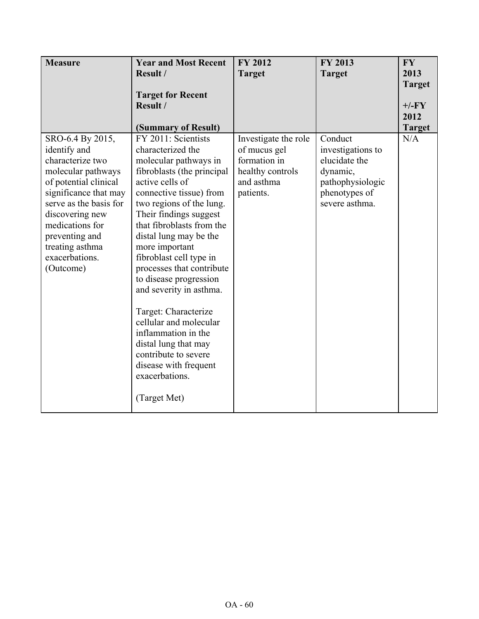| <b>Measure</b>                                                                                                                                                                                                                                                   | <b>Year and Most Recent</b>                                                                                                                                                                                                                                                                                                                                                                                                                                                                                                                                                                          | <b>FY 2012</b>                                                                                      | <b>FY 2013</b>                                                                                                   | <b>FY</b>            |
|------------------------------------------------------------------------------------------------------------------------------------------------------------------------------------------------------------------------------------------------------------------|------------------------------------------------------------------------------------------------------------------------------------------------------------------------------------------------------------------------------------------------------------------------------------------------------------------------------------------------------------------------------------------------------------------------------------------------------------------------------------------------------------------------------------------------------------------------------------------------------|-----------------------------------------------------------------------------------------------------|------------------------------------------------------------------------------------------------------------------|----------------------|
|                                                                                                                                                                                                                                                                  | Result /                                                                                                                                                                                                                                                                                                                                                                                                                                                                                                                                                                                             | <b>Target</b>                                                                                       | <b>Target</b>                                                                                                    | 2013                 |
|                                                                                                                                                                                                                                                                  |                                                                                                                                                                                                                                                                                                                                                                                                                                                                                                                                                                                                      |                                                                                                     |                                                                                                                  | <b>Target</b>        |
|                                                                                                                                                                                                                                                                  | <b>Target for Recent</b>                                                                                                                                                                                                                                                                                                                                                                                                                                                                                                                                                                             |                                                                                                     |                                                                                                                  |                      |
|                                                                                                                                                                                                                                                                  | Result /                                                                                                                                                                                                                                                                                                                                                                                                                                                                                                                                                                                             |                                                                                                     |                                                                                                                  | $+/-FY$<br>2012      |
|                                                                                                                                                                                                                                                                  |                                                                                                                                                                                                                                                                                                                                                                                                                                                                                                                                                                                                      |                                                                                                     |                                                                                                                  |                      |
| SRO-6.4 By 2015,<br>identify and<br>characterize two<br>molecular pathways<br>of potential clinical<br>significance that may<br>serve as the basis for<br>discovering new<br>medications for<br>preventing and<br>treating asthma<br>exacerbations.<br>(Outcome) | (Summary of Result)<br>FY 2011: Scientists<br>characterized the<br>molecular pathways in<br>fibroblasts (the principal<br>active cells of<br>connective tissue) from<br>two regions of the lung.<br>Their findings suggest<br>that fibroblasts from the<br>distal lung may be the<br>more important<br>fibroblast cell type in<br>processes that contribute<br>to disease progression<br>and severity in asthma.<br>Target: Characterize<br>cellular and molecular<br>inflammation in the<br>distal lung that may<br>contribute to severe<br>disease with frequent<br>exacerbations.<br>(Target Met) | Investigate the role<br>of mucus gel<br>formation in<br>healthy controls<br>and asthma<br>patients. | Conduct<br>investigations to<br>elucidate the<br>dynamic,<br>pathophysiologic<br>phenotypes of<br>severe asthma. | <b>Target</b><br>N/A |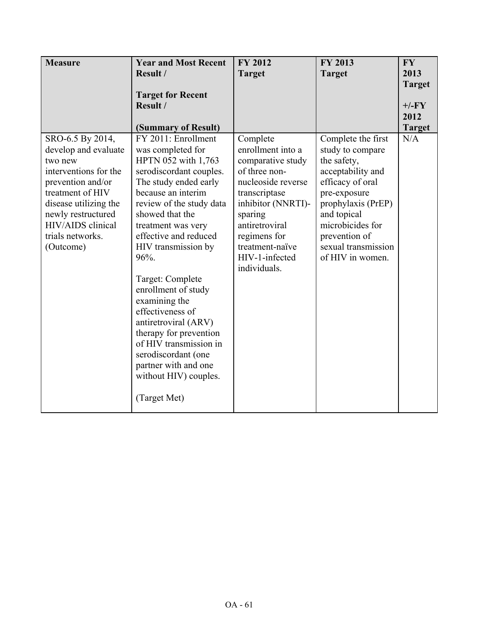| <b>Measure</b>        | <b>Year and Most Recent</b> | <b>FY 2012</b>     | <b>FY 2013</b>      | <b>FY</b>     |
|-----------------------|-----------------------------|--------------------|---------------------|---------------|
|                       | Result /                    | <b>Target</b>      | <b>Target</b>       | 2013          |
|                       |                             |                    |                     | <b>Target</b> |
|                       | <b>Target for Recent</b>    |                    |                     |               |
|                       | Result /                    |                    |                     | $+/-FY$       |
|                       |                             |                    |                     | 2012          |
|                       | (Summary of Result)         |                    |                     | <b>Target</b> |
| SRO-6.5 By 2014,      | FY 2011: Enrollment         | Complete           | Complete the first  | N/A           |
| develop and evaluate  | was completed for           | enrollment into a  | study to compare    |               |
| two new               | HPTN 052 with 1,763         | comparative study  | the safety,         |               |
| interventions for the | serodiscordant couples.     | of three non-      | acceptability and   |               |
| prevention and/or     | The study ended early       | nucleoside reverse | efficacy of oral    |               |
| treatment of HIV      | because an interim          | transcriptase      | pre-exposure        |               |
| disease utilizing the | review of the study data    | inhibitor (NNRTI)- | prophylaxis (PrEP)  |               |
| newly restructured    | showed that the             | sparing            | and topical         |               |
| HIV/AIDS clinical     | treatment was very          | antiretroviral     | microbicides for    |               |
| trials networks.      | effective and reduced       | regimens for       | prevention of       |               |
| (Outcome)             | HIV transmission by         | treatment-naïve    | sexual transmission |               |
|                       | 96%.                        | HIV-1-infected     | of HIV in women.    |               |
|                       |                             | individuals.       |                     |               |
|                       | Target: Complete            |                    |                     |               |
|                       | enrollment of study         |                    |                     |               |
|                       | examining the               |                    |                     |               |
|                       | effectiveness of            |                    |                     |               |
|                       | antiretroviral (ARV)        |                    |                     |               |
|                       | therapy for prevention      |                    |                     |               |
|                       | of HIV transmission in      |                    |                     |               |
|                       | serodiscordant (one         |                    |                     |               |
|                       | partner with and one        |                    |                     |               |
|                       | without HIV) couples.       |                    |                     |               |
|                       | (Target Met)                |                    |                     |               |
|                       |                             |                    |                     |               |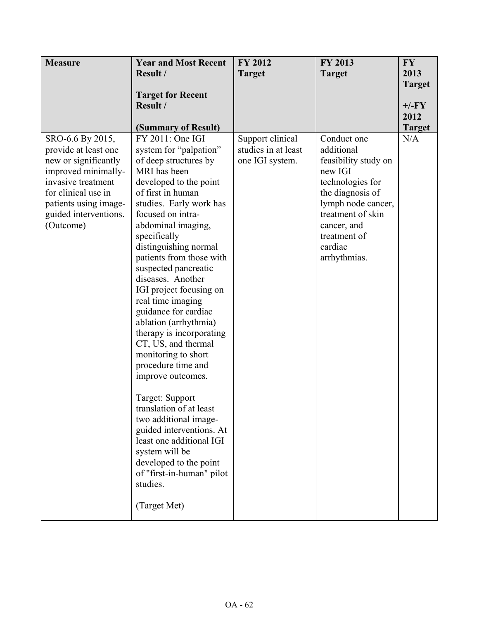| <b>Measure</b>                                                                                                                                                                                      | <b>Year and Most Recent</b><br>Result /<br><b>Target for Recent</b><br>Result /<br>(Summary of Result)                                                                                                                                                                                                                                                                                                                                                                                                                                                                                                                                                                                                                                                                               | <b>FY 2012</b><br><b>Target</b>                            | FY 2013<br><b>Target</b>                                                                                                                                                                                  | <b>FY</b><br>2013<br><b>Target</b><br>$+/-FY$<br>2012<br><b>Target</b> |
|-----------------------------------------------------------------------------------------------------------------------------------------------------------------------------------------------------|--------------------------------------------------------------------------------------------------------------------------------------------------------------------------------------------------------------------------------------------------------------------------------------------------------------------------------------------------------------------------------------------------------------------------------------------------------------------------------------------------------------------------------------------------------------------------------------------------------------------------------------------------------------------------------------------------------------------------------------------------------------------------------------|------------------------------------------------------------|-----------------------------------------------------------------------------------------------------------------------------------------------------------------------------------------------------------|------------------------------------------------------------------------|
| SRO-6.6 By 2015,<br>provide at least one<br>new or significantly<br>improved minimally-<br>invasive treatment<br>for clinical use in<br>patients using image-<br>guided interventions.<br>(Outcome) | FY 2011: One IGI<br>system for "palpation"<br>of deep structures by<br>MRI has been<br>developed to the point<br>of first in human<br>studies. Early work has<br>focused on intra-<br>abdominal imaging,<br>specifically<br>distinguishing normal<br>patients from those with<br>suspected pancreatic<br>diseases. Another<br>IGI project focusing on<br>real time imaging<br>guidance for cardiac<br>ablation (arrhythmia)<br>therapy is incorporating<br>CT, US, and thermal<br>monitoring to short<br>procedure time and<br>improve outcomes.<br>Target: Support<br>translation of at least<br>two additional image-<br>guided interventions. At<br>least one additional IGI<br>system will be<br>developed to the point<br>of "first-in-human" pilot<br>studies.<br>(Target Met) | Support clinical<br>studies in at least<br>one IGI system. | Conduct one<br>additional<br>feasibility study on<br>new IGI<br>technologies for<br>the diagnosis of<br>lymph node cancer,<br>treatment of skin<br>cancer, and<br>treatment of<br>cardiac<br>arrhythmias. | N/A                                                                    |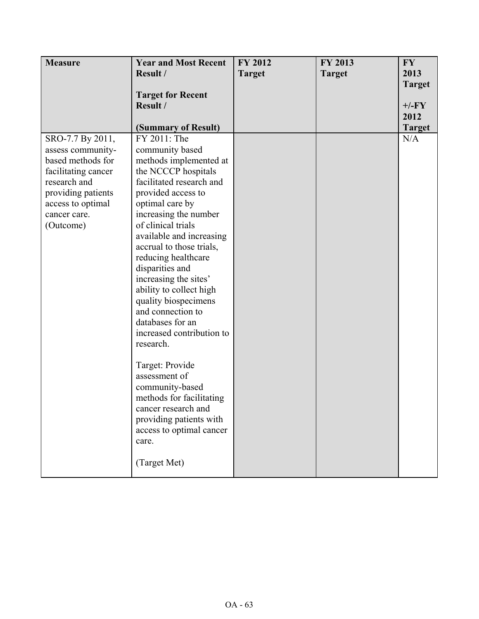| <b>Measure</b>      | <b>Year and Most Recent</b> | FY 2012       | FY 2013       | <b>FY</b>     |
|---------------------|-----------------------------|---------------|---------------|---------------|
|                     | Result /                    | <b>Target</b> | <b>Target</b> | 2013          |
|                     |                             |               |               | <b>Target</b> |
|                     | <b>Target for Recent</b>    |               |               |               |
|                     | Result /                    |               |               | $+/-FY$       |
|                     |                             |               |               | 2012          |
|                     | (Summary of Result)         |               |               | <b>Target</b> |
| SRO-7.7 By 2011,    | FY 2011: The                |               |               | N/A           |
| assess community-   | community based             |               |               |               |
| based methods for   | methods implemented at      |               |               |               |
| facilitating cancer | the NCCCP hospitals         |               |               |               |
| research and        | facilitated research and    |               |               |               |
| providing patients  | provided access to          |               |               |               |
| access to optimal   | optimal care by             |               |               |               |
| cancer care.        | increasing the number       |               |               |               |
| (Outcome)           | of clinical trials          |               |               |               |
|                     | available and increasing    |               |               |               |
|                     | accrual to those trials,    |               |               |               |
|                     | reducing healthcare         |               |               |               |
|                     | disparities and             |               |               |               |
|                     | increasing the sites'       |               |               |               |
|                     | ability to collect high     |               |               |               |
|                     | quality biospecimens        |               |               |               |
|                     | and connection to           |               |               |               |
|                     | databases for an            |               |               |               |
|                     | increased contribution to   |               |               |               |
|                     | research.                   |               |               |               |
|                     |                             |               |               |               |
|                     | Target: Provide             |               |               |               |
|                     | assessment of               |               |               |               |
|                     | community-based             |               |               |               |
|                     | methods for facilitating    |               |               |               |
|                     | cancer research and         |               |               |               |
|                     | providing patients with     |               |               |               |
|                     | access to optimal cancer    |               |               |               |
|                     | care.                       |               |               |               |
|                     |                             |               |               |               |
|                     | (Target Met)                |               |               |               |
|                     |                             |               |               |               |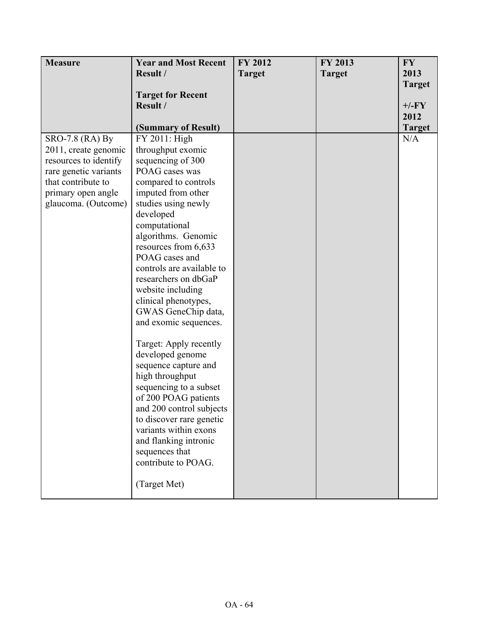| <b>Measure</b>        | <b>Year and Most Recent</b>                 | FY 2012       | FY 2013       | <b>FY</b>     |
|-----------------------|---------------------------------------------|---------------|---------------|---------------|
|                       | Result /                                    | <b>Target</b> | <b>Target</b> | 2013          |
|                       |                                             |               |               | <b>Target</b> |
|                       | <b>Target for Recent</b>                    |               |               |               |
|                       | Result /                                    |               |               | $+/-FY$       |
|                       |                                             |               |               | 2012          |
|                       | (Summary of Result)                         |               |               | <b>Target</b> |
| SRO-7.8 (RA) By       | FY 2011: High                               |               |               | N/A           |
| 2011, create genomic  | throughput exomic                           |               |               |               |
| resources to identify | sequencing of 300                           |               |               |               |
| rare genetic variants | POAG cases was                              |               |               |               |
| that contribute to    | compared to controls                        |               |               |               |
| primary open angle    | imputed from other                          |               |               |               |
| glaucoma. (Outcome)   | studies using newly                         |               |               |               |
|                       | developed                                   |               |               |               |
|                       | computational                               |               |               |               |
|                       | algorithms. Genomic<br>resources from 6,633 |               |               |               |
|                       | POAG cases and                              |               |               |               |
|                       | controls are available to                   |               |               |               |
|                       | researchers on dbGaP                        |               |               |               |
|                       | website including                           |               |               |               |
|                       | clinical phenotypes,                        |               |               |               |
|                       | GWAS GeneChip data,                         |               |               |               |
|                       | and exomic sequences.                       |               |               |               |
|                       |                                             |               |               |               |
|                       | Target: Apply recently                      |               |               |               |
|                       | developed genome                            |               |               |               |
|                       | sequence capture and                        |               |               |               |
|                       | high throughput                             |               |               |               |
|                       | sequencing to a subset                      |               |               |               |
|                       | of 200 POAG patients                        |               |               |               |
|                       | and 200 control subjects                    |               |               |               |
|                       | to discover rare genetic                    |               |               |               |
|                       | variants within exons                       |               |               |               |
|                       | and flanking intronic                       |               |               |               |
|                       | sequences that                              |               |               |               |
|                       | contribute to POAG.                         |               |               |               |
|                       |                                             |               |               |               |
|                       | (Target Met)                                |               |               |               |
|                       |                                             |               |               |               |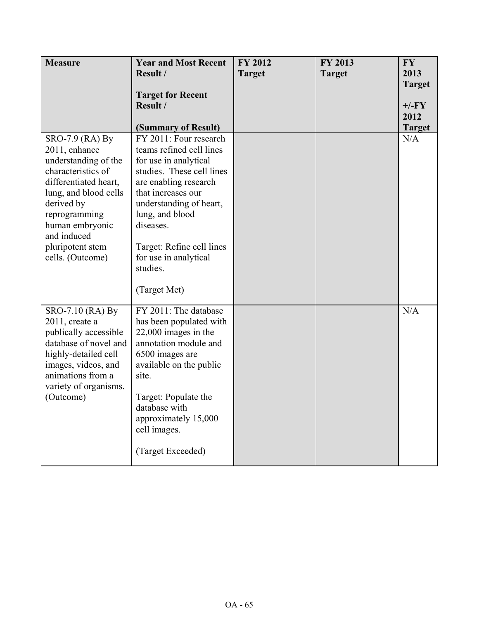| <b>Measure</b>                             | <b>Year and Most Recent</b>                        | FY 2012       | <b>FY 2013</b> | <b>FY</b>             |
|--------------------------------------------|----------------------------------------------------|---------------|----------------|-----------------------|
|                                            | Result /                                           | <b>Target</b> | <b>Target</b>  | 2013<br><b>Target</b> |
|                                            | <b>Target for Recent</b>                           |               |                |                       |
|                                            | Result /                                           |               |                | $+/-FY$<br>2012       |
|                                            | (Summary of Result)                                |               |                | <b>Target</b>         |
| SRO-7.9 (RA) By                            | FY 2011: Four research                             |               |                | N/A                   |
| 2011, enhance                              | teams refined cell lines                           |               |                |                       |
| understanding of the<br>characteristics of | for use in analytical<br>studies. These cell lines |               |                |                       |
| differentiated heart,                      | are enabling research                              |               |                |                       |
| lung, and blood cells                      | that increases our                                 |               |                |                       |
| derived by                                 | understanding of heart,                            |               |                |                       |
| reprogramming                              | lung, and blood                                    |               |                |                       |
| human embryonic<br>and induced             | diseases.                                          |               |                |                       |
| pluripotent stem                           | Target: Refine cell lines                          |               |                |                       |
| cells. (Outcome)                           | for use in analytical                              |               |                |                       |
|                                            | studies.                                           |               |                |                       |
|                                            | (Target Met)                                       |               |                |                       |
|                                            |                                                    |               |                |                       |
| SRO-7.10 (RA) By                           | FY 2011: The database                              |               |                | N/A                   |
| $2011$ , create a<br>publically accessible | has been populated with<br>22,000 images in the    |               |                |                       |
| database of novel and                      | annotation module and                              |               |                |                       |
| highly-detailed cell                       | 6500 images are                                    |               |                |                       |
| images, videos, and                        | available on the public                            |               |                |                       |
| animations from a<br>variety of organisms. | site.                                              |               |                |                       |
| (Outcome)                                  | Target: Populate the                               |               |                |                       |
|                                            | database with                                      |               |                |                       |
|                                            | approximately 15,000                               |               |                |                       |
|                                            | cell images.                                       |               |                |                       |
|                                            | (Target Exceeded)                                  |               |                |                       |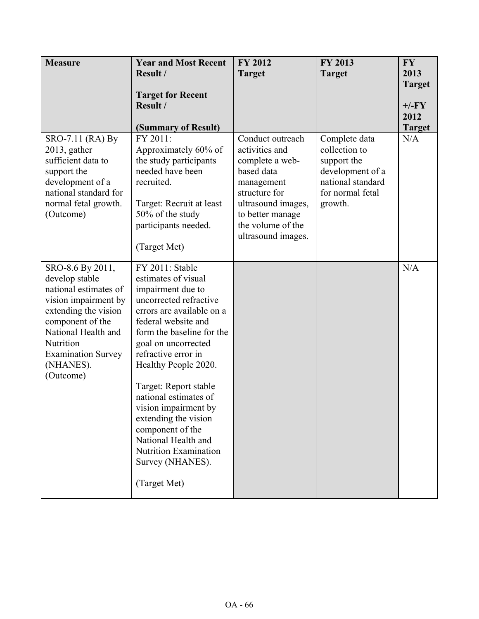| <b>Measure</b>                                                                                                                                                                                                             | <b>Year and Most Recent</b><br>Result /                                                                                                                                                                                                                                                                                                                                                                                                                       | <b>FY 2012</b><br><b>Target</b>                                                                                                                                                         | FY 2013<br><b>Target</b>                                                                                              | <b>FY</b><br>2013<br><b>Target</b> |
|----------------------------------------------------------------------------------------------------------------------------------------------------------------------------------------------------------------------------|---------------------------------------------------------------------------------------------------------------------------------------------------------------------------------------------------------------------------------------------------------------------------------------------------------------------------------------------------------------------------------------------------------------------------------------------------------------|-----------------------------------------------------------------------------------------------------------------------------------------------------------------------------------------|-----------------------------------------------------------------------------------------------------------------------|------------------------------------|
|                                                                                                                                                                                                                            | <b>Target for Recent</b><br>Result /<br>(Summary of Result)                                                                                                                                                                                                                                                                                                                                                                                                   |                                                                                                                                                                                         |                                                                                                                       | $+/-FY$<br>2012<br><b>Target</b>   |
| SRO-7.11 (RA) By<br>$2013$ , gather<br>sufficient data to<br>support the<br>development of a<br>national standard for<br>normal fetal growth.<br>(Outcome)                                                                 | FY 2011:<br>Approximately 60% of<br>the study participants<br>needed have been<br>recruited.<br>Target: Recruit at least<br>50% of the study<br>participants needed.<br>(Target Met)                                                                                                                                                                                                                                                                          | Conduct outreach<br>activities and<br>complete a web-<br>based data<br>management<br>structure for<br>ultrasound images,<br>to better manage<br>the volume of the<br>ultrasound images. | Complete data<br>collection to<br>support the<br>development of a<br>national standard<br>for normal fetal<br>growth. | N/A                                |
| SRO-8.6 By 2011,<br>develop stable<br>national estimates of<br>vision impairment by<br>extending the vision<br>component of the<br>National Health and<br>Nutrition<br><b>Examination Survey</b><br>(NHANES).<br>(Outcome) | FY 2011: Stable<br>estimates of visual<br>impairment due to<br>uncorrected refractive<br>errors are available on a<br>federal website and<br>form the baseline for the<br>goal on uncorrected<br>refractive error in<br>Healthy People 2020.<br>Target: Report stable<br>national estimates of<br>vision impairment by<br>extending the vision<br>component of the<br>National Health and<br><b>Nutrition Examination</b><br>Survey (NHANES).<br>(Target Met) |                                                                                                                                                                                         |                                                                                                                       | N/A                                |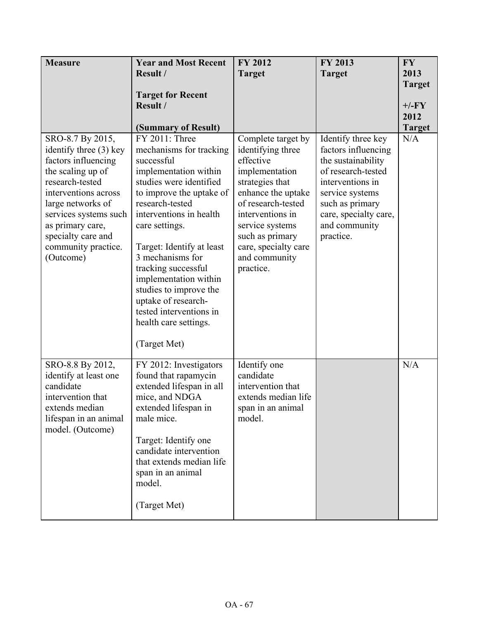| <b>Measure</b>                                                                                                                                                                                                                                                | <b>Year and Most Recent</b><br>Result /<br><b>Target for Recent</b><br>Result /                                                                                                                                                                                                                                                                                                                                                                      | <b>FY 2012</b><br><b>Target</b>                                                                                                                                                                                                                       | FY 2013<br><b>Target</b>                                                                                                                                                                               | <b>FY</b><br>2013<br><b>Target</b><br>$+/-FY$<br>2012 |
|---------------------------------------------------------------------------------------------------------------------------------------------------------------------------------------------------------------------------------------------------------------|------------------------------------------------------------------------------------------------------------------------------------------------------------------------------------------------------------------------------------------------------------------------------------------------------------------------------------------------------------------------------------------------------------------------------------------------------|-------------------------------------------------------------------------------------------------------------------------------------------------------------------------------------------------------------------------------------------------------|--------------------------------------------------------------------------------------------------------------------------------------------------------------------------------------------------------|-------------------------------------------------------|
| SRO-8.7 By 2015,<br>identify three (3) key<br>factors influencing<br>the scaling up of<br>research-tested<br>interventions across<br>large networks of<br>services systems such<br>as primary care,<br>specialty care and<br>community practice.<br>(Outcome) | (Summary of Result)<br>FY 2011: Three<br>mechanisms for tracking<br>successful<br>implementation within<br>studies were identified<br>to improve the uptake of<br>research-tested<br>interventions in health<br>care settings.<br>Target: Identify at least<br>3 mechanisms for<br>tracking successful<br>implementation within<br>studies to improve the<br>uptake of research-<br>tested interventions in<br>health care settings.<br>(Target Met) | Complete target by<br>identifying three<br>effective<br>implementation<br>strategies that<br>enhance the uptake<br>of research-tested<br>interventions in<br>service systems<br>such as primary<br>care, specialty care<br>and community<br>practice. | Identify three key<br>factors influencing<br>the sustainability<br>of research-tested<br>interventions in<br>service systems<br>such as primary<br>care, specialty care,<br>and community<br>practice. | <b>Target</b><br>N/A                                  |
| SRO-8.8 By 2012,<br>identify at least one<br>candidate<br>intervention that<br>extends median<br>lifespan in an animal<br>model. (Outcome)                                                                                                                    | FY 2012: Investigators<br>found that rapamycin<br>extended lifespan in all<br>mice, and NDGA<br>extended lifespan in<br>male mice.<br>Target: Identify one<br>candidate intervention<br>that extends median life<br>span in an animal<br>model.<br>(Target Met)                                                                                                                                                                                      | Identify one<br>candidate<br>intervention that<br>extends median life<br>span in an animal<br>model.                                                                                                                                                  |                                                                                                                                                                                                        | N/A                                                   |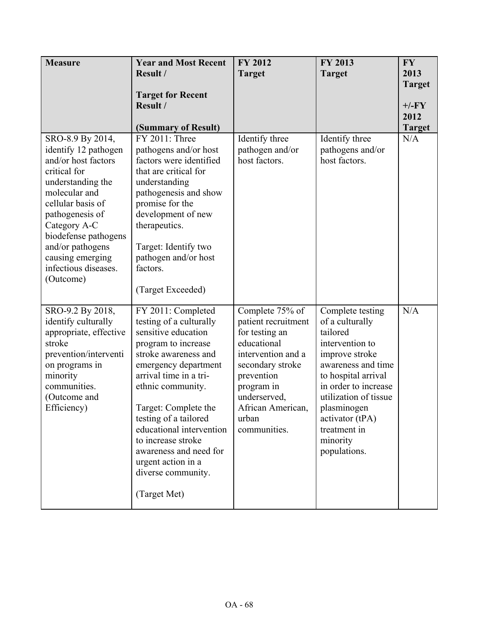| <b>Measure</b>                      | <b>Year and Most Recent</b>                      | <b>FY 2012</b>                   | FY 2013                           | <b>FY</b>     |
|-------------------------------------|--------------------------------------------------|----------------------------------|-----------------------------------|---------------|
|                                     | Result /                                         | <b>Target</b>                    | <b>Target</b>                     | 2013          |
|                                     |                                                  |                                  |                                   | <b>Target</b> |
|                                     | <b>Target for Recent</b>                         |                                  |                                   |               |
|                                     | Result /                                         |                                  |                                   | $+/-FY$       |
|                                     |                                                  |                                  |                                   | 2012          |
|                                     | (Summary of Result)                              |                                  |                                   | <b>Target</b> |
| SRO-8.9 By 2014,                    | FY 2011: Three                                   | Identify three                   | Identify three                    | N/A           |
| identify 12 pathogen                | pathogens and/or host                            | pathogen and/or<br>host factors. | pathogens and/or<br>host factors. |               |
| and/or host factors<br>critical for | factors were identified<br>that are critical for |                                  |                                   |               |
|                                     |                                                  |                                  |                                   |               |
| understanding the<br>molecular and  | understanding<br>pathogenesis and show           |                                  |                                   |               |
| cellular basis of                   | promise for the                                  |                                  |                                   |               |
| pathogenesis of                     | development of new                               |                                  |                                   |               |
| Category A-C                        | therapeutics.                                    |                                  |                                   |               |
| biodefense pathogens                |                                                  |                                  |                                   |               |
| and/or pathogens                    | Target: Identify two                             |                                  |                                   |               |
| causing emerging                    | pathogen and/or host                             |                                  |                                   |               |
| infectious diseases.                | factors.                                         |                                  |                                   |               |
| (Outcome)                           |                                                  |                                  |                                   |               |
|                                     | (Target Exceeded)                                |                                  |                                   |               |
|                                     |                                                  |                                  |                                   |               |
| SRO-9.2 By 2018,                    | FY 2011: Completed                               | Complete 75% of                  | Complete testing                  | N/A           |
| identify culturally                 | testing of a culturally                          | patient recruitment              | of a culturally                   |               |
| appropriate, effective              | sensitive education                              | for testing an                   | tailored                          |               |
| stroke                              | program to increase                              | educational                      | intervention to                   |               |
| prevention/interventi               | stroke awareness and                             | intervention and a               | improve stroke                    |               |
| on programs in                      | emergency department                             | secondary stroke                 | awareness and time                |               |
| minority                            | arrival time in a tri-                           | prevention                       | to hospital arrival               |               |
| communities.                        | ethnic community.                                | program in                       | in order to increase              |               |
| (Outcome and                        | Target: Complete the                             | underserved,                     | utilization of tissue             |               |
| Efficiency)                         | testing of a tailored                            | African American,<br>urban       | plasminogen<br>activator (tPA)    |               |
|                                     | educational intervention                         | communities.                     | treatment in                      |               |
|                                     | to increase stroke                               |                                  | minority                          |               |
|                                     | awareness and need for                           |                                  | populations.                      |               |
|                                     | urgent action in a                               |                                  |                                   |               |
|                                     | diverse community.                               |                                  |                                   |               |
|                                     |                                                  |                                  |                                   |               |
|                                     | (Target Met)                                     |                                  |                                   |               |
|                                     |                                                  |                                  |                                   |               |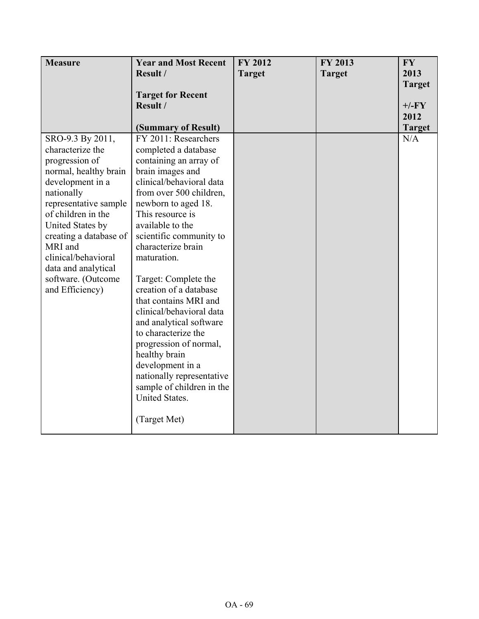| <b>Measure</b>                 | <b>Year and Most Recent</b>                            | FY 2012       | FY 2013       | <b>FY</b>     |
|--------------------------------|--------------------------------------------------------|---------------|---------------|---------------|
|                                | Result /                                               | <b>Target</b> | <b>Target</b> | 2013          |
|                                |                                                        |               |               | <b>Target</b> |
|                                | <b>Target for Recent</b>                               |               |               |               |
|                                | Result /                                               |               |               | $+/-FY$       |
|                                |                                                        |               |               | 2012          |
|                                | (Summary of Result)                                    |               |               | <b>Target</b> |
| SRO-9.3 By 2011,               | FY 2011: Researchers                                   |               |               | N/A           |
| characterize the               | completed a database                                   |               |               |               |
| progression of                 | containing an array of                                 |               |               |               |
| normal, healthy brain          | brain images and                                       |               |               |               |
| development in a               | clinical/behavioral data                               |               |               |               |
| nationally                     | from over 500 children,                                |               |               |               |
| representative sample          | newborn to aged 18.                                    |               |               |               |
| of children in the             | This resource is                                       |               |               |               |
| United States by               | available to the                                       |               |               |               |
| creating a database of         | scientific community to                                |               |               |               |
| MRI and<br>clinical/behavioral | characterize brain                                     |               |               |               |
|                                | maturation.                                            |               |               |               |
| data and analytical            |                                                        |               |               |               |
| software. (Outcome             | Target: Complete the                                   |               |               |               |
| and Efficiency)                | creation of a database                                 |               |               |               |
|                                | that contains MRI and                                  |               |               |               |
|                                | clinical/behavioral data                               |               |               |               |
|                                | and analytical software<br>to characterize the         |               |               |               |
|                                |                                                        |               |               |               |
|                                | progression of normal,                                 |               |               |               |
|                                | healthy brain<br>development in a                      |               |               |               |
|                                |                                                        |               |               |               |
|                                | nationally representative<br>sample of children in the |               |               |               |
|                                | United States.                                         |               |               |               |
|                                |                                                        |               |               |               |
|                                | (Target Met)                                           |               |               |               |
|                                |                                                        |               |               |               |
|                                |                                                        |               |               |               |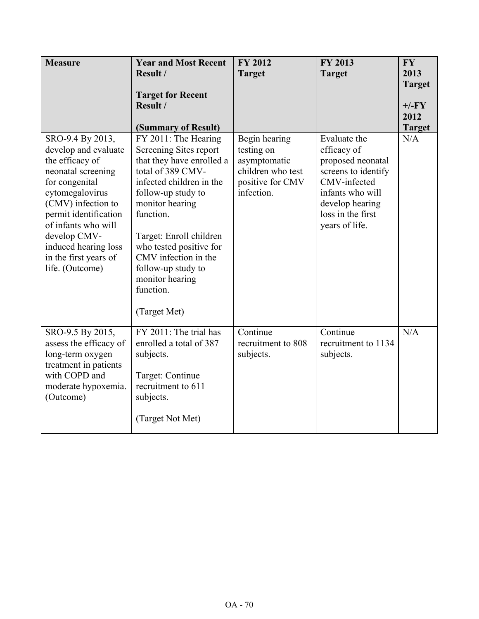| <b>Measure</b>                                                                                                                                                                                                                                                                   | <b>Year and Most Recent</b><br>Result /<br><b>Target for Recent</b><br>Result /                                                                                                                                                                                                                                                                               | <b>FY 2012</b><br><b>Target</b>                                                                    | FY 2013<br><b>Target</b>                                                                                                                                              | <b>FY</b><br>2013<br><b>Target</b><br>$+/-FY$<br>2012 |
|----------------------------------------------------------------------------------------------------------------------------------------------------------------------------------------------------------------------------------------------------------------------------------|---------------------------------------------------------------------------------------------------------------------------------------------------------------------------------------------------------------------------------------------------------------------------------------------------------------------------------------------------------------|----------------------------------------------------------------------------------------------------|-----------------------------------------------------------------------------------------------------------------------------------------------------------------------|-------------------------------------------------------|
| SRO-9.4 By 2013,<br>develop and evaluate<br>the efficacy of<br>neonatal screening<br>for congenital<br>cytomegalovirus<br>(CMV) infection to<br>permit identification<br>of infants who will<br>develop CMV-<br>induced hearing loss<br>in the first years of<br>life. (Outcome) | (Summary of Result)<br>FY 2011: The Hearing<br>Screening Sites report<br>that they have enrolled a<br>total of 389 CMV-<br>infected children in the<br>follow-up study to<br>monitor hearing<br>function.<br>Target: Enroll children<br>who tested positive for<br>CMV infection in the<br>follow-up study to<br>monitor hearing<br>function.<br>(Target Met) | Begin hearing<br>testing on<br>asymptomatic<br>children who test<br>positive for CMV<br>infection. | Evaluate the<br>efficacy of<br>proposed neonatal<br>screens to identify<br>CMV-infected<br>infants who will<br>develop hearing<br>loss in the first<br>years of life. | <b>Target</b><br>N/A                                  |
| SRO-9.5 By 2015,<br>assess the efficacy of<br>long-term oxygen<br>treatment in patients<br>with COPD and<br>moderate hypoxemia.<br>(Outcome)                                                                                                                                     | FY 2011: The trial has<br>enrolled a total of 387<br>subjects.<br>Target: Continue<br>recruitment to 611<br>subjects.<br>(Target Not Met)                                                                                                                                                                                                                     | Continue<br>recruitment to 808<br>subjects.                                                        | Continue<br>recruitment to 1134<br>subjects.                                                                                                                          | N/A                                                   |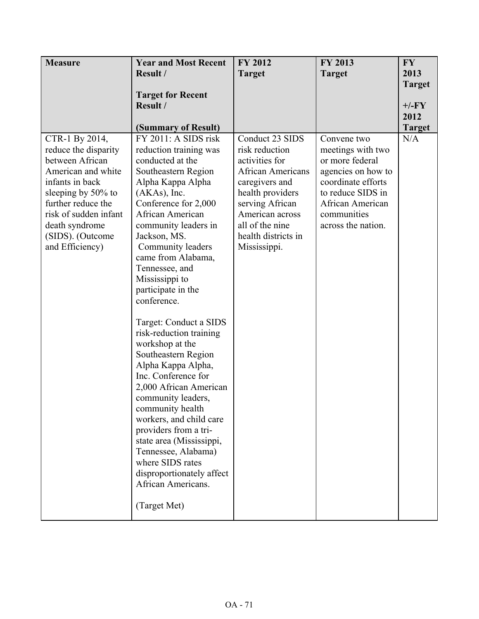| <b>Measure</b>                                                                                                                                                                                                                   | <b>Year and Most Recent</b>                                                                                                                                                                                                                                                                                                                                                                                                                                                                                                                                                                                                                                                                                 | FY 2012                                                                                                                                                                                                               | FY 2013                                                                                                                                                                       | <b>FY</b>            |
|----------------------------------------------------------------------------------------------------------------------------------------------------------------------------------------------------------------------------------|-------------------------------------------------------------------------------------------------------------------------------------------------------------------------------------------------------------------------------------------------------------------------------------------------------------------------------------------------------------------------------------------------------------------------------------------------------------------------------------------------------------------------------------------------------------------------------------------------------------------------------------------------------------------------------------------------------------|-----------------------------------------------------------------------------------------------------------------------------------------------------------------------------------------------------------------------|-------------------------------------------------------------------------------------------------------------------------------------------------------------------------------|----------------------|
|                                                                                                                                                                                                                                  | Result /                                                                                                                                                                                                                                                                                                                                                                                                                                                                                                                                                                                                                                                                                                    | <b>Target</b>                                                                                                                                                                                                         | <b>Target</b>                                                                                                                                                                 | 2013                 |
|                                                                                                                                                                                                                                  |                                                                                                                                                                                                                                                                                                                                                                                                                                                                                                                                                                                                                                                                                                             |                                                                                                                                                                                                                       |                                                                                                                                                                               | <b>Target</b>        |
|                                                                                                                                                                                                                                  | <b>Target for Recent</b>                                                                                                                                                                                                                                                                                                                                                                                                                                                                                                                                                                                                                                                                                    |                                                                                                                                                                                                                       |                                                                                                                                                                               |                      |
|                                                                                                                                                                                                                                  | Result /                                                                                                                                                                                                                                                                                                                                                                                                                                                                                                                                                                                                                                                                                                    |                                                                                                                                                                                                                       |                                                                                                                                                                               | $+/-FY$              |
|                                                                                                                                                                                                                                  |                                                                                                                                                                                                                                                                                                                                                                                                                                                                                                                                                                                                                                                                                                             |                                                                                                                                                                                                                       |                                                                                                                                                                               | 2012                 |
|                                                                                                                                                                                                                                  |                                                                                                                                                                                                                                                                                                                                                                                                                                                                                                                                                                                                                                                                                                             |                                                                                                                                                                                                                       |                                                                                                                                                                               |                      |
| CTR-1 By 2014,<br>reduce the disparity<br>between African<br>American and white<br>infants in back<br>sleeping by 50% to<br>further reduce the<br>risk of sudden infant<br>death syndrome<br>(SIDS). (Outcome<br>and Efficiency) | (Summary of Result)<br>FY 2011: A SIDS risk<br>reduction training was<br>conducted at the<br>Southeastern Region<br>Alpha Kappa Alpha<br>$(AKAs)$ , Inc.<br>Conference for 2,000<br>African American<br>community leaders in<br>Jackson, MS.<br>Community leaders<br>came from Alabama,<br>Tennessee, and<br>Mississippi to<br>participate in the<br>conference.<br>Target: Conduct a SIDS<br>risk-reduction training<br>workshop at the<br>Southeastern Region<br>Alpha Kappa Alpha,<br>Inc. Conference for<br>2,000 African American<br>community leaders,<br>community health<br>workers, and child care<br>providers from a tri-<br>state area (Mississippi,<br>Tennessee, Alabama)<br>where SIDS rates | Conduct 23 SIDS<br>risk reduction<br>activities for<br><b>African Americans</b><br>caregivers and<br>health providers<br>serving African<br>American across<br>all of the nine<br>health districts in<br>Mississippi. | Convene two<br>meetings with two<br>or more federal<br>agencies on how to<br>coordinate efforts<br>to reduce SIDS in<br>African American<br>communities<br>across the nation. | <b>Target</b><br>N/A |
|                                                                                                                                                                                                                                  | disproportionately affect<br>African Americans.                                                                                                                                                                                                                                                                                                                                                                                                                                                                                                                                                                                                                                                             |                                                                                                                                                                                                                       |                                                                                                                                                                               |                      |
|                                                                                                                                                                                                                                  | (Target Met)                                                                                                                                                                                                                                                                                                                                                                                                                                                                                                                                                                                                                                                                                                |                                                                                                                                                                                                                       |                                                                                                                                                                               |                      |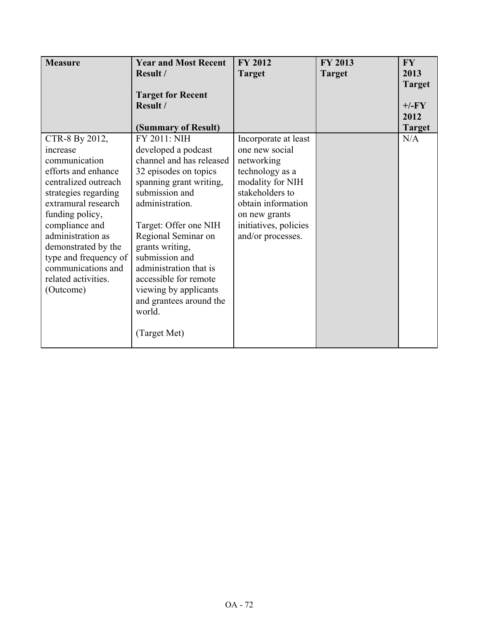| <b>Measure</b>        | <b>Year and Most Recent</b>          | <b>FY 2012</b>        | FY 2013       | <b>FY</b>     |
|-----------------------|--------------------------------------|-----------------------|---------------|---------------|
|                       | Result /                             | <b>Target</b>         | <b>Target</b> | 2013          |
|                       |                                      |                       |               | <b>Target</b> |
|                       | <b>Target for Recent</b><br>Result / |                       |               | $+/-FY$       |
|                       |                                      |                       |               | 2012          |
|                       | (Summary of Result)                  |                       |               | <b>Target</b> |
| CTR-8 By 2012,        | <b>FY 2011: NIH</b>                  | Incorporate at least  |               | N/A           |
| increase              | developed a podcast                  | one new social        |               |               |
| communication         | channel and has released             | networking            |               |               |
| efforts and enhance   | 32 episodes on topics                | technology as a       |               |               |
| centralized outreach  | spanning grant writing,              | modality for NIH      |               |               |
| strategies regarding  | submission and                       | stakeholders to       |               |               |
| extramural research   | administration.                      | obtain information    |               |               |
| funding policy,       |                                      | on new grants         |               |               |
| compliance and        | Target: Offer one NIH                | initiatives, policies |               |               |
| administration as     | Regional Seminar on                  | and/or processes.     |               |               |
| demonstrated by the   | grants writing,                      |                       |               |               |
| type and frequency of | submission and                       |                       |               |               |
| communications and    | administration that is               |                       |               |               |
| related activities.   | accessible for remote                |                       |               |               |
| (Outcome)             | viewing by applicants                |                       |               |               |
|                       | and grantees around the              |                       |               |               |
|                       | world.                               |                       |               |               |
|                       | (Target Met)                         |                       |               |               |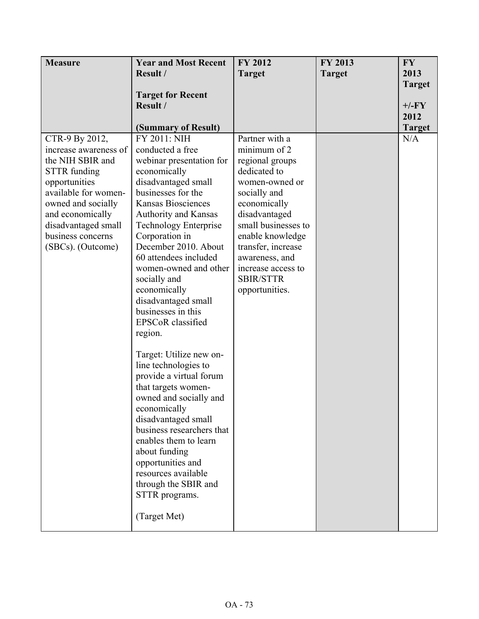| <b>Measure</b>                                                                                                                                                                                                                         | <b>Year and Most Recent</b>                                                                                                                                                                                                                                                                                                                                                                                                                                                                                                                                                                                                                                                                                                                                | FY 2012                                                                                                                                                                                                                                                                             | <b>FY 2013</b> | <b>FY</b>     |
|----------------------------------------------------------------------------------------------------------------------------------------------------------------------------------------------------------------------------------------|------------------------------------------------------------------------------------------------------------------------------------------------------------------------------------------------------------------------------------------------------------------------------------------------------------------------------------------------------------------------------------------------------------------------------------------------------------------------------------------------------------------------------------------------------------------------------------------------------------------------------------------------------------------------------------------------------------------------------------------------------------|-------------------------------------------------------------------------------------------------------------------------------------------------------------------------------------------------------------------------------------------------------------------------------------|----------------|---------------|
|                                                                                                                                                                                                                                        | Result /                                                                                                                                                                                                                                                                                                                                                                                                                                                                                                                                                                                                                                                                                                                                                   | <b>Target</b>                                                                                                                                                                                                                                                                       | <b>Target</b>  | 2013          |
|                                                                                                                                                                                                                                        |                                                                                                                                                                                                                                                                                                                                                                                                                                                                                                                                                                                                                                                                                                                                                            |                                                                                                                                                                                                                                                                                     |                | <b>Target</b> |
|                                                                                                                                                                                                                                        | <b>Target for Recent</b>                                                                                                                                                                                                                                                                                                                                                                                                                                                                                                                                                                                                                                                                                                                                   |                                                                                                                                                                                                                                                                                     |                |               |
|                                                                                                                                                                                                                                        | Result /                                                                                                                                                                                                                                                                                                                                                                                                                                                                                                                                                                                                                                                                                                                                                   |                                                                                                                                                                                                                                                                                     |                | $+/-FY$       |
|                                                                                                                                                                                                                                        |                                                                                                                                                                                                                                                                                                                                                                                                                                                                                                                                                                                                                                                                                                                                                            |                                                                                                                                                                                                                                                                                     |                | 2012          |
|                                                                                                                                                                                                                                        | (Summary of Result)                                                                                                                                                                                                                                                                                                                                                                                                                                                                                                                                                                                                                                                                                                                                        |                                                                                                                                                                                                                                                                                     |                | <b>Target</b> |
| CTR-9 By 2012,<br>increase awareness of<br>the NIH SBIR and<br><b>STTR</b> funding<br>opportunities<br>available for women-<br>owned and socially<br>and economically<br>disadvantaged small<br>business concerns<br>(SBCs). (Outcome) | FY 2011: NIH<br>conducted a free<br>webinar presentation for<br>economically<br>disadvantaged small<br>businesses for the<br><b>Kansas Biosciences</b><br>Authority and Kansas<br><b>Technology Enterprise</b><br>Corporation in<br>December 2010. About<br>60 attendees included<br>women-owned and other<br>socially and<br>economically<br>disadvantaged small<br>businesses in this<br>EPSCoR classified<br>region.<br>Target: Utilize new on-<br>line technologies to<br>provide a virtual forum<br>that targets women-<br>owned and socially and<br>economically<br>disadvantaged small<br>business researchers that<br>enables them to learn<br>about funding<br>opportunities and<br>resources available<br>through the SBIR and<br>STTR programs. | Partner with a<br>minimum of 2<br>regional groups<br>dedicated to<br>women-owned or<br>socially and<br>economically<br>disadvantaged<br>small businesses to<br>enable knowledge<br>transfer, increase<br>awareness, and<br>increase access to<br><b>SBIR/STTR</b><br>opportunities. |                | N/A           |
|                                                                                                                                                                                                                                        | (Target Met)                                                                                                                                                                                                                                                                                                                                                                                                                                                                                                                                                                                                                                                                                                                                               |                                                                                                                                                                                                                                                                                     |                |               |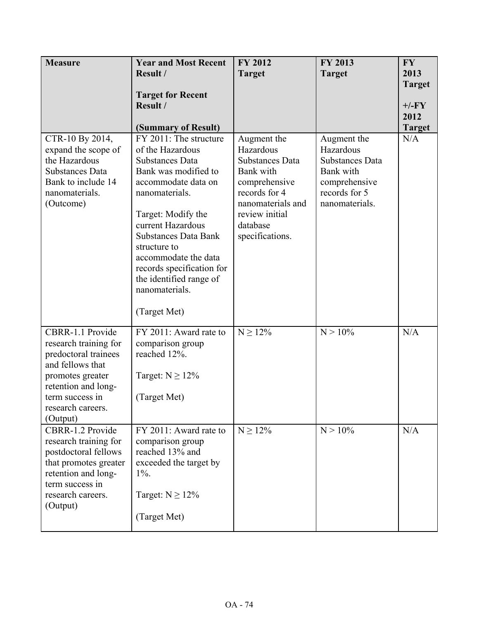| <b>Measure</b>                                                                                                                                                                       | <b>Year and Most Recent</b><br>Result /                                                                                                                                                                                                                                                                                                           | FY 2012<br><b>Target</b>                                                                                                                                                | <b>FY 2013</b><br><b>Target</b>                                                                                     | <b>FY</b><br>2013                                 |
|--------------------------------------------------------------------------------------------------------------------------------------------------------------------------------------|---------------------------------------------------------------------------------------------------------------------------------------------------------------------------------------------------------------------------------------------------------------------------------------------------------------------------------------------------|-------------------------------------------------------------------------------------------------------------------------------------------------------------------------|---------------------------------------------------------------------------------------------------------------------|---------------------------------------------------|
|                                                                                                                                                                                      | <b>Target for Recent</b><br>Result /<br>(Summary of Result)                                                                                                                                                                                                                                                                                       |                                                                                                                                                                         |                                                                                                                     | <b>Target</b><br>$+/-FY$<br>2012<br><b>Target</b> |
| CTR-10 By 2014,<br>expand the scope of<br>the Hazardous<br><b>Substances Data</b><br>Bank to include 14<br>nanomaterials.<br>(Outcome)                                               | FY 2011: The structure<br>of the Hazardous<br><b>Substances Data</b><br>Bank was modified to<br>accommodate data on<br>nanomaterials.<br>Target: Modify the<br>current Hazardous<br><b>Substances Data Bank</b><br>structure to<br>accommodate the data<br>records specification for<br>the identified range of<br>nanomaterials.<br>(Target Met) | Augment the<br>Hazardous<br><b>Substances Data</b><br>Bank with<br>comprehensive<br>records for 4<br>nanomaterials and<br>review initial<br>database<br>specifications. | Augment the<br>Hazardous<br><b>Substances Data</b><br>Bank with<br>comprehensive<br>records for 5<br>nanomaterials. | N/A                                               |
| CBRR-1.1 Provide<br>research training for<br>predoctoral trainees<br>and fellows that<br>promotes greater<br>retention and long-<br>term success in<br>research careers.<br>(Output) | FY 2011: Award rate to<br>comparison group<br>reached 12%.<br>Target: $N \ge 12\%$<br>(Target Met)                                                                                                                                                                                                                                                | $N \ge 12\%$                                                                                                                                                            | $N > 10\%$                                                                                                          | N/A                                               |
| CBRR-1.2 Provide<br>research training for<br>postdoctoral fellows<br>that promotes greater<br>retention and long-<br>term success in<br>research careers.<br>(Output)                | FY 2011: Award rate to<br>comparison group<br>reached 13% and<br>exceeded the target by<br>$1\%$ .<br>Target: $N \ge 12\%$<br>(Target Met)                                                                                                                                                                                                        | $N \ge 12\%$                                                                                                                                                            | $N > 10\%$                                                                                                          | N/A                                               |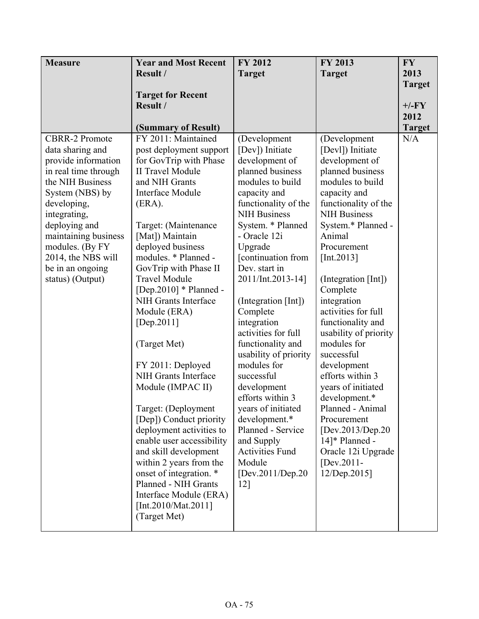| <b>Measure</b>                                                                                                                                                           | <b>Year and Most Recent</b>                                                                                                                                                                                                                                                                                                                                                                                                                                                                                                                                                                                                | FY 2012                                                                                                                                                                                                                                                                                                                                                                                                                                                                                                  | <b>FY 2013</b>                                                                                                                                                                                                                                                                                                                                                                                                                                                                       | <b>FY</b>     |
|--------------------------------------------------------------------------------------------------------------------------------------------------------------------------|----------------------------------------------------------------------------------------------------------------------------------------------------------------------------------------------------------------------------------------------------------------------------------------------------------------------------------------------------------------------------------------------------------------------------------------------------------------------------------------------------------------------------------------------------------------------------------------------------------------------------|----------------------------------------------------------------------------------------------------------------------------------------------------------------------------------------------------------------------------------------------------------------------------------------------------------------------------------------------------------------------------------------------------------------------------------------------------------------------------------------------------------|--------------------------------------------------------------------------------------------------------------------------------------------------------------------------------------------------------------------------------------------------------------------------------------------------------------------------------------------------------------------------------------------------------------------------------------------------------------------------------------|---------------|
|                                                                                                                                                                          | Result /                                                                                                                                                                                                                                                                                                                                                                                                                                                                                                                                                                                                                   | <b>Target</b>                                                                                                                                                                                                                                                                                                                                                                                                                                                                                            | <b>Target</b>                                                                                                                                                                                                                                                                                                                                                                                                                                                                        | 2013          |
|                                                                                                                                                                          |                                                                                                                                                                                                                                                                                                                                                                                                                                                                                                                                                                                                                            |                                                                                                                                                                                                                                                                                                                                                                                                                                                                                                          |                                                                                                                                                                                                                                                                                                                                                                                                                                                                                      | <b>Target</b> |
|                                                                                                                                                                          | <b>Target for Recent</b>                                                                                                                                                                                                                                                                                                                                                                                                                                                                                                                                                                                                   |                                                                                                                                                                                                                                                                                                                                                                                                                                                                                                          |                                                                                                                                                                                                                                                                                                                                                                                                                                                                                      |               |
|                                                                                                                                                                          | Result /                                                                                                                                                                                                                                                                                                                                                                                                                                                                                                                                                                                                                   |                                                                                                                                                                                                                                                                                                                                                                                                                                                                                                          |                                                                                                                                                                                                                                                                                                                                                                                                                                                                                      | $+/-FY$       |
|                                                                                                                                                                          |                                                                                                                                                                                                                                                                                                                                                                                                                                                                                                                                                                                                                            |                                                                                                                                                                                                                                                                                                                                                                                                                                                                                                          |                                                                                                                                                                                                                                                                                                                                                                                                                                                                                      | 2012          |
|                                                                                                                                                                          | (Summary of Result)                                                                                                                                                                                                                                                                                                                                                                                                                                                                                                                                                                                                        |                                                                                                                                                                                                                                                                                                                                                                                                                                                                                                          |                                                                                                                                                                                                                                                                                                                                                                                                                                                                                      | <b>Target</b> |
| <b>CBRR-2 Promote</b>                                                                                                                                                    | FY 2011: Maintained                                                                                                                                                                                                                                                                                                                                                                                                                                                                                                                                                                                                        | (Development                                                                                                                                                                                                                                                                                                                                                                                                                                                                                             | (Development                                                                                                                                                                                                                                                                                                                                                                                                                                                                         | N/A           |
| data sharing and                                                                                                                                                         | post deployment support                                                                                                                                                                                                                                                                                                                                                                                                                                                                                                                                                                                                    | [Dev]) Initiate                                                                                                                                                                                                                                                                                                                                                                                                                                                                                          | [Devl]) Initiate                                                                                                                                                                                                                                                                                                                                                                                                                                                                     |               |
| provide information                                                                                                                                                      | for GovTrip with Phase                                                                                                                                                                                                                                                                                                                                                                                                                                                                                                                                                                                                     | development of                                                                                                                                                                                                                                                                                                                                                                                                                                                                                           | development of                                                                                                                                                                                                                                                                                                                                                                                                                                                                       |               |
| in real time through                                                                                                                                                     | <b>II Travel Module</b>                                                                                                                                                                                                                                                                                                                                                                                                                                                                                                                                                                                                    | planned business                                                                                                                                                                                                                                                                                                                                                                                                                                                                                         | planned business                                                                                                                                                                                                                                                                                                                                                                                                                                                                     |               |
| the NIH Business                                                                                                                                                         | and NIH Grants                                                                                                                                                                                                                                                                                                                                                                                                                                                                                                                                                                                                             | modules to build                                                                                                                                                                                                                                                                                                                                                                                                                                                                                         | modules to build                                                                                                                                                                                                                                                                                                                                                                                                                                                                     |               |
|                                                                                                                                                                          |                                                                                                                                                                                                                                                                                                                                                                                                                                                                                                                                                                                                                            |                                                                                                                                                                                                                                                                                                                                                                                                                                                                                                          |                                                                                                                                                                                                                                                                                                                                                                                                                                                                                      |               |
|                                                                                                                                                                          |                                                                                                                                                                                                                                                                                                                                                                                                                                                                                                                                                                                                                            |                                                                                                                                                                                                                                                                                                                                                                                                                                                                                                          |                                                                                                                                                                                                                                                                                                                                                                                                                                                                                      |               |
|                                                                                                                                                                          |                                                                                                                                                                                                                                                                                                                                                                                                                                                                                                                                                                                                                            |                                                                                                                                                                                                                                                                                                                                                                                                                                                                                                          |                                                                                                                                                                                                                                                                                                                                                                                                                                                                                      |               |
|                                                                                                                                                                          |                                                                                                                                                                                                                                                                                                                                                                                                                                                                                                                                                                                                                            |                                                                                                                                                                                                                                                                                                                                                                                                                                                                                                          |                                                                                                                                                                                                                                                                                                                                                                                                                                                                                      |               |
|                                                                                                                                                                          |                                                                                                                                                                                                                                                                                                                                                                                                                                                                                                                                                                                                                            |                                                                                                                                                                                                                                                                                                                                                                                                                                                                                                          |                                                                                                                                                                                                                                                                                                                                                                                                                                                                                      |               |
|                                                                                                                                                                          |                                                                                                                                                                                                                                                                                                                                                                                                                                                                                                                                                                                                                            |                                                                                                                                                                                                                                                                                                                                                                                                                                                                                                          |                                                                                                                                                                                                                                                                                                                                                                                                                                                                                      |               |
|                                                                                                                                                                          |                                                                                                                                                                                                                                                                                                                                                                                                                                                                                                                                                                                                                            |                                                                                                                                                                                                                                                                                                                                                                                                                                                                                                          |                                                                                                                                                                                                                                                                                                                                                                                                                                                                                      |               |
|                                                                                                                                                                          |                                                                                                                                                                                                                                                                                                                                                                                                                                                                                                                                                                                                                            |                                                                                                                                                                                                                                                                                                                                                                                                                                                                                                          |                                                                                                                                                                                                                                                                                                                                                                                                                                                                                      |               |
|                                                                                                                                                                          |                                                                                                                                                                                                                                                                                                                                                                                                                                                                                                                                                                                                                            |                                                                                                                                                                                                                                                                                                                                                                                                                                                                                                          |                                                                                                                                                                                                                                                                                                                                                                                                                                                                                      |               |
|                                                                                                                                                                          |                                                                                                                                                                                                                                                                                                                                                                                                                                                                                                                                                                                                                            |                                                                                                                                                                                                                                                                                                                                                                                                                                                                                                          |                                                                                                                                                                                                                                                                                                                                                                                                                                                                                      |               |
|                                                                                                                                                                          |                                                                                                                                                                                                                                                                                                                                                                                                                                                                                                                                                                                                                            |                                                                                                                                                                                                                                                                                                                                                                                                                                                                                                          |                                                                                                                                                                                                                                                                                                                                                                                                                                                                                      |               |
|                                                                                                                                                                          |                                                                                                                                                                                                                                                                                                                                                                                                                                                                                                                                                                                                                            |                                                                                                                                                                                                                                                                                                                                                                                                                                                                                                          |                                                                                                                                                                                                                                                                                                                                                                                                                                                                                      |               |
|                                                                                                                                                                          |                                                                                                                                                                                                                                                                                                                                                                                                                                                                                                                                                                                                                            |                                                                                                                                                                                                                                                                                                                                                                                                                                                                                                          |                                                                                                                                                                                                                                                                                                                                                                                                                                                                                      |               |
|                                                                                                                                                                          |                                                                                                                                                                                                                                                                                                                                                                                                                                                                                                                                                                                                                            |                                                                                                                                                                                                                                                                                                                                                                                                                                                                                                          |                                                                                                                                                                                                                                                                                                                                                                                                                                                                                      |               |
|                                                                                                                                                                          |                                                                                                                                                                                                                                                                                                                                                                                                                                                                                                                                                                                                                            |                                                                                                                                                                                                                                                                                                                                                                                                                                                                                                          |                                                                                                                                                                                                                                                                                                                                                                                                                                                                                      |               |
|                                                                                                                                                                          |                                                                                                                                                                                                                                                                                                                                                                                                                                                                                                                                                                                                                            |                                                                                                                                                                                                                                                                                                                                                                                                                                                                                                          |                                                                                                                                                                                                                                                                                                                                                                                                                                                                                      |               |
|                                                                                                                                                                          |                                                                                                                                                                                                                                                                                                                                                                                                                                                                                                                                                                                                                            |                                                                                                                                                                                                                                                                                                                                                                                                                                                                                                          |                                                                                                                                                                                                                                                                                                                                                                                                                                                                                      |               |
|                                                                                                                                                                          |                                                                                                                                                                                                                                                                                                                                                                                                                                                                                                                                                                                                                            |                                                                                                                                                                                                                                                                                                                                                                                                                                                                                                          |                                                                                                                                                                                                                                                                                                                                                                                                                                                                                      |               |
|                                                                                                                                                                          |                                                                                                                                                                                                                                                                                                                                                                                                                                                                                                                                                                                                                            |                                                                                                                                                                                                                                                                                                                                                                                                                                                                                                          |                                                                                                                                                                                                                                                                                                                                                                                                                                                                                      |               |
|                                                                                                                                                                          |                                                                                                                                                                                                                                                                                                                                                                                                                                                                                                                                                                                                                            |                                                                                                                                                                                                                                                                                                                                                                                                                                                                                                          |                                                                                                                                                                                                                                                                                                                                                                                                                                                                                      |               |
|                                                                                                                                                                          |                                                                                                                                                                                                                                                                                                                                                                                                                                                                                                                                                                                                                            |                                                                                                                                                                                                                                                                                                                                                                                                                                                                                                          |                                                                                                                                                                                                                                                                                                                                                                                                                                                                                      |               |
|                                                                                                                                                                          |                                                                                                                                                                                                                                                                                                                                                                                                                                                                                                                                                                                                                            |                                                                                                                                                                                                                                                                                                                                                                                                                                                                                                          |                                                                                                                                                                                                                                                                                                                                                                                                                                                                                      |               |
|                                                                                                                                                                          |                                                                                                                                                                                                                                                                                                                                                                                                                                                                                                                                                                                                                            |                                                                                                                                                                                                                                                                                                                                                                                                                                                                                                          |                                                                                                                                                                                                                                                                                                                                                                                                                                                                                      |               |
|                                                                                                                                                                          |                                                                                                                                                                                                                                                                                                                                                                                                                                                                                                                                                                                                                            |                                                                                                                                                                                                                                                                                                                                                                                                                                                                                                          |                                                                                                                                                                                                                                                                                                                                                                                                                                                                                      |               |
|                                                                                                                                                                          |                                                                                                                                                                                                                                                                                                                                                                                                                                                                                                                                                                                                                            |                                                                                                                                                                                                                                                                                                                                                                                                                                                                                                          |                                                                                                                                                                                                                                                                                                                                                                                                                                                                                      |               |
|                                                                                                                                                                          |                                                                                                                                                                                                                                                                                                                                                                                                                                                                                                                                                                                                                            |                                                                                                                                                                                                                                                                                                                                                                                                                                                                                                          |                                                                                                                                                                                                                                                                                                                                                                                                                                                                                      |               |
|                                                                                                                                                                          |                                                                                                                                                                                                                                                                                                                                                                                                                                                                                                                                                                                                                            |                                                                                                                                                                                                                                                                                                                                                                                                                                                                                                          |                                                                                                                                                                                                                                                                                                                                                                                                                                                                                      |               |
|                                                                                                                                                                          |                                                                                                                                                                                                                                                                                                                                                                                                                                                                                                                                                                                                                            |                                                                                                                                                                                                                                                                                                                                                                                                                                                                                                          |                                                                                                                                                                                                                                                                                                                                                                                                                                                                                      |               |
|                                                                                                                                                                          |                                                                                                                                                                                                                                                                                                                                                                                                                                                                                                                                                                                                                            |                                                                                                                                                                                                                                                                                                                                                                                                                                                                                                          |                                                                                                                                                                                                                                                                                                                                                                                                                                                                                      |               |
|                                                                                                                                                                          |                                                                                                                                                                                                                                                                                                                                                                                                                                                                                                                                                                                                                            |                                                                                                                                                                                                                                                                                                                                                                                                                                                                                                          |                                                                                                                                                                                                                                                                                                                                                                                                                                                                                      |               |
|                                                                                                                                                                          |                                                                                                                                                                                                                                                                                                                                                                                                                                                                                                                                                                                                                            |                                                                                                                                                                                                                                                                                                                                                                                                                                                                                                          |                                                                                                                                                                                                                                                                                                                                                                                                                                                                                      |               |
| System (NBS) by<br>developing,<br>integrating,<br>deploying and<br>maintaining business<br>modules. (By FY<br>2014, the NBS will<br>be in an ongoing<br>status) (Output) | Interface Module<br>(ERA).<br>Target: (Maintenance<br>[Mat]) Maintain<br>deployed business<br>modules. * Planned -<br>GovTrip with Phase II<br><b>Travel Module</b><br>$[Dep.2010] * Planned -$<br>NIH Grants Interface<br>Module (ERA)<br>[Dep.2011]<br>(Target Met)<br>FY 2011: Deployed<br>NIH Grants Interface<br>Module (IMPAC II)<br>Target: (Deployment<br>[Dep]) Conduct priority<br>deployment activities to<br>enable user accessibility<br>and skill development<br>within 2 years from the<br>onset of integration. *<br>Planned - NIH Grants<br>Interface Module (ERA)<br>[Int.2010/Mat.2011]<br>(Target Met) | capacity and<br>functionality of the<br><b>NIH Business</b><br>System. * Planned<br>- Oracle 12i<br>Upgrade<br>[continuation from<br>Dev. start in<br>2011/Int.2013-14]<br>(Integration [Int])<br>Complete<br>integration<br>activities for full<br>functionality and<br>usability of priority<br>modules for<br>successful<br>development<br>efforts within 3<br>years of initiated<br>development.*<br>Planned - Service<br>and Supply<br><b>Activities Fund</b><br>Module<br>[Dev.2011/Dep.20]<br>12] | capacity and<br>functionality of the<br><b>NIH Business</b><br>System.* Planned -<br>Animal<br>Procurement<br>[Int.2013]<br>(Integration [Int])<br>Complete<br>integration<br>activities for full<br>functionality and<br>usability of priority<br>modules for<br>successful<br>development<br>efforts within 3<br>years of initiated<br>development.*<br>Planned - Animal<br>Procurement<br>[Dev.2013/Dep.20]<br>14]* Planned -<br>Oracle 12i Upgrade<br>[Dev.2011-<br>12/Dep.2015] |               |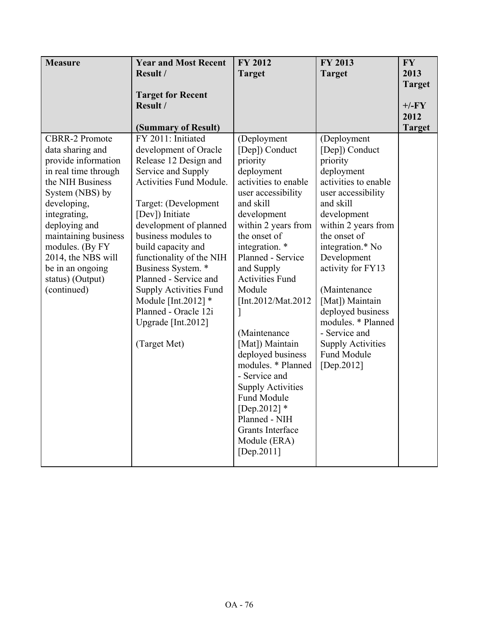| <b>Measure</b>                         | <b>Year and Most Recent</b>                            | FY 2012                              | FY 2013                  | <b>FY</b>     |
|----------------------------------------|--------------------------------------------------------|--------------------------------------|--------------------------|---------------|
|                                        | Result /                                               | <b>Target</b>                        | <b>Target</b>            | 2013          |
|                                        |                                                        |                                      |                          | <b>Target</b> |
|                                        | <b>Target for Recent</b>                               |                                      |                          |               |
|                                        | Result /                                               |                                      |                          | $+/-FY$       |
|                                        |                                                        |                                      |                          | 2012          |
|                                        | (Summary of Result)                                    |                                      |                          | <b>Target</b> |
| <b>CBRR-2 Promote</b>                  | FY 2011: Initiated                                     | (Deployment                          | (Deployment              |               |
| data sharing and                       | development of Oracle                                  | [Dep]) Conduct                       | [Dep]) Conduct           |               |
| provide information                    | Release 12 Design and                                  | priority                             | priority                 |               |
| in real time through                   | Service and Supply                                     | deployment                           | deployment               |               |
| the NIH Business                       | <b>Activities Fund Module.</b>                         | activities to enable                 | activities to enable     |               |
| System (NBS) by                        |                                                        | user accessibility                   | user accessibility       |               |
| developing,                            | Target: (Development                                   | and skill                            | and skill                |               |
| integrating,                           | [Dev]) Initiate                                        | development                          | development              |               |
| deploying and                          | development of planned                                 | within 2 years from                  | within 2 years from      |               |
| maintaining business                   | business modules to                                    | the onset of                         | the onset of             |               |
| modules. (By FY                        | build capacity and                                     | integration. *<br>Planned - Service  | integration.* No         |               |
| 2014, the NBS will<br>be in an ongoing | functionality of the NIH                               |                                      | Development              |               |
|                                        | Business System. *<br>Planned - Service and            | and Supply<br><b>Activities Fund</b> | activity for FY13        |               |
| status) (Output)                       |                                                        | Module                               | (Maintenance             |               |
| (continued)                            | <b>Supply Activities Fund</b><br>Module [Int.2012] $*$ | [Int.2012/Mat.2012]                  | [Mat]) Maintain          |               |
|                                        | Planned - Oracle 12i                                   |                                      | deployed business        |               |
|                                        | Upgrade [Int.2012]                                     |                                      | modules. * Planned       |               |
|                                        |                                                        | (Maintenance                         | - Service and            |               |
|                                        | (Target Met)                                           | [Mat]) Maintain                      | <b>Supply Activities</b> |               |
|                                        |                                                        | deployed business                    | Fund Module              |               |
|                                        |                                                        | modules. * Planned                   | [Dep.2012]               |               |
|                                        |                                                        | - Service and                        |                          |               |
|                                        |                                                        | <b>Supply Activities</b>             |                          |               |
|                                        |                                                        | Fund Module                          |                          |               |
|                                        |                                                        | [Dep.2012] $*$                       |                          |               |
|                                        |                                                        | Planned - NIH                        |                          |               |
|                                        |                                                        | Grants Interface                     |                          |               |
|                                        |                                                        | Module (ERA)                         |                          |               |
|                                        |                                                        | [Dep. 2011]                          |                          |               |
|                                        |                                                        |                                      |                          |               |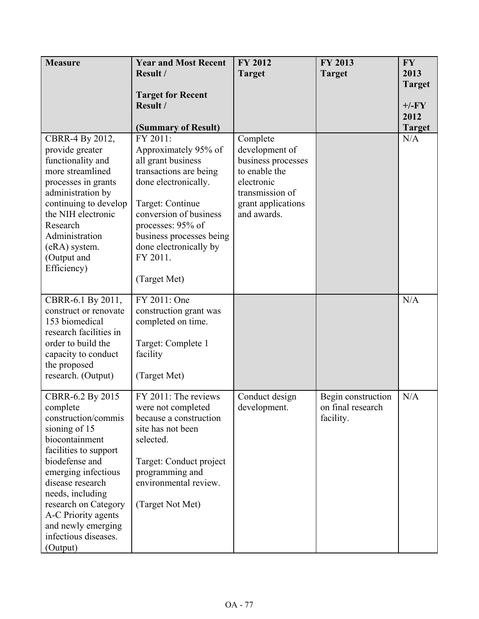| <b>Measure</b>               | <b>Year and Most Recent</b>        | <b>FY 2012</b>                 | FY 2013                                 | <b>FY</b>     |
|------------------------------|------------------------------------|--------------------------------|-----------------------------------------|---------------|
|                              | Result /                           | <b>Target</b>                  | <b>Target</b>                           | 2013          |
|                              |                                    |                                |                                         | <b>Target</b> |
|                              | <b>Target for Recent</b>           |                                |                                         |               |
|                              | Result /                           |                                |                                         | $+/-FY$       |
|                              |                                    |                                |                                         | 2012          |
|                              | (Summary of Result)                |                                |                                         | <b>Target</b> |
| CBRR-4 By 2012,              | FY 2011:                           | Complete                       |                                         | N/A           |
| provide greater              | Approximately 95% of               | development of                 |                                         |               |
| functionality and            | all grant business                 | business processes             |                                         |               |
| more streamlined             | transactions are being             | to enable the                  |                                         |               |
| processes in grants          | done electronically.               | electronic                     |                                         |               |
| administration by            |                                    | transmission of                |                                         |               |
| continuing to develop        | Target: Continue                   | grant applications             |                                         |               |
| the NIH electronic           | conversion of business             | and awards.                    |                                         |               |
| Research                     | processes: 95% of                  |                                |                                         |               |
| Administration               | business processes being           |                                |                                         |               |
| (eRA) system.<br>(Output and | done electronically by<br>FY 2011. |                                |                                         |               |
| Efficiency)                  |                                    |                                |                                         |               |
|                              | (Target Met)                       |                                |                                         |               |
|                              |                                    |                                |                                         |               |
| CBRR-6.1 By 2011,            | FY 2011: One                       |                                |                                         | N/A           |
| construct or renovate        | construction grant was             |                                |                                         |               |
| 153 biomedical               | completed on time.                 |                                |                                         |               |
| research facilities in       |                                    |                                |                                         |               |
| order to build the           | Target: Complete 1                 |                                |                                         |               |
| capacity to conduct          | facility                           |                                |                                         |               |
| the proposed                 |                                    |                                |                                         |               |
| research. (Output)           | (Target Met)                       |                                |                                         |               |
| CBRR-6.2 By 2015             | FY 2011: The reviews               |                                |                                         | N/A           |
| complete                     | were not completed                 | Conduct design<br>development. | Begin construction<br>on final research |               |
| construction/commis          | because a construction             |                                | facility.                               |               |
| sioning of 15                | site has not been                  |                                |                                         |               |
| biocontainment               | selected.                          |                                |                                         |               |
| facilities to support        |                                    |                                |                                         |               |
| biodefense and               | Target: Conduct project            |                                |                                         |               |
| emerging infectious          | programming and                    |                                |                                         |               |
| disease research             | environmental review.              |                                |                                         |               |
| needs, including             |                                    |                                |                                         |               |
| research on Category         | (Target Not Met)                   |                                |                                         |               |
| A-C Priority agents          |                                    |                                |                                         |               |
| and newly emerging           |                                    |                                |                                         |               |
| infectious diseases.         |                                    |                                |                                         |               |
| (Output)                     |                                    |                                |                                         |               |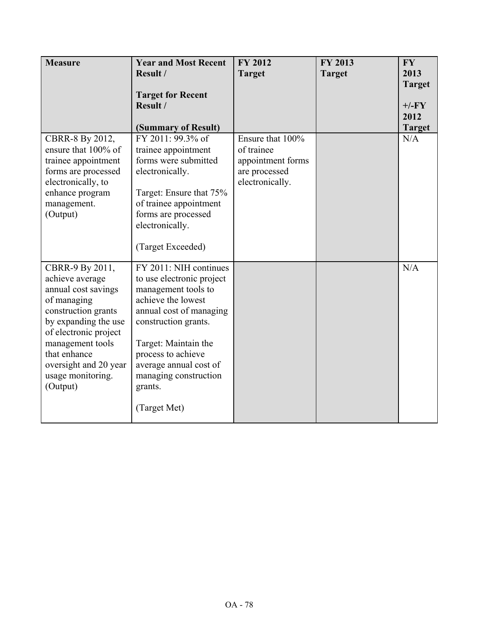| <b>Measure</b>                             | <b>Year and Most Recent</b>                 | <b>FY 2012</b>                     | FY 2013       | <b>FY</b>             |
|--------------------------------------------|---------------------------------------------|------------------------------------|---------------|-----------------------|
|                                            | Result /                                    | <b>Target</b>                      | <b>Target</b> | 2013<br><b>Target</b> |
|                                            | <b>Target for Recent</b>                    |                                    |               |                       |
|                                            | Result /                                    |                                    |               | $+/-FY$<br>2012       |
|                                            | (Summary of Result)                         |                                    |               | <b>Target</b>         |
| CBRR-8 By 2012,                            | FY 2011: 99.3% of                           | Ensure that 100%                   |               | N/A                   |
| ensure that 100% of                        | trainee appointment<br>forms were submitted | of trainee                         |               |                       |
| trainee appointment<br>forms are processed | electronically.                             | appointment forms<br>are processed |               |                       |
| electronically, to                         |                                             | electronically.                    |               |                       |
| enhance program                            | Target: Ensure that 75%                     |                                    |               |                       |
| management.                                | of trainee appointment                      |                                    |               |                       |
| (Output)                                   | forms are processed<br>electronically.      |                                    |               |                       |
|                                            |                                             |                                    |               |                       |
|                                            | (Target Exceeded)                           |                                    |               |                       |
| CBRR-9 By 2011,                            | FY 2011: NIH continues                      |                                    |               | N/A                   |
| achieve average                            | to use electronic project                   |                                    |               |                       |
| annual cost savings<br>of managing         | management tools to<br>achieve the lowest   |                                    |               |                       |
| construction grants                        | annual cost of managing                     |                                    |               |                       |
| by expanding the use                       | construction grants.                        |                                    |               |                       |
| of electronic project                      |                                             |                                    |               |                       |
| management tools<br>that enhance           | Target: Maintain the<br>process to achieve  |                                    |               |                       |
| oversight and 20 year                      | average annual cost of                      |                                    |               |                       |
| usage monitoring.                          | managing construction                       |                                    |               |                       |
| (Output)                                   | grants.                                     |                                    |               |                       |
|                                            | (Target Met)                                |                                    |               |                       |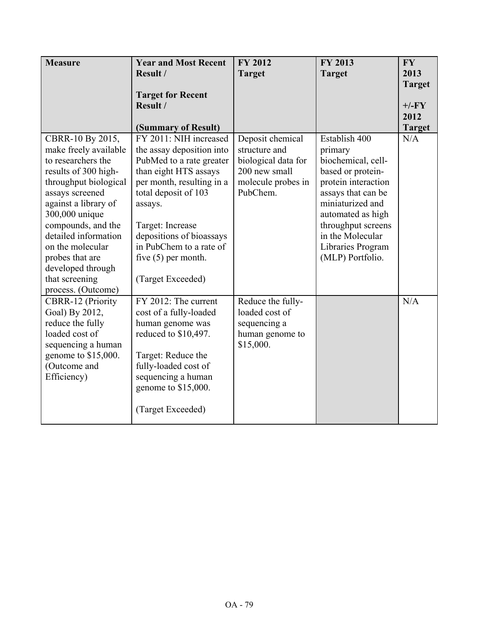| <b>Measure</b>                      | <b>Year and Most Recent</b>                   | <b>FY 2012</b>      | <b>FY 2013</b>      | <b>FY</b>            |
|-------------------------------------|-----------------------------------------------|---------------------|---------------------|----------------------|
|                                     | Result /                                      | <b>Target</b>       | <b>Target</b>       | 2013                 |
|                                     |                                               |                     |                     | <b>Target</b>        |
|                                     | <b>Target for Recent</b>                      |                     |                     |                      |
|                                     | Result /                                      |                     |                     | $+/-FY$              |
|                                     |                                               |                     |                     | 2012                 |
| CBRR-10 By 2015,                    | (Summary of Result)<br>FY 2011: NIH increased | Deposit chemical    | Establish 400       | <b>Target</b><br>N/A |
| make freely available               | the assay deposition into                     | structure and       | primary             |                      |
| to researchers the                  | PubMed to a rate greater                      | biological data for | biochemical, cell-  |                      |
| results of 300 high-                | than eight HTS assays                         | 200 new small       | based or protein-   |                      |
| throughput biological               | per month, resulting in a                     | molecule probes in  | protein interaction |                      |
| assays screened                     | total deposit of 103                          | PubChem.            | assays that can be  |                      |
| against a library of                | assays.                                       |                     | miniaturized and    |                      |
| 300,000 unique                      |                                               |                     | automated as high   |                      |
| compounds, and the                  | Target: Increase                              |                     | throughput screens  |                      |
| detailed information                | depositions of bioassays                      |                     | in the Molecular    |                      |
| on the molecular                    | in PubChem to a rate of                       |                     | Libraries Program   |                      |
| probes that are                     | five $(5)$ per month.                         |                     | (MLP) Portfolio.    |                      |
| developed through<br>that screening | (Target Exceeded)                             |                     |                     |                      |
| process. (Outcome)                  |                                               |                     |                     |                      |
| <b>CBRR-12 (Priority</b>            | FY 2012: The current                          | Reduce the fully-   |                     | N/A                  |
| Goal) By 2012,                      | cost of a fully-loaded                        | loaded cost of      |                     |                      |
| reduce the fully                    | human genome was                              | sequencing a        |                     |                      |
| loaded cost of                      | reduced to \$10,497.                          | human genome to     |                     |                      |
| sequencing a human                  |                                               | \$15,000.           |                     |                      |
| genome to \$15,000.                 | Target: Reduce the                            |                     |                     |                      |
| (Outcome and                        | fully-loaded cost of                          |                     |                     |                      |
| Efficiency)                         | sequencing a human                            |                     |                     |                      |
|                                     | genome to \$15,000.                           |                     |                     |                      |
|                                     |                                               |                     |                     |                      |
|                                     | (Target Exceeded)                             |                     |                     |                      |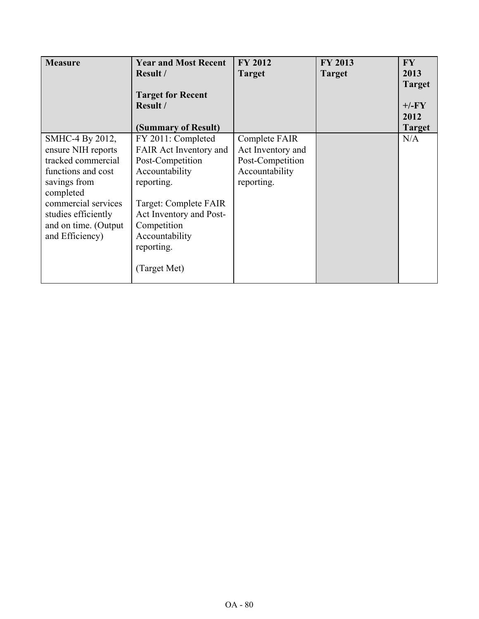| <b>Measure</b>                                                                                                                                                                                          | <b>Year and Most Recent</b><br><b>Result</b> /<br><b>Target for Recent</b><br>Result /<br>(Summary of Result)                                                                                                       | <b>FY 2012</b><br><b>Target</b>                                                        | <b>FY 2013</b><br><b>Target</b> | <b>FY</b><br>2013<br><b>Target</b><br>$+/-FY$<br>2012<br><b>Target</b> |
|---------------------------------------------------------------------------------------------------------------------------------------------------------------------------------------------------------|---------------------------------------------------------------------------------------------------------------------------------------------------------------------------------------------------------------------|----------------------------------------------------------------------------------------|---------------------------------|------------------------------------------------------------------------|
| SMHC-4 By 2012,<br>ensure NIH reports<br>tracked commercial<br>functions and cost<br>savings from<br>completed<br>commercial services<br>studies efficiently<br>and on time. (Output<br>and Efficiency) | FY 2011: Completed<br>FAIR Act Inventory and<br>Post-Competition<br>Accountability<br>reporting.<br>Target: Complete FAIR<br>Act Inventory and Post-<br>Competition<br>Accountability<br>reporting.<br>(Target Met) | Complete FAIR<br>Act Inventory and<br>Post-Competition<br>Accountability<br>reporting. |                                 | N/A                                                                    |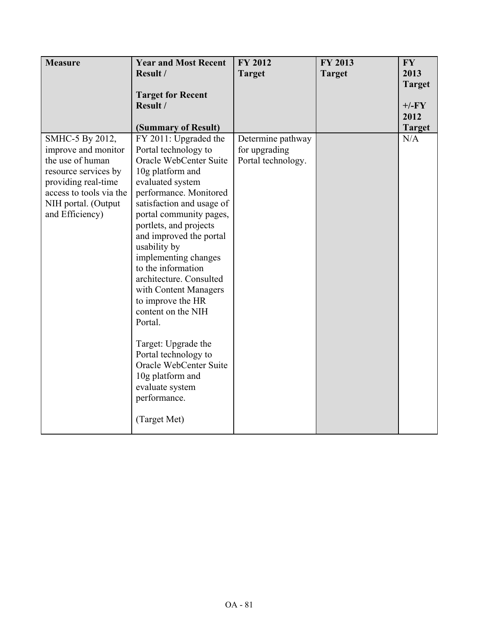| <b>Measure</b>          | <b>Year and Most Recent</b>                  | FY 2012            | FY 2013       | <b>FY</b>            |
|-------------------------|----------------------------------------------|--------------------|---------------|----------------------|
|                         | Result /                                     | <b>Target</b>      | <b>Target</b> | 2013                 |
|                         |                                              |                    |               | <b>Target</b>        |
|                         | <b>Target for Recent</b>                     |                    |               |                      |
|                         | Result /                                     |                    |               | $+/-FY$              |
|                         |                                              |                    |               | 2012                 |
| SMHC-5 By 2012,         | (Summary of Result)<br>FY 2011: Upgraded the | Determine pathway  |               | <b>Target</b><br>N/A |
| improve and monitor     | Portal technology to                         | for upgrading      |               |                      |
| the use of human        | Oracle WebCenter Suite                       | Portal technology. |               |                      |
| resource services by    | 10g platform and                             |                    |               |                      |
| providing real-time     | evaluated system                             |                    |               |                      |
| access to tools via the | performance. Monitored                       |                    |               |                      |
| NIH portal. (Output     | satisfaction and usage of                    |                    |               |                      |
| and Efficiency)         | portal community pages,                      |                    |               |                      |
|                         | portlets, and projects                       |                    |               |                      |
|                         | and improved the portal                      |                    |               |                      |
|                         | usability by<br>implementing changes         |                    |               |                      |
|                         | to the information                           |                    |               |                      |
|                         | architecture. Consulted                      |                    |               |                      |
|                         | with Content Managers                        |                    |               |                      |
|                         | to improve the HR                            |                    |               |                      |
|                         | content on the NIH                           |                    |               |                      |
|                         | Portal.                                      |                    |               |                      |
|                         |                                              |                    |               |                      |
|                         | Target: Upgrade the                          |                    |               |                      |
|                         | Portal technology to                         |                    |               |                      |
|                         | Oracle WebCenter Suite                       |                    |               |                      |
|                         | 10g platform and                             |                    |               |                      |
|                         | evaluate system<br>performance.              |                    |               |                      |
|                         |                                              |                    |               |                      |
|                         | (Target Met)                                 |                    |               |                      |
|                         |                                              |                    |               |                      |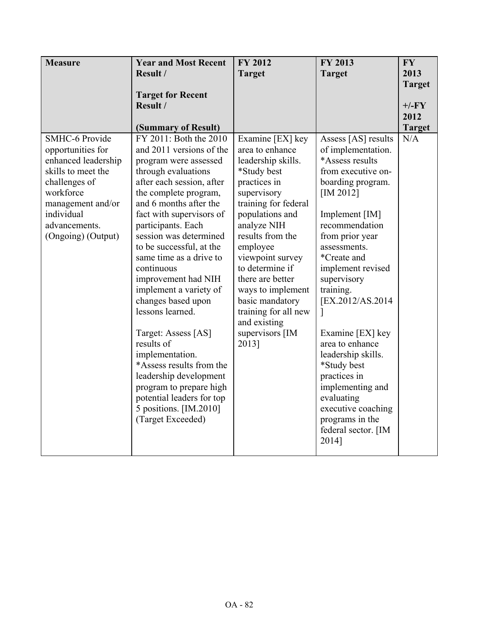| <b>Measure</b>        | <b>Year and Most Recent</b> | <b>FY 2012</b>       | <b>FY 2013</b>      | <b>FY</b>     |
|-----------------------|-----------------------------|----------------------|---------------------|---------------|
|                       | Result /                    | <b>Target</b>        | <b>Target</b>       | 2013          |
|                       |                             |                      |                     | <b>Target</b> |
|                       | <b>Target for Recent</b>    |                      |                     |               |
|                       | Result /                    |                      |                     | $+/-FY$       |
|                       |                             |                      |                     | 2012          |
|                       | (Summary of Result)         |                      |                     | <b>Target</b> |
| <b>SMHC-6 Provide</b> | FY 2011: Both the 2010      | Examine [EX] key     | Assess [AS] results | N/A           |
| opportunities for     | and 2011 versions of the    | area to enhance      | of implementation.  |               |
| enhanced leadership   | program were assessed       | leadership skills.   | *Assess results     |               |
| skills to meet the    | through evaluations         | *Study best          | from executive on-  |               |
| challenges of         | after each session, after   | practices in         | boarding program.   |               |
| workforce             | the complete program,       | supervisory          | $[IM 2012]$         |               |
| management and/or     | and 6 months after the      | training for federal |                     |               |
| individual            | fact with supervisors of    | populations and      | Implement [IM]      |               |
| advancements.         | participants. Each          | analyze NIH          | recommendation      |               |
| (Ongoing) (Output)    | session was determined      | results from the     | from prior year     |               |
|                       | to be successful, at the    | employee             | assessments.        |               |
|                       | same time as a drive to     | viewpoint survey     | *Create and         |               |
|                       | continuous                  | to determine if      | implement revised   |               |
|                       | improvement had NIH         | there are better     | supervisory         |               |
|                       | implement a variety of      | ways to implement    | training.           |               |
|                       | changes based upon          | basic mandatory      | [EX.2012/AS.2014]   |               |
|                       | lessons learned.            | training for all new |                     |               |
|                       |                             | and existing         |                     |               |
|                       | Target: Assess [AS]         | supervisors [IM      | Examine [EX] key    |               |
|                       | results of                  | 2013]                | area to enhance     |               |
|                       | implementation.             |                      | leadership skills.  |               |
|                       | *Assess results from the    |                      | *Study best         |               |
|                       | leadership development      |                      | practices in        |               |
|                       | program to prepare high     |                      | implementing and    |               |
|                       | potential leaders for top   |                      | evaluating          |               |
|                       | 5 positions. [IM.2010]      |                      | executive coaching  |               |
|                       | (Target Exceeded)           |                      | programs in the     |               |
|                       |                             |                      | federal sector. [IM |               |
|                       |                             |                      | 2014]               |               |
|                       |                             |                      |                     |               |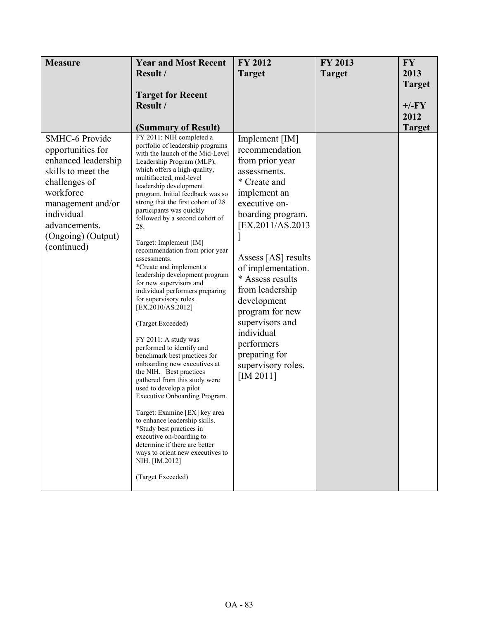| <b>Measure</b>                                                                                                    | <b>Year and Most Recent</b>                                                                                                                                                                                                                                                                                                                                                                                                                                                                                                                                                                                                                                                                                                                                | <b>FY 2012</b>                                                                                                                                                                                                        | FY 2013       | <b>FY</b>     |
|-------------------------------------------------------------------------------------------------------------------|------------------------------------------------------------------------------------------------------------------------------------------------------------------------------------------------------------------------------------------------------------------------------------------------------------------------------------------------------------------------------------------------------------------------------------------------------------------------------------------------------------------------------------------------------------------------------------------------------------------------------------------------------------------------------------------------------------------------------------------------------------|-----------------------------------------------------------------------------------------------------------------------------------------------------------------------------------------------------------------------|---------------|---------------|
|                                                                                                                   | Result /                                                                                                                                                                                                                                                                                                                                                                                                                                                                                                                                                                                                                                                                                                                                                   | <b>Target</b>                                                                                                                                                                                                         | <b>Target</b> | 2013          |
|                                                                                                                   |                                                                                                                                                                                                                                                                                                                                                                                                                                                                                                                                                                                                                                                                                                                                                            |                                                                                                                                                                                                                       |               | <b>Target</b> |
|                                                                                                                   | <b>Target for Recent</b>                                                                                                                                                                                                                                                                                                                                                                                                                                                                                                                                                                                                                                                                                                                                   |                                                                                                                                                                                                                       |               |               |
|                                                                                                                   | Result /                                                                                                                                                                                                                                                                                                                                                                                                                                                                                                                                                                                                                                                                                                                                                   |                                                                                                                                                                                                                       |               | $+/-FY$       |
|                                                                                                                   |                                                                                                                                                                                                                                                                                                                                                                                                                                                                                                                                                                                                                                                                                                                                                            |                                                                                                                                                                                                                       |               | 2012          |
|                                                                                                                   | (Summary of Result)                                                                                                                                                                                                                                                                                                                                                                                                                                                                                                                                                                                                                                                                                                                                        |                                                                                                                                                                                                                       |               | <b>Target</b> |
| opportunities for<br>enhanced leadership<br>skills to meet the<br>challenges of<br>workforce<br>management and/or | portfolio of leadership programs<br>with the launch of the Mid-Level<br>Leadership Program (MLP),<br>which offers a high-quality,<br>multifaceted, mid-level<br>leadership development<br>program. Initial feedback was so<br>strong that the first cohort of 28<br>participants was quickly                                                                                                                                                                                                                                                                                                                                                                                                                                                               | recommendation<br>from prior year<br>assessments.<br>* Create and<br>implement an<br>executive on-                                                                                                                    |               |               |
| individual                                                                                                        | followed by a second cohort of                                                                                                                                                                                                                                                                                                                                                                                                                                                                                                                                                                                                                                                                                                                             | boarding program.                                                                                                                                                                                                     |               |               |
| advancements.<br>(Ongoing) (Output)                                                                               | 28.                                                                                                                                                                                                                                                                                                                                                                                                                                                                                                                                                                                                                                                                                                                                                        | [EX.2011/AS.2013                                                                                                                                                                                                      |               |               |
| (continued)                                                                                                       | Target: Implement [IM]<br>recommendation from prior year<br>assessments.<br>*Create and implement a<br>leadership development program<br>for new supervisors and<br>individual performers preparing<br>for supervisory roles.<br>[EX.2010/AS.2012]<br>(Target Exceeded)<br>FY 2011: A study was<br>performed to identify and<br>benchmark best practices for<br>onboarding new executives at<br>the NIH. Best practices<br>gathered from this study were<br>used to develop a pilot<br>Executive Onboarding Program.<br>Target: Examine [EX] key area<br>to enhance leadership skills.<br>*Study best practices in<br>executive on-boarding to<br>determine if there are better<br>ways to orient new executives to<br>NIH. [IM.2012]<br>(Target Exceeded) | Assess [AS] results<br>of implementation.<br>* Assess results<br>from leadership<br>development<br>program for new<br>supervisors and<br>individual<br>performers<br>preparing for<br>supervisory roles.<br>[IM 2011] |               |               |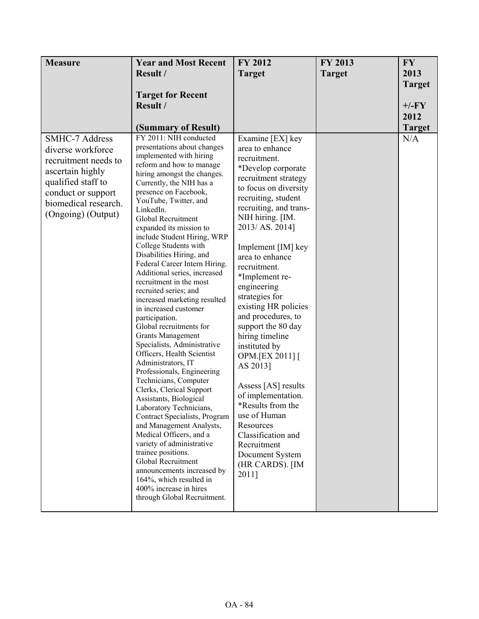| <b>Measure</b>                                                                                                                                                                   | <b>Year and Most Recent</b>                                                                                                                                                                                                                                                                                                                                                                                                                                                                                                                                                                                                                                                                                                                                                                                                                                                                                                                                                                                                                                                                                                                      | FY 2012                                                                                                                                                                                                                                                                                                                                                                                                                                                                                                                                                                                                                                                 | FY 2013       | <b>FY</b>     |
|----------------------------------------------------------------------------------------------------------------------------------------------------------------------------------|--------------------------------------------------------------------------------------------------------------------------------------------------------------------------------------------------------------------------------------------------------------------------------------------------------------------------------------------------------------------------------------------------------------------------------------------------------------------------------------------------------------------------------------------------------------------------------------------------------------------------------------------------------------------------------------------------------------------------------------------------------------------------------------------------------------------------------------------------------------------------------------------------------------------------------------------------------------------------------------------------------------------------------------------------------------------------------------------------------------------------------------------------|---------------------------------------------------------------------------------------------------------------------------------------------------------------------------------------------------------------------------------------------------------------------------------------------------------------------------------------------------------------------------------------------------------------------------------------------------------------------------------------------------------------------------------------------------------------------------------------------------------------------------------------------------------|---------------|---------------|
|                                                                                                                                                                                  | Result /                                                                                                                                                                                                                                                                                                                                                                                                                                                                                                                                                                                                                                                                                                                                                                                                                                                                                                                                                                                                                                                                                                                                         | <b>Target</b>                                                                                                                                                                                                                                                                                                                                                                                                                                                                                                                                                                                                                                           | <b>Target</b> | 2013          |
|                                                                                                                                                                                  |                                                                                                                                                                                                                                                                                                                                                                                                                                                                                                                                                                                                                                                                                                                                                                                                                                                                                                                                                                                                                                                                                                                                                  |                                                                                                                                                                                                                                                                                                                                                                                                                                                                                                                                                                                                                                                         |               | <b>Target</b> |
|                                                                                                                                                                                  | <b>Target for Recent</b>                                                                                                                                                                                                                                                                                                                                                                                                                                                                                                                                                                                                                                                                                                                                                                                                                                                                                                                                                                                                                                                                                                                         |                                                                                                                                                                                                                                                                                                                                                                                                                                                                                                                                                                                                                                                         |               |               |
|                                                                                                                                                                                  | Result /                                                                                                                                                                                                                                                                                                                                                                                                                                                                                                                                                                                                                                                                                                                                                                                                                                                                                                                                                                                                                                                                                                                                         |                                                                                                                                                                                                                                                                                                                                                                                                                                                                                                                                                                                                                                                         |               | $+/-FY$       |
|                                                                                                                                                                                  |                                                                                                                                                                                                                                                                                                                                                                                                                                                                                                                                                                                                                                                                                                                                                                                                                                                                                                                                                                                                                                                                                                                                                  |                                                                                                                                                                                                                                                                                                                                                                                                                                                                                                                                                                                                                                                         |               | 2012          |
|                                                                                                                                                                                  | (Summary of Result)                                                                                                                                                                                                                                                                                                                                                                                                                                                                                                                                                                                                                                                                                                                                                                                                                                                                                                                                                                                                                                                                                                                              |                                                                                                                                                                                                                                                                                                                                                                                                                                                                                                                                                                                                                                                         |               | <b>Target</b> |
| <b>SMHC-7 Address</b><br>diverse workforce<br>recruitment needs to<br>ascertain highly<br>qualified staff to<br>conduct or support<br>biomedical research.<br>(Ongoing) (Output) | FY 2011: NIH conducted<br>presentations about changes<br>implemented with hiring<br>reform and how to manage<br>hiring amongst the changes.<br>Currently, the NIH has a<br>presence on Facebook,<br>YouTube, Twitter, and<br>LinkedIn.<br>Global Recruitment<br>expanded its mission to<br>include Student Hiring, WRP<br>College Students with<br>Disabilities Hiring, and<br>Federal Career Intern Hiring.<br>Additional series, increased<br>recruitment in the most<br>recruited series; and<br>increased marketing resulted<br>in increased customer<br>participation.<br>Global recruitments for<br><b>Grants Management</b><br>Specialists, Administrative<br>Officers, Health Scientist<br>Administrators, IT<br>Professionals, Engineering<br>Technicians, Computer<br>Clerks, Clerical Support<br>Assistants, Biological<br>Laboratory Technicians,<br>Contract Specialists, Program<br>and Management Analysts,<br>Medical Officers, and a<br>variety of administrative<br>trainee positions.<br>Global Recruitment<br>announcements increased by<br>164%, which resulted in<br>400% increase in hires<br>through Global Recruitment. | Examine [EX] key<br>area to enhance<br>recruitment.<br>*Develop corporate<br>recruitment strategy<br>to focus on diversity<br>recruiting, student<br>recruiting, and trans-<br>NIH hiring. [IM.<br>2013/AS. 2014]<br>Implement [IM] key<br>area to enhance<br>recruitment.<br>*Implement re-<br>engineering<br>strategies for<br>existing HR policies<br>and procedures, to<br>support the 80 day<br>hiring timeline<br>instituted by<br>OPM.[EX 2011] [<br>AS 2013]<br>Assess [AS] results<br>of implementation.<br>*Results from the<br>use of Human<br>Resources<br>Classification and<br>Recruitment<br>Document System<br>(HR CARDS). [IM<br>2011] |               | N/A           |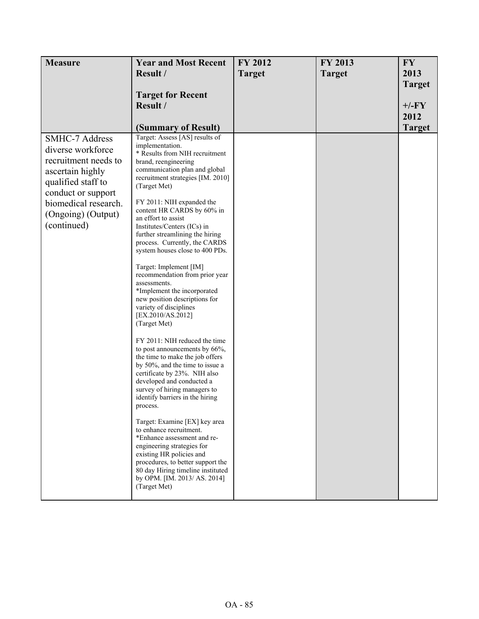| <b>Measure</b>                                                                                                                                                                                  | <b>Year and Most Recent</b>                                                                                                                                                                                                                                                                                                                                                                                                                                                                                                                                                                                                                                                                                                                                                                                                                                                                                                                                                                                                                                                                                                                                                                             | FY 2012       | FY 2013       | <b>FY</b>                                         |
|-------------------------------------------------------------------------------------------------------------------------------------------------------------------------------------------------|---------------------------------------------------------------------------------------------------------------------------------------------------------------------------------------------------------------------------------------------------------------------------------------------------------------------------------------------------------------------------------------------------------------------------------------------------------------------------------------------------------------------------------------------------------------------------------------------------------------------------------------------------------------------------------------------------------------------------------------------------------------------------------------------------------------------------------------------------------------------------------------------------------------------------------------------------------------------------------------------------------------------------------------------------------------------------------------------------------------------------------------------------------------------------------------------------------|---------------|---------------|---------------------------------------------------|
|                                                                                                                                                                                                 | Result /                                                                                                                                                                                                                                                                                                                                                                                                                                                                                                                                                                                                                                                                                                                                                                                                                                                                                                                                                                                                                                                                                                                                                                                                | <b>Target</b> | <b>Target</b> | 2013                                              |
|                                                                                                                                                                                                 | <b>Target for Recent</b><br>Result /<br>(Summary of Result)                                                                                                                                                                                                                                                                                                                                                                                                                                                                                                                                                                                                                                                                                                                                                                                                                                                                                                                                                                                                                                                                                                                                             |               |               | <b>Target</b><br>$+/-FY$<br>2012<br><b>Target</b> |
| <b>SMHC-7 Address</b><br>diverse workforce<br>recruitment needs to<br>ascertain highly<br>qualified staff to<br>conduct or support<br>biomedical research.<br>(Ongoing) (Output)<br>(continued) | Target: Assess [AS] results of<br>implementation.<br>* Results from NIH recruitment<br>brand, reengineering<br>communication plan and global<br>recruitment strategies [IM. 2010]<br>(Target Met)<br>FY 2011: NIH expanded the<br>content HR CARDS by 60% in<br>an effort to assist<br>Institutes/Centers (ICs) in<br>further streamlining the hiring<br>process. Currently, the CARDS<br>system houses close to 400 PDs.<br>Target: Implement [IM]<br>recommendation from prior year<br>assessments.<br>*Implement the incorporated<br>new position descriptions for<br>variety of disciplines<br>[EX.2010/AS.2012]<br>(Target Met)<br>FY 2011: NIH reduced the time<br>to post announcements by 66%,<br>the time to make the job offers<br>by 50%, and the time to issue a<br>certificate by 23%. NIH also<br>developed and conducted a<br>survey of hiring managers to<br>identify barriers in the hiring<br>process.<br>Target: Examine [EX] key area<br>to enhance recruitment.<br>*Enhance assessment and re-<br>engineering strategies for<br>existing HR policies and<br>procedures, to better support the<br>80 day Hiring timeline instituted<br>by OPM. [IM. 2013/ AS. 2014]<br>(Target Met) |               |               |                                                   |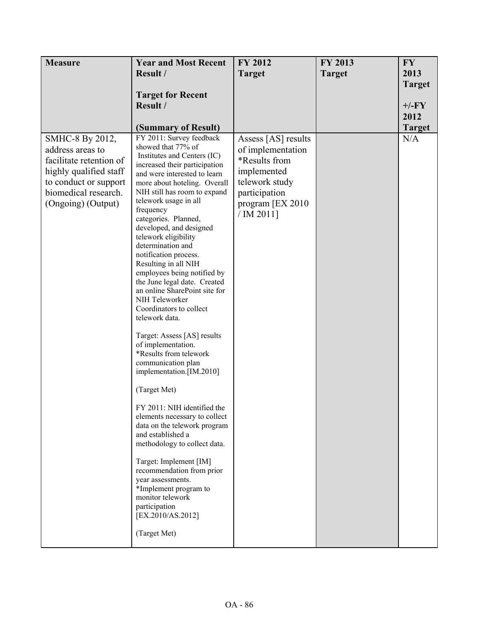| <b>Measure</b>                                                                                                                                                  | <b>Year and Most Recent</b>                                                                                                                                                                                                                                                                                                                                                                                                                                                                                                                                                                                                                                                                                                                                                                                                                                                                                                                                                                                                                               | <b>FY 2012</b>                                                                                                                                | FY 2013       | <b>FY</b>     |
|-----------------------------------------------------------------------------------------------------------------------------------------------------------------|-----------------------------------------------------------------------------------------------------------------------------------------------------------------------------------------------------------------------------------------------------------------------------------------------------------------------------------------------------------------------------------------------------------------------------------------------------------------------------------------------------------------------------------------------------------------------------------------------------------------------------------------------------------------------------------------------------------------------------------------------------------------------------------------------------------------------------------------------------------------------------------------------------------------------------------------------------------------------------------------------------------------------------------------------------------|-----------------------------------------------------------------------------------------------------------------------------------------------|---------------|---------------|
|                                                                                                                                                                 | Result /                                                                                                                                                                                                                                                                                                                                                                                                                                                                                                                                                                                                                                                                                                                                                                                                                                                                                                                                                                                                                                                  | <b>Target</b>                                                                                                                                 | <b>Target</b> | 2013          |
|                                                                                                                                                                 |                                                                                                                                                                                                                                                                                                                                                                                                                                                                                                                                                                                                                                                                                                                                                                                                                                                                                                                                                                                                                                                           |                                                                                                                                               |               | <b>Target</b> |
|                                                                                                                                                                 | <b>Target for Recent</b>                                                                                                                                                                                                                                                                                                                                                                                                                                                                                                                                                                                                                                                                                                                                                                                                                                                                                                                                                                                                                                  |                                                                                                                                               |               |               |
|                                                                                                                                                                 | Result /                                                                                                                                                                                                                                                                                                                                                                                                                                                                                                                                                                                                                                                                                                                                                                                                                                                                                                                                                                                                                                                  |                                                                                                                                               |               | $+/-FY$       |
|                                                                                                                                                                 |                                                                                                                                                                                                                                                                                                                                                                                                                                                                                                                                                                                                                                                                                                                                                                                                                                                                                                                                                                                                                                                           |                                                                                                                                               |               | 2012          |
|                                                                                                                                                                 | (Summary of Result)                                                                                                                                                                                                                                                                                                                                                                                                                                                                                                                                                                                                                                                                                                                                                                                                                                                                                                                                                                                                                                       |                                                                                                                                               |               | <b>Target</b> |
| SMHC-8 By 2012,<br>address areas to<br>facilitate retention of<br>highly qualified staff<br>to conduct or support<br>biomedical research.<br>(Ongoing) (Output) | FY 2011: Survey feedback<br>showed that 77% of<br>Institutes and Centers (IC)<br>increased their participation<br>and were interested to learn<br>more about hoteling. Overall<br>NIH still has room to expand<br>telework usage in all<br>frequency<br>categories. Planned,<br>developed, and designed<br>telework eligibility<br>determination and<br>notification process.<br>Resulting in all NIH<br>employees being notified by<br>the June legal date. Created<br>an online SharePoint site for<br>NIH Teleworker<br>Coordinators to collect<br>telework data.<br>Target: Assess [AS] results<br>of implementation.<br>*Results from telework<br>communication plan<br>implementation.[IM.2010]<br>(Target Met)<br>FY 2011: NIH identified the<br>elements necessary to collect<br>data on the telework program<br>and established a<br>methodology to collect data.<br>Target: Implement [IM]<br>recommendation from prior<br>year assessments.<br>*Implement program to<br>monitor telework<br>participation<br>[EX.2010/AS.2012]<br>(Target Met) | Assess [AS] results<br>of implementation<br>*Results from<br>implemented<br>telework study<br>participation<br>program [EX 2010<br>/ IM 2011] |               | N/A           |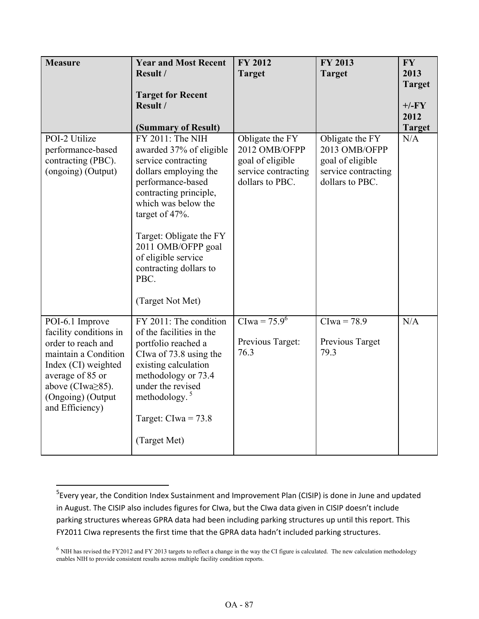| <b>Measure</b>                                                                                                                                                                                        | <b>Year and Most Recent</b><br>Result /<br><b>Target for Recent</b><br>Result /<br>(Summary of Result)                                                                                                                                                                                                            | <b>FY 2012</b><br><b>Target</b>                                                                | FY 2013<br><b>Target</b>                                                                                    | <b>FY</b><br>2013<br><b>Target</b><br>$+/-FY$<br>2012<br><b>Target</b> |
|-------------------------------------------------------------------------------------------------------------------------------------------------------------------------------------------------------|-------------------------------------------------------------------------------------------------------------------------------------------------------------------------------------------------------------------------------------------------------------------------------------------------------------------|------------------------------------------------------------------------------------------------|-------------------------------------------------------------------------------------------------------------|------------------------------------------------------------------------|
| POI-2 Utilize<br>performance-based<br>contracting (PBC).<br>(ongoing) (Output)                                                                                                                        | FY 2011: The NIH<br>awarded 37% of eligible<br>service contracting<br>dollars employing the<br>performance-based<br>contracting principle,<br>which was below the<br>target of 47%.<br>Target: Obligate the FY<br>2011 OMB/OFPP goal<br>of eligible service<br>contracting dollars to<br>PBC.<br>(Target Not Met) | Obligate the FY<br>2012 OMB/OFPP<br>goal of eligible<br>service contracting<br>dollars to PBC. | Obligate the $\overline{FY}$<br>2013 OMB/OFPP<br>goal of eligible<br>service contracting<br>dollars to PBC. | N/A                                                                    |
| POI-6.1 Improve<br>facility conditions in<br>order to reach and<br>maintain a Condition<br>Index (CI) weighted<br>average of 85 or<br>above (CIwa $\geq$ 85).<br>(Ongoing) (Output<br>and Efficiency) | FY 2011: The condition<br>of the facilities in the<br>portfolio reached a<br>Clwa of 73.8 using the<br>existing calculation<br>methodology or 73.4<br>under the revised<br>methodology. $5$<br>Target: $Clwa = 73.8$<br>(Target Met)                                                                              | CIwa = $75.9^6$<br>Previous Target:<br>76.3                                                    | $Clwa = 78.9$<br>Previous Target<br>79.3                                                                    | N/A                                                                    |

ı

<sup>&</sup>lt;sup>5</sup> Every year, the Condition Index Sustainment and Improvement Plan (CISIP) is done in June and updated in August. The CISIP also includes figures for CIwa, but the CIwa data given in CISIP doesn't include parking structures whereas GPRA data had been including parking structures up until this report. This FY2011 CIwa represents the first time that the GPRA data hadn't included parking structures.

 $<sup>6</sup>$  NIH has revised the FY2012 and FY 2013 targets to reflect a change in the way the CI figure is calculated. The new calculation methodology</sup> enables NIH to provide consistent results across multiple facility condition reports.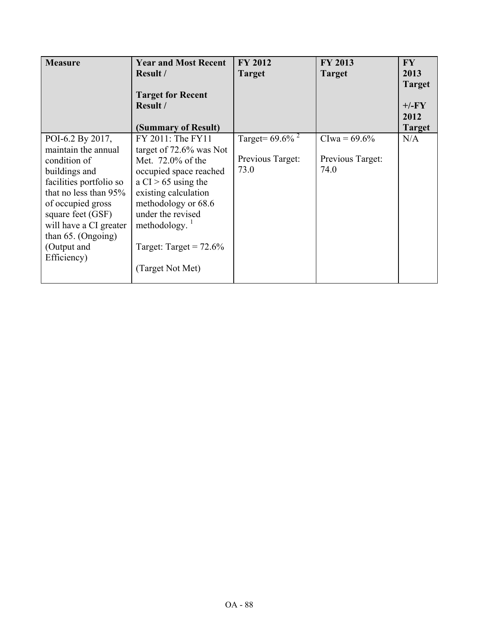| <b>Measure</b>                                                                                                                                                                                                                                          | <b>Year and Most Recent</b><br>Result /<br><b>Target for Recent</b><br>Result /                                                                                                                                                                              | <b>FY 2012</b><br><b>Target</b>                            | FY 2013<br><b>Target</b>                   | <b>FY</b><br>2013<br><b>Target</b><br>$+/-FY$ |
|---------------------------------------------------------------------------------------------------------------------------------------------------------------------------------------------------------------------------------------------------------|--------------------------------------------------------------------------------------------------------------------------------------------------------------------------------------------------------------------------------------------------------------|------------------------------------------------------------|--------------------------------------------|-----------------------------------------------|
|                                                                                                                                                                                                                                                         | (Summary of Result)                                                                                                                                                                                                                                          |                                                            |                                            | 2012<br><b>Target</b>                         |
| POI-6.2 By 2017,<br>maintain the annual<br>condition of<br>buildings and<br>facilities portfolio so<br>that no less than $95\%$<br>of occupied gross<br>square feet (GSF)<br>will have a CI greater<br>than 65. (Ongoing)<br>(Output and<br>Efficiency) | FY 2011: The FY11<br>target of $72.6\%$ was Not<br>Met. 72.0% of the<br>occupied space reached<br>a $CI > 65$ using the<br>existing calculation<br>methodology or 68.6<br>under the revised<br>methodology.<br>Target: Target = $72.6\%$<br>(Target Not Met) | Target = $69.6\%$ <sup>2</sup><br>Previous Target:<br>73.0 | $Clwa = 69.6%$<br>Previous Target:<br>74.0 | N/A                                           |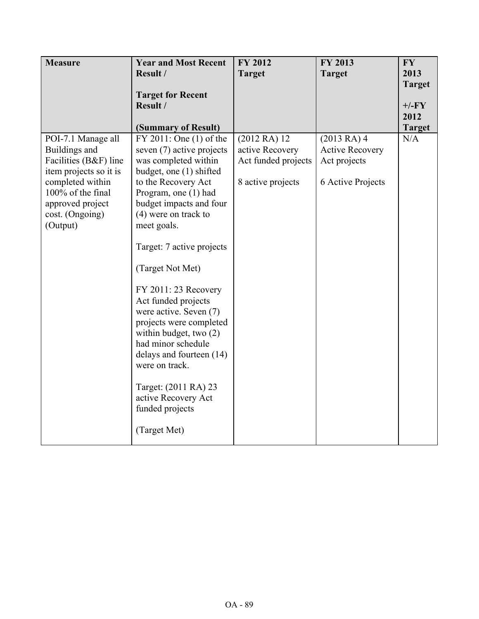| <b>Measure</b>                             | <b>Year and Most Recent</b>                                                                                                                                                                      | FY 2012             | FY 2013                | <b>FY</b>     |
|--------------------------------------------|--------------------------------------------------------------------------------------------------------------------------------------------------------------------------------------------------|---------------------|------------------------|---------------|
|                                            | Result /                                                                                                                                                                                         | <b>Target</b>       | <b>Target</b>          | 2013          |
|                                            |                                                                                                                                                                                                  |                     |                        | <b>Target</b> |
|                                            | <b>Target for Recent</b>                                                                                                                                                                         |                     |                        |               |
|                                            | Result /                                                                                                                                                                                         |                     |                        | $+/-FY$       |
|                                            |                                                                                                                                                                                                  |                     |                        | 2012          |
|                                            | (Summary of Result)                                                                                                                                                                              |                     |                        | <b>Target</b> |
| POI-7.1 Manage all                         | FY 2011: One (1) of the                                                                                                                                                                          | (2012RA)12          | (2013 RA) 4            | N/A           |
| Buildings and                              | seven (7) active projects                                                                                                                                                                        | active Recovery     | <b>Active Recovery</b> |               |
| Facilities (B&F) line                      | was completed within<br>budget, one (1) shifted                                                                                                                                                  | Act funded projects | Act projects           |               |
| item projects so it is<br>completed within | to the Recovery Act                                                                                                                                                                              | 8 active projects   | 6 Active Projects      |               |
| 100% of the final                          | Program, one (1) had                                                                                                                                                                             |                     |                        |               |
| approved project                           | budget impacts and four                                                                                                                                                                          |                     |                        |               |
| cost. (Ongoing)                            | $(4)$ were on track to                                                                                                                                                                           |                     |                        |               |
| (Output)                                   | meet goals.                                                                                                                                                                                      |                     |                        |               |
|                                            |                                                                                                                                                                                                  |                     |                        |               |
|                                            | Target: 7 active projects                                                                                                                                                                        |                     |                        |               |
|                                            | (Target Not Met)                                                                                                                                                                                 |                     |                        |               |
|                                            | FY 2011: 23 Recovery<br>Act funded projects<br>were active. Seven (7)<br>projects were completed<br>within budget, two $(2)$<br>had minor schedule<br>delays and fourteen (14)<br>were on track. |                     |                        |               |
|                                            | Target: (2011 RA) 23<br>active Recovery Act<br>funded projects                                                                                                                                   |                     |                        |               |
|                                            | (Target Met)                                                                                                                                                                                     |                     |                        |               |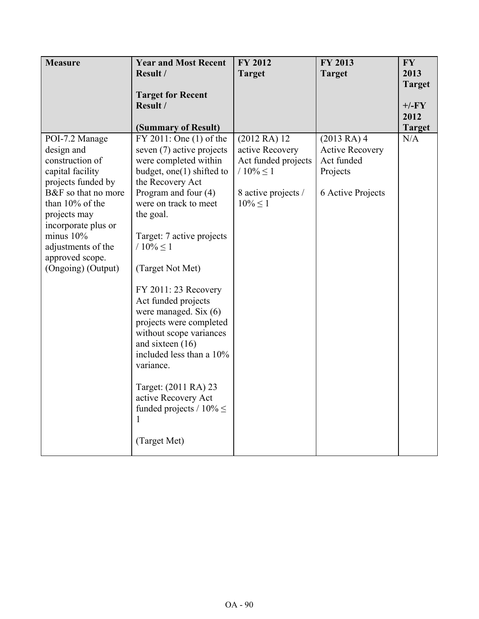| <b>Measure</b>      | <b>Year and Most Recent</b>   | <b>FY 2012</b>      | <b>FY 2013</b>         | <b>FY</b>     |
|---------------------|-------------------------------|---------------------|------------------------|---------------|
|                     | Result /                      | <b>Target</b>       | <b>Target</b>          | 2013          |
|                     |                               |                     |                        | <b>Target</b> |
|                     | <b>Target for Recent</b>      |                     |                        |               |
|                     | Result /                      |                     |                        | $+/-FY$       |
|                     |                               |                     |                        | 2012          |
|                     | (Summary of Result)           |                     |                        | <b>Target</b> |
| POI-7.2 Manage      | FY 2011: One (1) of the       | (2012RA)12          | (2013RA)4              | N/A           |
| design and          | seven (7) active projects     | active Recovery     | <b>Active Recovery</b> |               |
| construction of     | were completed within         | Act funded projects | Act funded             |               |
| capital facility    | budget, one(1) shifted to     | / $10\% \le 1$      | Projects               |               |
| projects funded by  | the Recovery Act              |                     |                        |               |
| B&F so that no more | Program and four $(4)$        | 8 active projects / | 6 Active Projects      |               |
| than 10% of the     | were on track to meet         | $10\% < 1$          |                        |               |
| projects may        | the goal.                     |                     |                        |               |
| incorporate plus or |                               |                     |                        |               |
| minus $10\%$        | Target: 7 active projects     |                     |                        |               |
| adjustments of the  | / $10\% \le 1$                |                     |                        |               |
| approved scope.     |                               |                     |                        |               |
| (Ongoing) (Output)  | (Target Not Met)              |                     |                        |               |
|                     |                               |                     |                        |               |
|                     | FY 2011: 23 Recovery          |                     |                        |               |
|                     | Act funded projects           |                     |                        |               |
|                     | were managed. Six (6)         |                     |                        |               |
|                     | projects were completed       |                     |                        |               |
|                     | without scope variances       |                     |                        |               |
|                     | and sixteen (16)              |                     |                        |               |
|                     | included less than a 10%      |                     |                        |               |
|                     | variance.                     |                     |                        |               |
|                     | Target: (2011 RA) 23          |                     |                        |               |
|                     | active Recovery Act           |                     |                        |               |
|                     | funded projects / $10\% \leq$ |                     |                        |               |
|                     | 1                             |                     |                        |               |
|                     |                               |                     |                        |               |
|                     | (Target Met)                  |                     |                        |               |
|                     |                               |                     |                        |               |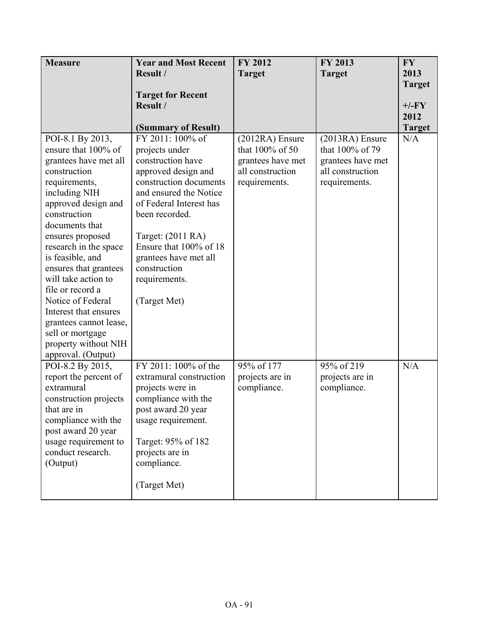| <b>Measure</b>         | <b>Year and Most Recent</b> | FY 2012           | FY 2013           | <b>FY</b>     |
|------------------------|-----------------------------|-------------------|-------------------|---------------|
|                        | Result /                    | <b>Target</b>     | <b>Target</b>     | 2013          |
|                        |                             |                   |                   | <b>Target</b> |
|                        | <b>Target for Recent</b>    |                   |                   |               |
|                        | Result /                    |                   |                   | $+/-FY$       |
|                        |                             |                   |                   | 2012          |
|                        | (Summary of Result)         |                   |                   | <b>Target</b> |
| POI-8.1 By 2013,       | FY 2011: 100% of            | (2012RA) Ensure   | $(2013RA)$ Ensure | N/A           |
| ensure that 100% of    | projects under              | that 100% of 50   | that 100% of 79   |               |
| grantees have met all  | construction have           | grantees have met | grantees have met |               |
| construction           | approved design and         | all construction  | all construction  |               |
| requirements,          | construction documents      | requirements.     | requirements.     |               |
| including NIH          | and ensured the Notice      |                   |                   |               |
| approved design and    | of Federal Interest has     |                   |                   |               |
| construction           | been recorded.              |                   |                   |               |
| documents that         |                             |                   |                   |               |
| ensures proposed       | Target: (2011 RA)           |                   |                   |               |
| research in the space  | Ensure that 100% of 18      |                   |                   |               |
| is feasible, and       | grantees have met all       |                   |                   |               |
| ensures that grantees  | construction                |                   |                   |               |
| will take action to    | requirements.               |                   |                   |               |
| file or record a       |                             |                   |                   |               |
| Notice of Federal      | (Target Met)                |                   |                   |               |
| Interest that ensures  |                             |                   |                   |               |
| grantees cannot lease, |                             |                   |                   |               |
| sell or mortgage       |                             |                   |                   |               |
| property without NIH   |                             |                   |                   |               |
| approval. (Output)     |                             |                   |                   |               |
| POI-8.2 By 2015,       | FY 2011: 100% of the        | 95% of 177        | 95% of 219        | N/A           |
| report the percent of  | extramural construction     | projects are in   | projects are in   |               |
| extramural             | projects were in            | compliance.       | compliance.       |               |
| construction projects  | compliance with the         |                   |                   |               |
| that are in            | post award 20 year          |                   |                   |               |
| compliance with the    | usage requirement.          |                   |                   |               |
| post award 20 year     |                             |                   |                   |               |
| usage requirement to   | Target: 95% of 182          |                   |                   |               |
| conduct research.      | projects are in             |                   |                   |               |
| (Output)               | compliance.                 |                   |                   |               |
|                        | (Target Met)                |                   |                   |               |
|                        |                             |                   |                   |               |